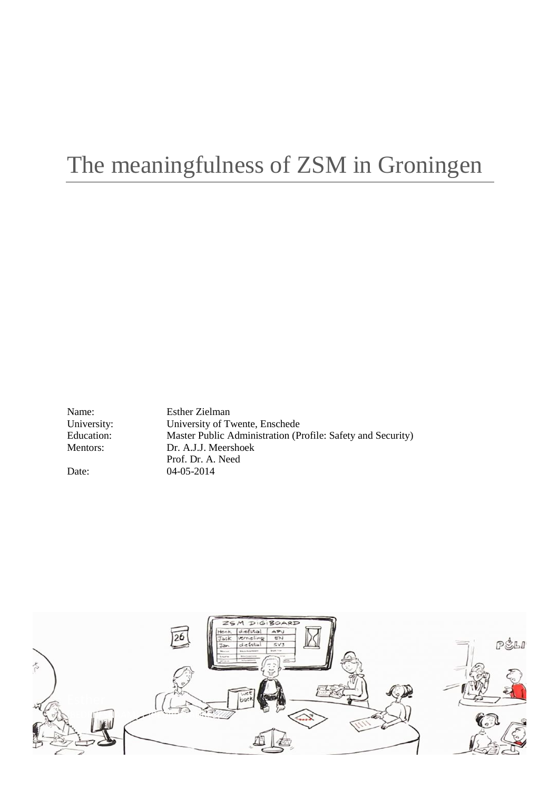## The meaningfulness of ZSM in Groningen

Name: Esther Zielman<br>University: University of Ty University of Twente, Enschede Education: Master Public Administration (Profile: Safety and Security)<br>Mentors: Dr. A.J.J. Meershoek Dr. A.J.J. Meershoek Prof. Dr. A. Need Date: 04-05-2014

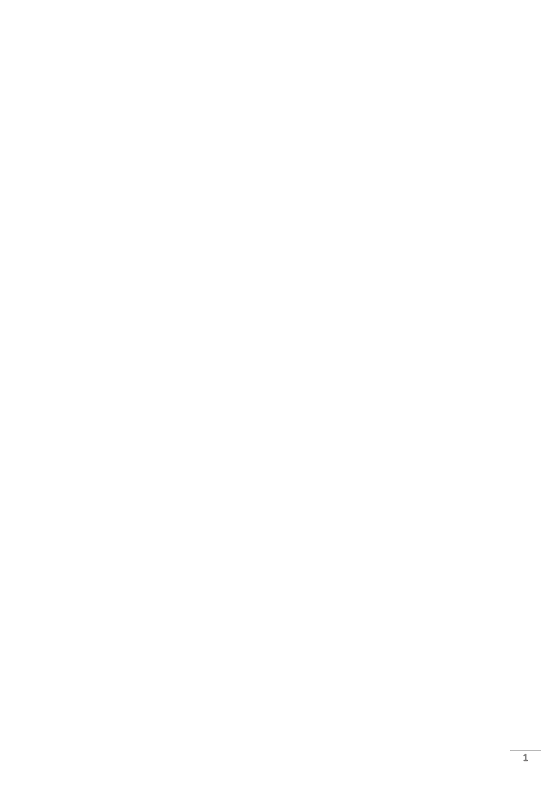$\overline{\mathbf{1}}$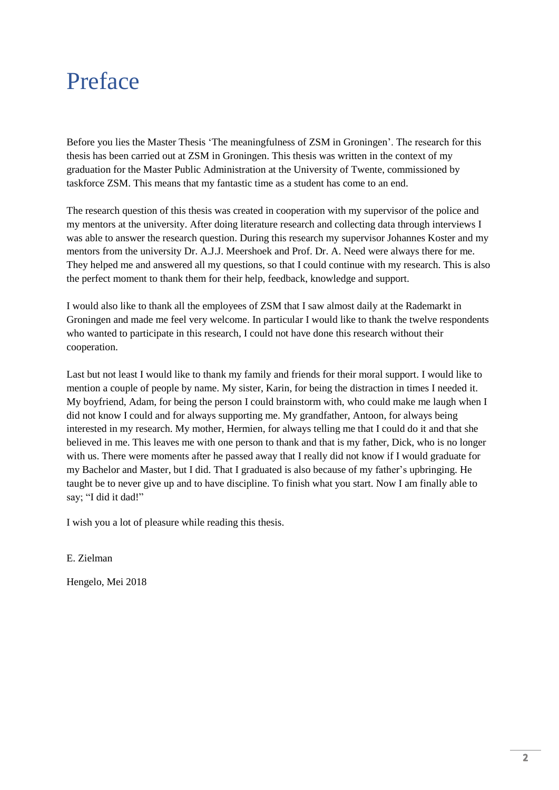## <span id="page-2-0"></span>Preface

Before you lies the Master Thesis 'The meaningfulness of ZSM in Groningen'. The research for this thesis has been carried out at ZSM in Groningen. This thesis was written in the context of my graduation for the Master Public Administration at the University of Twente, commissioned by taskforce ZSM. This means that my fantastic time as a student has come to an end.

The research question of this thesis was created in cooperation with my supervisor of the police and my mentors at the university. After doing literature research and collecting data through interviews I was able to answer the research question. During this research my supervisor Johannes Koster and my mentors from the university Dr. A.J.J. Meershoek and Prof. Dr. A. Need were always there for me. They helped me and answered all my questions, so that I could continue with my research. This is also the perfect moment to thank them for their help, feedback, knowledge and support.

I would also like to thank all the employees of ZSM that I saw almost daily at the Rademarkt in Groningen and made me feel very welcome. In particular I would like to thank the twelve respondents who wanted to participate in this research, I could not have done this research without their cooperation.

Last but not least I would like to thank my family and friends for their moral support. I would like to mention a couple of people by name. My sister, Karin, for being the distraction in times I needed it. My boyfriend, Adam, for being the person I could brainstorm with, who could make me laugh when I did not know I could and for always supporting me. My grandfather, Antoon, for always being interested in my research. My mother, Hermien, for always telling me that I could do it and that she believed in me. This leaves me with one person to thank and that is my father, Dick, who is no longer with us. There were moments after he passed away that I really did not know if I would graduate for my Bachelor and Master, but I did. That I graduated is also because of my father's upbringing. He taught be to never give up and to have discipline. To finish what you start. Now I am finally able to say; "I did it dad!"

I wish you a lot of pleasure while reading this thesis.

E. Zielman

Hengelo, Mei 2018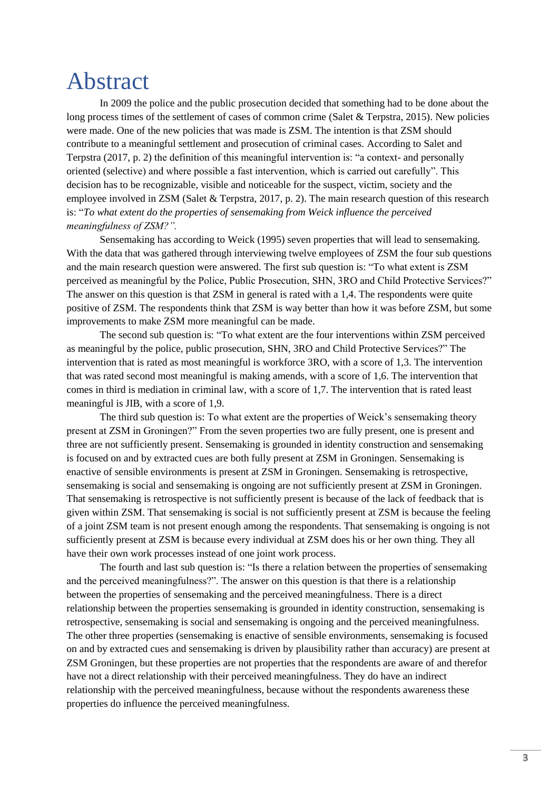## <span id="page-3-0"></span>Abstract

In 2009 the police and the public prosecution decided that something had to be done about the long process times of the settlement of cases of common crime (Salet & Terpstra, 2015). New policies were made. One of the new policies that was made is ZSM. The intention is that ZSM should contribute to a meaningful settlement and prosecution of criminal cases. According to Salet and Terpstra (2017, p. 2) the definition of this meaningful intervention is: "a context- and personally oriented (selective) and where possible a fast intervention, which is carried out carefully". This decision has to be recognizable, visible and noticeable for the suspect, victim, society and the employee involved in ZSM (Salet & Terpstra, 2017, p. 2). The main research question of this research is: "*To what extent do the properties of sensemaking from Weick influence the perceived meaningfulness of ZSM?".*

Sensemaking has according to Weick (1995) seven properties that will lead to sensemaking. With the data that was gathered through interviewing twelve employees of ZSM the four sub questions and the main research question were answered. The first sub question is: "To what extent is ZSM perceived as meaningful by the Police, Public Prosecution, SHN, 3RO and Child Protective Services?" The answer on this question is that ZSM in general is rated with a 1,4. The respondents were quite positive of ZSM. The respondents think that ZSM is way better than how it was before ZSM, but some improvements to make ZSM more meaningful can be made.

The second sub question is: "To what extent are the four interventions within ZSM perceived as meaningful by the police, public prosecution, SHN, 3RO and Child Protective Services?" The intervention that is rated as most meaningful is workforce 3RO, with a score of 1,3. The intervention that was rated second most meaningful is making amends, with a score of 1,6. The intervention that comes in third is mediation in criminal law, with a score of 1,7. The intervention that is rated least meaningful is JIB, with a score of 1,9.

The third sub question is: To what extent are the properties of Weick's sensemaking theory present at ZSM in Groningen?" From the seven properties two are fully present, one is present and three are not sufficiently present. Sensemaking is grounded in identity construction and sensemaking is focused on and by extracted cues are both fully present at ZSM in Groningen. Sensemaking is enactive of sensible environments is present at ZSM in Groningen. Sensemaking is retrospective, sensemaking is social and sensemaking is ongoing are not sufficiently present at ZSM in Groningen. That sensemaking is retrospective is not sufficiently present is because of the lack of feedback that is given within ZSM. That sensemaking is social is not sufficiently present at ZSM is because the feeling of a joint ZSM team is not present enough among the respondents. That sensemaking is ongoing is not sufficiently present at ZSM is because every individual at ZSM does his or her own thing. They all have their own work processes instead of one joint work process.

The fourth and last sub question is: "Is there a relation between the properties of sensemaking and the perceived meaningfulness?". The answer on this question is that there is a relationship between the properties of sensemaking and the perceived meaningfulness. There is a direct relationship between the properties sensemaking is grounded in identity construction, sensemaking is retrospective, sensemaking is social and sensemaking is ongoing and the perceived meaningfulness. The other three properties (sensemaking is enactive of sensible environments, sensemaking is focused on and by extracted cues and sensemaking is driven by plausibility rather than accuracy) are present at ZSM Groningen, but these properties are not properties that the respondents are aware of and therefor have not a direct relationship with their perceived meaningfulness. They do have an indirect relationship with the perceived meaningfulness, because without the respondents awareness these properties do influence the perceived meaningfulness.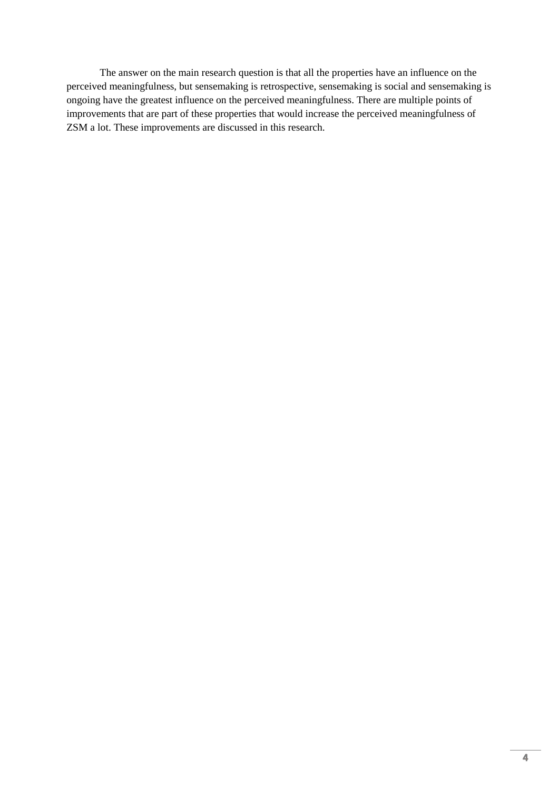The answer on the main research question is that all the properties have an influence on the perceived meaningfulness, but sensemaking is retrospective, sensemaking is social and sensemaking is ongoing have the greatest influence on the perceived meaningfulness. There are multiple points of improvements that are part of these properties that would increase the perceived meaningfulness of ZSM a lot. These improvements are discussed in this research.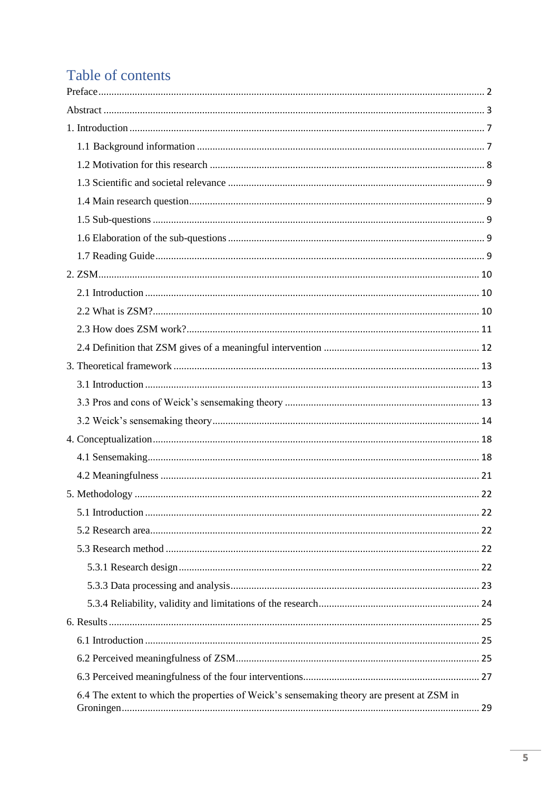## Table of contents

| 6.4 The extent to which the properties of Weick's sensemaking theory are present at ZSM in |  |
|--------------------------------------------------------------------------------------------|--|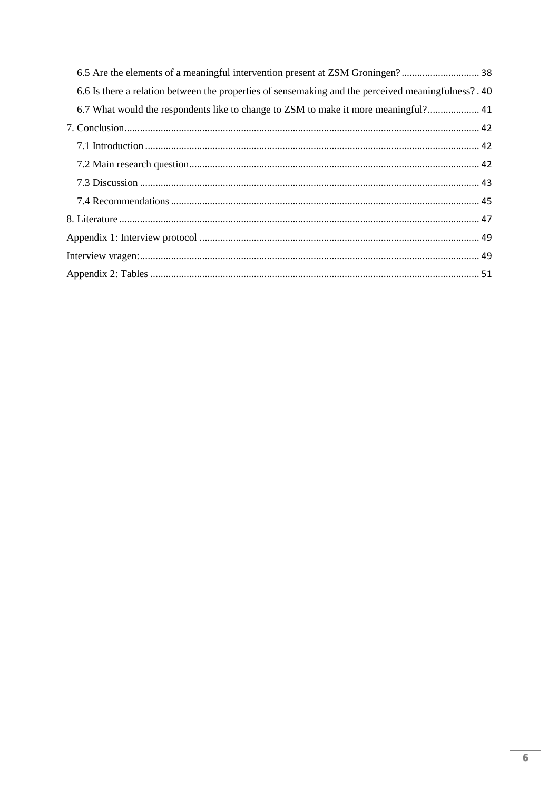| 6.6 Is there a relation between the properties of sensemaking and the perceived meaningfulness? .40 |
|-----------------------------------------------------------------------------------------------------|
| 6.7 What would the respondents like to change to ZSM to make it more meaningful? 41                 |
|                                                                                                     |
|                                                                                                     |
|                                                                                                     |
|                                                                                                     |
|                                                                                                     |
|                                                                                                     |
|                                                                                                     |
|                                                                                                     |
|                                                                                                     |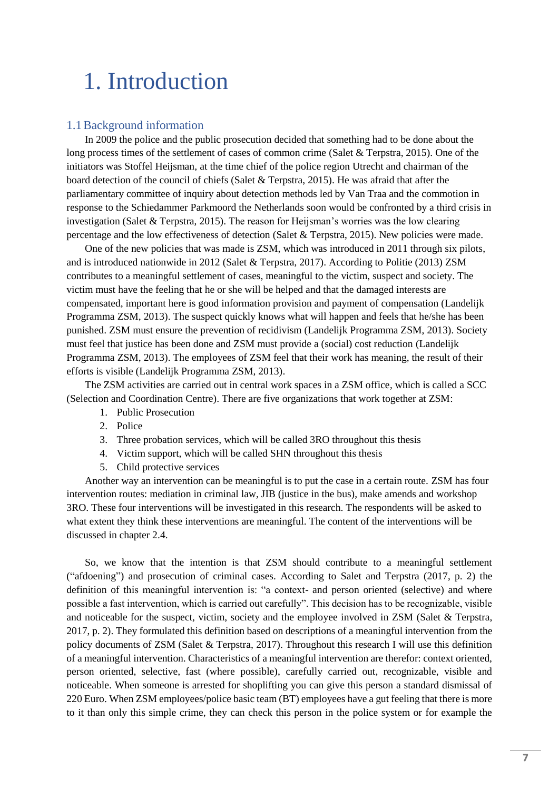## <span id="page-7-0"></span>1. Introduction

#### <span id="page-7-1"></span>1.1Background information

In 2009 the police and the public prosecution decided that something had to be done about the long process times of the settlement of cases of common crime (Salet & Terpstra, 2015). One of the initiators was Stoffel Heijsman, at the time chief of the police region Utrecht and chairman of the board detection of the council of chiefs (Salet & Terpstra, 2015). He was afraid that after the parliamentary committee of inquiry about detection methods led by Van Traa and the commotion in response to the Schiedammer Parkmoord the Netherlands soon would be confronted by a third crisis in investigation (Salet  $&$  Terpstra, 2015). The reason for Heijsman's worries was the low clearing percentage and the low effectiveness of detection (Salet & Terpstra, 2015). New policies were made.

One of the new policies that was made is ZSM, which was introduced in 2011 through six pilots, and is introduced nationwide in 2012 (Salet & Terpstra, 2017). According to Politie (2013) ZSM contributes to a meaningful settlement of cases, meaningful to the victim, suspect and society. The victim must have the feeling that he or she will be helped and that the damaged interests are compensated, important here is good information provision and payment of compensation (Landelijk Programma ZSM, 2013). The suspect quickly knows what will happen and feels that he/she has been punished. ZSM must ensure the prevention of recidivism (Landelijk Programma ZSM, 2013). Society must feel that justice has been done and ZSM must provide a (social) cost reduction (Landelijk Programma ZSM, 2013). The employees of ZSM feel that their work has meaning, the result of their efforts is visible (Landelijk Programma ZSM, 2013).

The ZSM activities are carried out in central work spaces in a ZSM office, which is called a SCC (Selection and Coordination Centre). There are five organizations that work together at ZSM:

- 1. Public Prosecution
- 2. Police
- 3. Three probation services, which will be called 3RO throughout this thesis
- 4. Victim support, which will be called SHN throughout this thesis
- 5. Child protective services

Another way an intervention can be meaningful is to put the case in a certain route. ZSM has four intervention routes: mediation in criminal law, JIB (justice in the bus), make amends and workshop 3RO. These four interventions will be investigated in this research. The respondents will be asked to what extent they think these interventions are meaningful. The content of the interventions will be discussed in chapter 2.4.

So, we know that the intention is that ZSM should contribute to a meaningful settlement ("afdoening") and prosecution of criminal cases. According to Salet and Terpstra (2017, p. 2) the definition of this meaningful intervention is: "a context- and person oriented (selective) and where possible a fast intervention, which is carried out carefully". This decision has to be recognizable, visible and noticeable for the suspect, victim, society and the employee involved in ZSM (Salet & Terpstra, 2017, p. 2). They formulated this definition based on descriptions of a meaningful intervention from the policy documents of ZSM (Salet & Terpstra, 2017). Throughout this research I will use this definition of a meaningful intervention. Characteristics of a meaningful intervention are therefor: context oriented, person oriented, selective, fast (where possible), carefully carried out, recognizable, visible and noticeable. When someone is arrested for shoplifting you can give this person a standard dismissal of 220 Euro. When ZSM employees/police basic team (BT) employees have a gut feeling that there is more to it than only this simple crime, they can check this person in the police system or for example the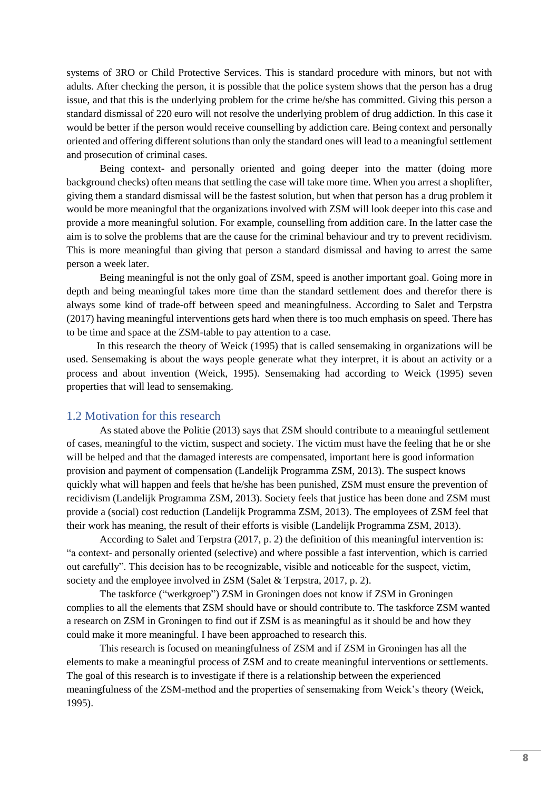systems of 3RO or Child Protective Services. This is standard procedure with minors, but not with adults. After checking the person, it is possible that the police system shows that the person has a drug issue, and that this is the underlying problem for the crime he/she has committed. Giving this person a standard dismissal of 220 euro will not resolve the underlying problem of drug addiction. In this case it would be better if the person would receive counselling by addiction care. Being context and personally oriented and offering different solutions than only the standard ones will lead to a meaningful settlement and prosecution of criminal cases.

Being context- and personally oriented and going deeper into the matter (doing more background checks) often means that settling the case will take more time. When you arrest a shoplifter, giving them a standard dismissal will be the fastest solution, but when that person has a drug problem it would be more meaningful that the organizations involved with ZSM will look deeper into this case and provide a more meaningful solution. For example, counselling from addition care. In the latter case the aim is to solve the problems that are the cause for the criminal behaviour and try to prevent recidivism. This is more meaningful than giving that person a standard dismissal and having to arrest the same person a week later.

Being meaningful is not the only goal of ZSM, speed is another important goal. Going more in depth and being meaningful takes more time than the standard settlement does and therefor there is always some kind of trade-off between speed and meaningfulness. According to Salet and Terpstra (2017) having meaningful interventions gets hard when there is too much emphasis on speed. There has to be time and space at the ZSM-table to pay attention to a case.

In this research the theory of Weick (1995) that is called sensemaking in organizations will be used. Sensemaking is about the ways people generate what they interpret, it is about an activity or a process and about invention (Weick, 1995). Sensemaking had according to Weick (1995) seven properties that will lead to sensemaking.

#### <span id="page-8-0"></span>1.2 Motivation for this research

As stated above the Politie (2013) says that ZSM should contribute to a meaningful settlement of cases, meaningful to the victim, suspect and society. The victim must have the feeling that he or she will be helped and that the damaged interests are compensated, important here is good information provision and payment of compensation (Landelijk Programma ZSM, 2013). The suspect knows quickly what will happen and feels that he/she has been punished, ZSM must ensure the prevention of recidivism (Landelijk Programma ZSM, 2013). Society feels that justice has been done and ZSM must provide a (social) cost reduction (Landelijk Programma ZSM, 2013). The employees of ZSM feel that their work has meaning, the result of their efforts is visible (Landelijk Programma ZSM, 2013).

According to Salet and Terpstra (2017, p. 2) the definition of this meaningful intervention is: "a context- and personally oriented (selective) and where possible a fast intervention, which is carried out carefully". This decision has to be recognizable, visible and noticeable for the suspect, victim, society and the employee involved in ZSM (Salet & Terpstra, 2017, p. 2).

The taskforce ("werkgroep") ZSM in Groningen does not know if ZSM in Groningen complies to all the elements that ZSM should have or should contribute to. The taskforce ZSM wanted a research on ZSM in Groningen to find out if ZSM is as meaningful as it should be and how they could make it more meaningful. I have been approached to research this.

This research is focused on meaningfulness of ZSM and if ZSM in Groningen has all the elements to make a meaningful process of ZSM and to create meaningful interventions or settlements. The goal of this research is to investigate if there is a relationship between the experienced meaningfulness of the ZSM-method and the properties of sensemaking from Weick's theory (Weick, 1995).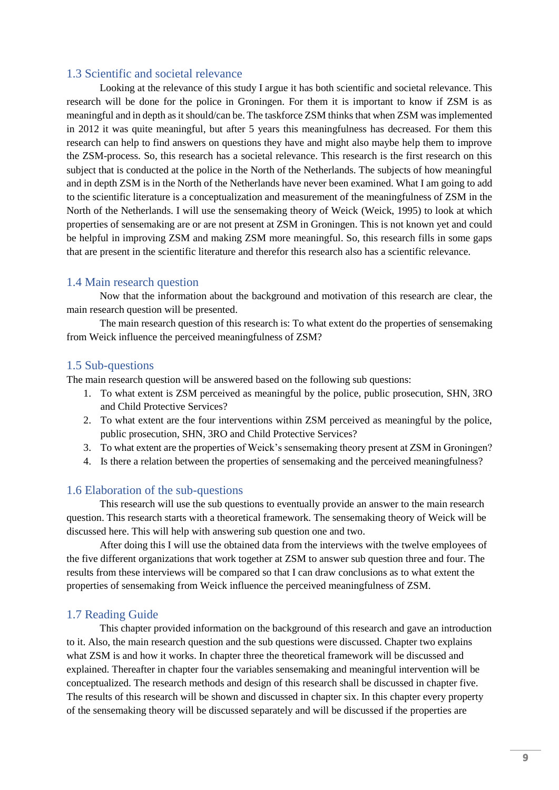#### <span id="page-9-0"></span>1.3 Scientific and societal relevance

Looking at the relevance of this study I argue it has both scientific and societal relevance. This research will be done for the police in Groningen. For them it is important to know if ZSM is as meaningful and in depth as it should/can be. The taskforce ZSM thinks that when ZSM was implemented in 2012 it was quite meaningful, but after 5 years this meaningfulness has decreased. For them this research can help to find answers on questions they have and might also maybe help them to improve the ZSM-process. So, this research has a societal relevance. This research is the first research on this subject that is conducted at the police in the North of the Netherlands. The subjects of how meaningful and in depth ZSM is in the North of the Netherlands have never been examined. What I am going to add to the scientific literature is a conceptualization and measurement of the meaningfulness of ZSM in the North of the Netherlands. I will use the sensemaking theory of Weick (Weick, 1995) to look at which properties of sensemaking are or are not present at ZSM in Groningen. This is not known yet and could be helpful in improving ZSM and making ZSM more meaningful. So, this research fills in some gaps that are present in the scientific literature and therefor this research also has a scientific relevance.

#### <span id="page-9-1"></span>1.4 Main research question

Now that the information about the background and motivation of this research are clear, the main research question will be presented.

The main research question of this research is: To what extent do the properties of sensemaking from Weick influence the perceived meaningfulness of ZSM?

#### <span id="page-9-2"></span>1.5 Sub-questions

The main research question will be answered based on the following sub questions:

- 1. To what extent is ZSM perceived as meaningful by the police, public prosecution, SHN, 3RO and Child Protective Services?
- 2. To what extent are the four interventions within ZSM perceived as meaningful by the police, public prosecution, SHN, 3RO and Child Protective Services?
- 3. To what extent are the properties of Weick's sensemaking theory present at ZSM in Groningen?
- 4. Is there a relation between the properties of sensemaking and the perceived meaningfulness?

#### <span id="page-9-3"></span>1.6 Elaboration of the sub-questions

This research will use the sub questions to eventually provide an answer to the main research question. This research starts with a theoretical framework. The sensemaking theory of Weick will be discussed here. This will help with answering sub question one and two.

After doing this I will use the obtained data from the interviews with the twelve employees of the five different organizations that work together at ZSM to answer sub question three and four. The results from these interviews will be compared so that I can draw conclusions as to what extent the properties of sensemaking from Weick influence the perceived meaningfulness of ZSM.

#### <span id="page-9-4"></span>1.7 Reading Guide

This chapter provided information on the background of this research and gave an introduction to it. Also, the main research question and the sub questions were discussed. Chapter two explains what ZSM is and how it works. In chapter three the theoretical framework will be discussed and explained. Thereafter in chapter four the variables sensemaking and meaningful intervention will be conceptualized. The research methods and design of this research shall be discussed in chapter five. The results of this research will be shown and discussed in chapter six. In this chapter every property of the sensemaking theory will be discussed separately and will be discussed if the properties are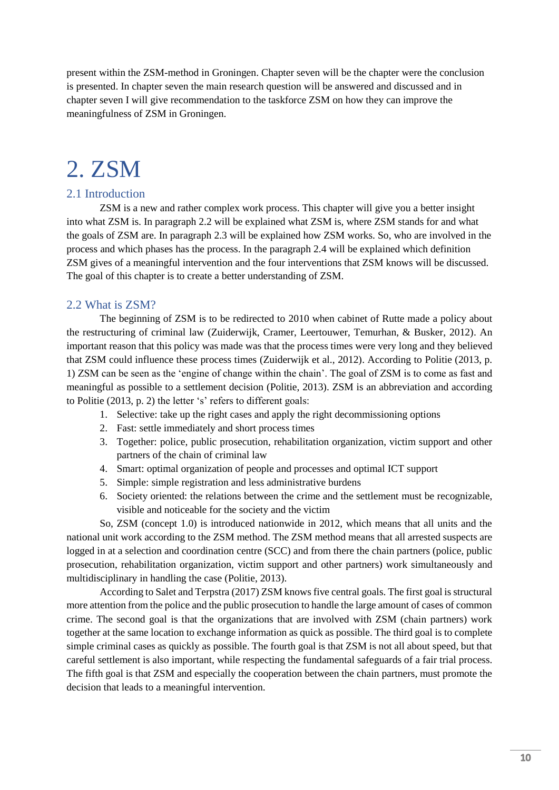present within the ZSM-method in Groningen. Chapter seven will be the chapter were the conclusion is presented. In chapter seven the main research question will be answered and discussed and in chapter seven I will give recommendation to the taskforce ZSM on how they can improve the meaningfulness of ZSM in Groningen.

## <span id="page-10-0"></span>2. ZSM

#### <span id="page-10-1"></span>2.1 Introduction

ZSM is a new and rather complex work process. This chapter will give you a better insight into what ZSM is. In paragraph 2.2 will be explained what ZSM is, where ZSM stands for and what the goals of ZSM are. In paragraph 2.3 will be explained how ZSM works. So, who are involved in the process and which phases has the process. In the paragraph 2.4 will be explained which definition ZSM gives of a meaningful intervention and the four interventions that ZSM knows will be discussed. The goal of this chapter is to create a better understanding of ZSM.

#### <span id="page-10-2"></span>2.2 What is ZSM?

The beginning of ZSM is to be redirected to 2010 when cabinet of Rutte made a policy about the restructuring of criminal law (Zuiderwijk, Cramer, Leertouwer, Temurhan, & Busker, 2012). An important reason that this policy was made was that the process times were very long and they believed that ZSM could influence these process times (Zuiderwijk et al., 2012). According to Politie (2013, p. 1) ZSM can be seen as the 'engine of change within the chain'. The goal of ZSM is to come as fast and meaningful as possible to a settlement decision (Politie, 2013). ZSM is an abbreviation and according to Politie (2013, p. 2) the letter 's' refers to different goals:

- 1. Selective: take up the right cases and apply the right decommissioning options
- 2. Fast: settle immediately and short process times
- 3. Together: police, public prosecution, rehabilitation organization, victim support and other partners of the chain of criminal law
- 4. Smart: optimal organization of people and processes and optimal ICT support
- 5. Simple: simple registration and less administrative burdens
- 6. Society oriented: the relations between the crime and the settlement must be recognizable, visible and noticeable for the society and the victim

So, ZSM (concept 1.0) is introduced nationwide in 2012, which means that all units and the national unit work according to the ZSM method. The ZSM method means that all arrested suspects are logged in at a selection and coordination centre (SCC) and from there the chain partners (police, public prosecution, rehabilitation organization, victim support and other partners) work simultaneously and multidisciplinary in handling the case (Politie, 2013).

According to Salet and Terpstra (2017) ZSM knows five central goals. The first goal is structural more attention from the police and the public prosecution to handle the large amount of cases of common crime. The second goal is that the organizations that are involved with ZSM (chain partners) work together at the same location to exchange information as quick as possible. The third goal is to complete simple criminal cases as quickly as possible. The fourth goal is that ZSM is not all about speed, but that careful settlement is also important, while respecting the fundamental safeguards of a fair trial process. The fifth goal is that ZSM and especially the cooperation between the chain partners, must promote the decision that leads to a meaningful intervention.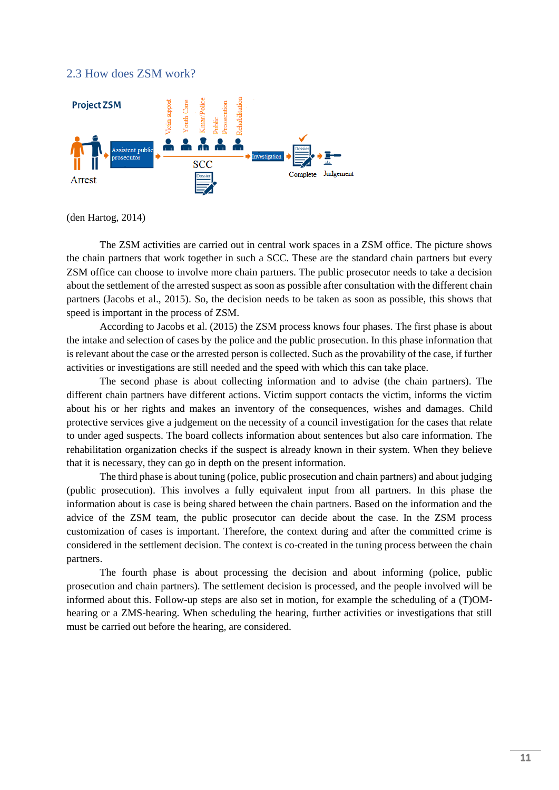### <span id="page-11-0"></span>2.3 How does ZSM work?



(den Hartog, 2014)

The ZSM activities are carried out in central work spaces in a ZSM office. The picture shows the chain partners that work together in such a SCC. These are the standard chain partners but every ZSM office can choose to involve more chain partners. The public prosecutor needs to take a decision about the settlement of the arrested suspect as soon as possible after consultation with the different chain partners (Jacobs et al., 2015). So, the decision needs to be taken as soon as possible, this shows that speed is important in the process of ZSM.

According to Jacobs et al. (2015) the ZSM process knows four phases. The first phase is about the intake and selection of cases by the police and the public prosecution. In this phase information that is relevant about the case or the arrested person is collected. Such as the provability of the case, if further activities or investigations are still needed and the speed with which this can take place.

The second phase is about collecting information and to advise (the chain partners). The different chain partners have different actions. Victim support contacts the victim, informs the victim about his or her rights and makes an inventory of the consequences, wishes and damages. Child protective services give a judgement on the necessity of a council investigation for the cases that relate to under aged suspects. The board collects information about sentences but also care information. The rehabilitation organization checks if the suspect is already known in their system. When they believe that it is necessary, they can go in depth on the present information.

The third phase is about tuning (police, public prosecution and chain partners) and about judging (public prosecution). This involves a fully equivalent input from all partners. In this phase the information about is case is being shared between the chain partners. Based on the information and the advice of the ZSM team, the public prosecutor can decide about the case. In the ZSM process customization of cases is important. Therefore, the context during and after the committed crime is considered in the settlement decision. The context is co-created in the tuning process between the chain partners.

The fourth phase is about processing the decision and about informing (police, public prosecution and chain partners). The settlement decision is processed, and the people involved will be informed about this. Follow-up steps are also set in motion, for example the scheduling of a (T)OMhearing or a ZMS-hearing. When scheduling the hearing, further activities or investigations that still must be carried out before the hearing, are considered.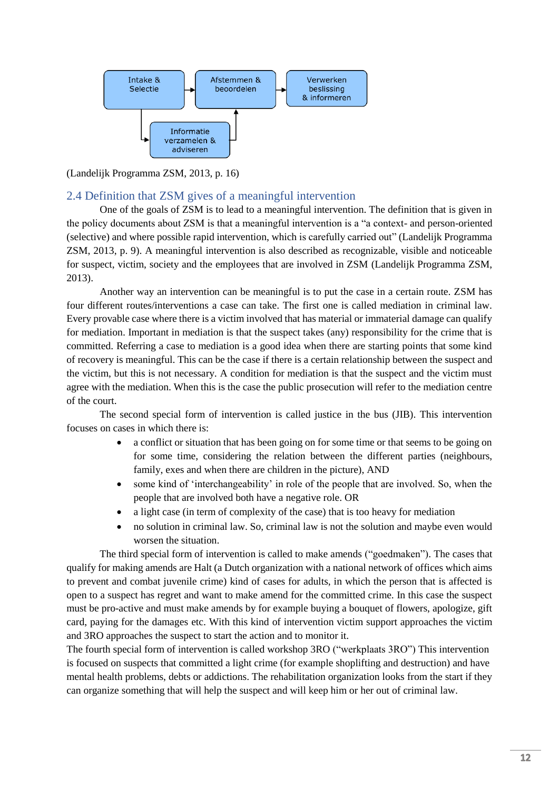

(Landelijk Programma ZSM, 2013, p. 16)

### <span id="page-12-0"></span>2.4 Definition that ZSM gives of a meaningful intervention

One of the goals of ZSM is to lead to a meaningful intervention. The definition that is given in the policy documents about ZSM is that a meaningful intervention is a "a context- and person-oriented (selective) and where possible rapid intervention, which is carefully carried out" (Landelijk Programma ZSM, 2013, p. 9). A meaningful intervention is also described as recognizable, visible and noticeable for suspect, victim, society and the employees that are involved in ZSM (Landelijk Programma ZSM, 2013).

Another way an intervention can be meaningful is to put the case in a certain route. ZSM has four different routes/interventions a case can take. The first one is called mediation in criminal law. Every provable case where there is a victim involved that has material or immaterial damage can qualify for mediation. Important in mediation is that the suspect takes (any) responsibility for the crime that is committed. Referring a case to mediation is a good idea when there are starting points that some kind of recovery is meaningful. This can be the case if there is a certain relationship between the suspect and the victim, but this is not necessary. A condition for mediation is that the suspect and the victim must agree with the mediation. When this is the case the public prosecution will refer to the mediation centre of the court.

The second special form of intervention is called justice in the bus (JIB). This intervention focuses on cases in which there is:

- a conflict or situation that has been going on for some time or that seems to be going on for some time, considering the relation between the different parties (neighbours, family, exes and when there are children in the picture), AND
- some kind of 'interchangeability' in role of the people that are involved. So, when the people that are involved both have a negative role. OR
- a light case (in term of complexity of the case) that is too heavy for mediation
- no solution in criminal law. So, criminal law is not the solution and maybe even would worsen the situation.

The third special form of intervention is called to make amends ("goedmaken"). The cases that qualify for making amends are Halt (a Dutch organization with a national network of offices which aims to prevent and combat juvenile crime) kind of cases for adults, in which the person that is affected is open to a suspect has regret and want to make amend for the committed crime. In this case the suspect must be pro-active and must make amends by for example buying a bouquet of flowers, apologize, gift card, paying for the damages etc. With this kind of intervention victim support approaches the victim and 3RO approaches the suspect to start the action and to monitor it.

The fourth special form of intervention is called workshop 3RO ("werkplaats 3RO") This intervention is focused on suspects that committed a light crime (for example shoplifting and destruction) and have mental health problems, debts or addictions. The rehabilitation organization looks from the start if they can organize something that will help the suspect and will keep him or her out of criminal law.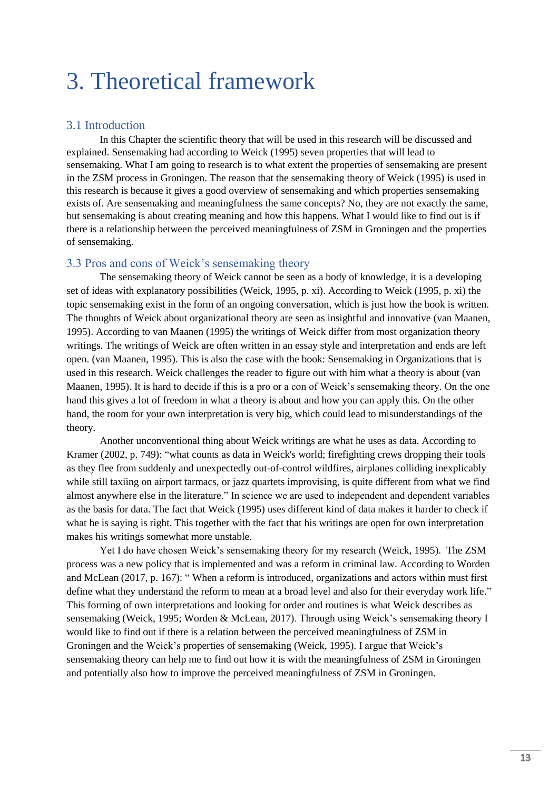## <span id="page-13-0"></span>3. Theoretical framework

### <span id="page-13-1"></span>3.1 Introduction

In this Chapter the scientific theory that will be used in this research will be discussed and explained. Sensemaking had according to Weick (1995) seven properties that will lead to sensemaking. What I am going to research is to what extent the properties of sensemaking are present in the ZSM process in Groningen. The reason that the sensemaking theory of Weick (1995) is used in this research is because it gives a good overview of sensemaking and which properties sensemaking exists of. Are sensemaking and meaningfulness the same concepts? No, they are not exactly the same, but sensemaking is about creating meaning and how this happens. What I would like to find out is if there is a relationship between the perceived meaningfulness of ZSM in Groningen and the properties of sensemaking.

#### <span id="page-13-2"></span>3.3 Pros and cons of Weick's sensemaking theory

The sensemaking theory of Weick cannot be seen as a body of knowledge, it is a developing set of ideas with explanatory possibilities (Weick, 1995, p. xi). According to Weick (1995, p. xi) the topic sensemaking exist in the form of an ongoing conversation, which is just how the book is written. The thoughts of Weick about organizational theory are seen as insightful and innovative (van Maanen, 1995). According to van Maanen (1995) the writings of Weick differ from most organization theory writings. The writings of Weick are often written in an essay style and interpretation and ends are left open. (van Maanen, 1995). This is also the case with the book: Sensemaking in Organizations that is used in this research. Weick challenges the reader to figure out with him what a theory is about (van Maanen, 1995). It is hard to decide if this is a pro or a con of Weick's sensemaking theory. On the one hand this gives a lot of freedom in what a theory is about and how you can apply this. On the other hand, the room for your own interpretation is very big, which could lead to misunderstandings of the theory.

Another unconventional thing about Weick writings are what he uses as data. According to Kramer (2002, p. 749): "what counts as data in Weick's world; firefighting crews dropping their tools as they flee from suddenly and unexpectedly out-of-control wildfires, airplanes colliding inexplicably while still taxiing on airport tarmacs, or jazz quartets improvising, is quite different from what we find almost anywhere else in the literature." In science we are used to independent and dependent variables as the basis for data. The fact that Weick (1995) uses different kind of data makes it harder to check if what he is saying is right. This together with the fact that his writings are open for own interpretation makes his writings somewhat more unstable.

Yet I do have chosen Weick's sensemaking theory for my research (Weick, 1995). The ZSM process was a new policy that is implemented and was a reform in criminal law. According to Worden and McLean (2017, p. 167): " When a reform is introduced, organizations and actors within must first define what they understand the reform to mean at a broad level and also for their everyday work life." This forming of own interpretations and looking for order and routines is what Weick describes as sensemaking (Weick, 1995; Worden & McLean, 2017). Through using Weick's sensemaking theory I would like to find out if there is a relation between the perceived meaningfulness of ZSM in Groningen and the Weick's properties of sensemaking (Weick, 1995). I argue that Weick's sensemaking theory can help me to find out how it is with the meaningfulness of ZSM in Groningen and potentially also how to improve the perceived meaningfulness of ZSM in Groningen.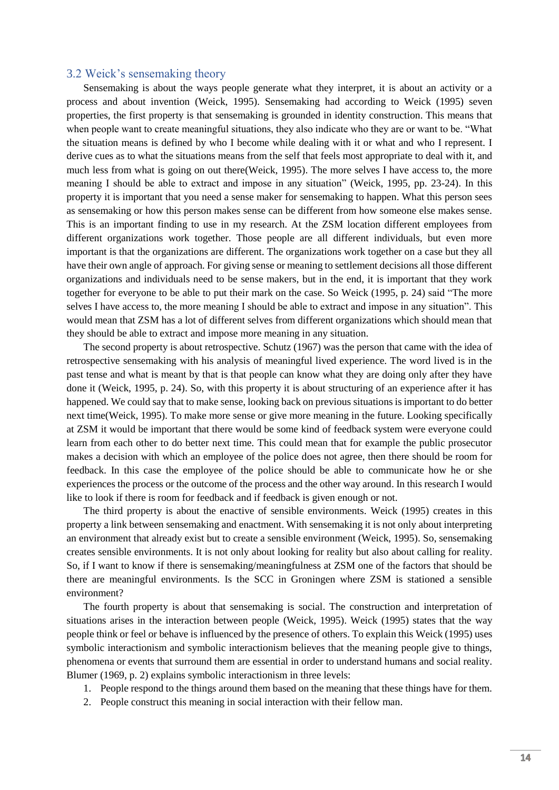#### <span id="page-14-0"></span>3.2 Weick's sensemaking theory

Sensemaking is about the ways people generate what they interpret, it is about an activity or a process and about invention (Weick, 1995). Sensemaking had according to Weick (1995) seven properties, the first property is that sensemaking is grounded in identity construction. This means that when people want to create meaningful situations, they also indicate who they are or want to be. "What the situation means is defined by who I become while dealing with it or what and who I represent. I derive cues as to what the situations means from the self that feels most appropriate to deal with it, and much less from what is going on out there(Weick, 1995). The more selves I have access to, the more meaning I should be able to extract and impose in any situation" (Weick, 1995, pp. 23-24). In this property it is important that you need a sense maker for sensemaking to happen. What this person sees as sensemaking or how this person makes sense can be different from how someone else makes sense. This is an important finding to use in my research. At the ZSM location different employees from different organizations work together. Those people are all different individuals, but even more important is that the organizations are different. The organizations work together on a case but they all have their own angle of approach. For giving sense or meaning to settlement decisions all those different organizations and individuals need to be sense makers, but in the end, it is important that they work together for everyone to be able to put their mark on the case. So Weick (1995, p. 24) said "The more selves I have access to, the more meaning I should be able to extract and impose in any situation". This would mean that ZSM has a lot of different selves from different organizations which should mean that they should be able to extract and impose more meaning in any situation.

The second property is about retrospective. Schutz (1967) was the person that came with the idea of retrospective sensemaking with his analysis of meaningful lived experience. The word lived is in the past tense and what is meant by that is that people can know what they are doing only after they have done it (Weick, 1995, p. 24). So, with this property it is about structuring of an experience after it has happened. We could say that to make sense, looking back on previous situations is important to do better next time(Weick, 1995). To make more sense or give more meaning in the future. Looking specifically at ZSM it would be important that there would be some kind of feedback system were everyone could learn from each other to do better next time. This could mean that for example the public prosecutor makes a decision with which an employee of the police does not agree, then there should be room for feedback. In this case the employee of the police should be able to communicate how he or she experiences the process or the outcome of the process and the other way around. In this research I would like to look if there is room for feedback and if feedback is given enough or not.

The third property is about the enactive of sensible environments. Weick (1995) creates in this property a link between sensemaking and enactment. With sensemaking it is not only about interpreting an environment that already exist but to create a sensible environment (Weick, 1995). So, sensemaking creates sensible environments. It is not only about looking for reality but also about calling for reality. So, if I want to know if there is sensemaking/meaningfulness at ZSM one of the factors that should be there are meaningful environments. Is the SCC in Groningen where ZSM is stationed a sensible environment?

The fourth property is about that sensemaking is social. The construction and interpretation of situations arises in the interaction between people (Weick, 1995). Weick (1995) states that the way people think or feel or behave is influenced by the presence of others. To explain this Weick (1995) uses symbolic interactionism and symbolic interactionism believes that the meaning people give to things, phenomena or events that surround them are essential in order to understand humans and social reality. Blumer (1969, p. 2) explains symbolic interactionism in three levels:

- 1. People respond to the things around them based on the meaning that these things have for them.
- 2. People construct this meaning in social interaction with their fellow man.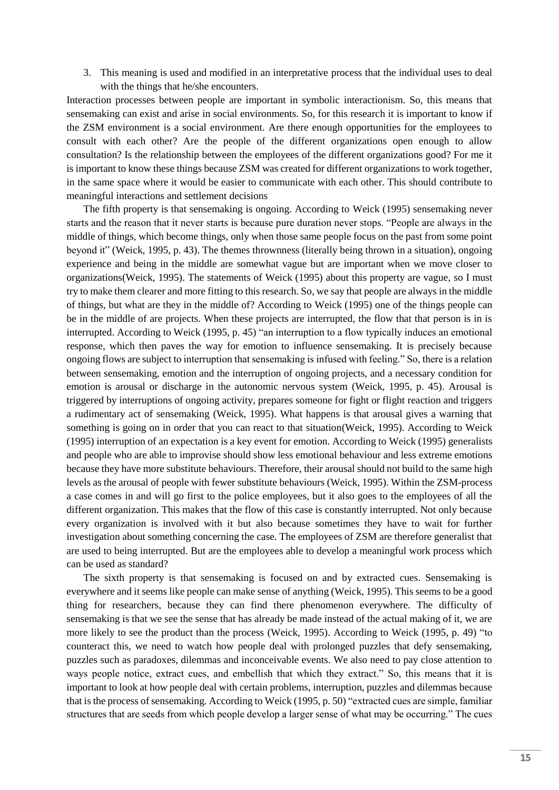3. This meaning is used and modified in an interpretative process that the individual uses to deal with the things that he/she encounters.

Interaction processes between people are important in symbolic interactionism. So, this means that sensemaking can exist and arise in social environments. So, for this research it is important to know if the ZSM environment is a social environment. Are there enough opportunities for the employees to consult with each other? Are the people of the different organizations open enough to allow consultation? Is the relationship between the employees of the different organizations good? For me it is important to know these things because ZSM was created for different organizations to work together, in the same space where it would be easier to communicate with each other. This should contribute to meaningful interactions and settlement decisions

The fifth property is that sensemaking is ongoing. According to Weick (1995) sensemaking never starts and the reason that it never starts is because pure duration never stops. "People are always in the middle of things, which become things, only when those same people focus on the past from some point beyond it" (Weick, 1995, p. 43). The themes thrownness (literally being thrown in a situation), ongoing experience and being in the middle are somewhat vague but are important when we move closer to organizations(Weick, 1995). The statements of Weick (1995) about this property are vague, so I must try to make them clearer and more fitting to this research. So, we say that people are always in the middle of things, but what are they in the middle of? According to Weick (1995) one of the things people can be in the middle of are projects. When these projects are interrupted, the flow that that person is in is interrupted. According to Weick (1995, p. 45) "an interruption to a flow typically induces an emotional response, which then paves the way for emotion to influence sensemaking. It is precisely because ongoing flows are subject to interruption that sensemaking is infused with feeling." So, there is a relation between sensemaking, emotion and the interruption of ongoing projects, and a necessary condition for emotion is arousal or discharge in the autonomic nervous system (Weick, 1995, p. 45). Arousal is triggered by interruptions of ongoing activity, prepares someone for fight or flight reaction and triggers a rudimentary act of sensemaking (Weick, 1995). What happens is that arousal gives a warning that something is going on in order that you can react to that situation(Weick, 1995). According to Weick (1995) interruption of an expectation is a key event for emotion. According to Weick (1995) generalists and people who are able to improvise should show less emotional behaviour and less extreme emotions because they have more substitute behaviours. Therefore, their arousal should not build to the same high levels as the arousal of people with fewer substitute behaviours (Weick, 1995). Within the ZSM-process a case comes in and will go first to the police employees, but it also goes to the employees of all the different organization. This makes that the flow of this case is constantly interrupted. Not only because every organization is involved with it but also because sometimes they have to wait for further investigation about something concerning the case. The employees of ZSM are therefore generalist that are used to being interrupted. But are the employees able to develop a meaningful work process which can be used as standard?

The sixth property is that sensemaking is focused on and by extracted cues. Sensemaking is everywhere and it seems like people can make sense of anything (Weick, 1995). This seems to be a good thing for researchers, because they can find there phenomenon everywhere. The difficulty of sensemaking is that we see the sense that has already be made instead of the actual making of it, we are more likely to see the product than the process (Weick, 1995). According to Weick (1995, p. 49) "to counteract this, we need to watch how people deal with prolonged puzzles that defy sensemaking, puzzles such as paradoxes, dilemmas and inconceivable events. We also need to pay close attention to ways people notice, extract cues, and embellish that which they extract." So, this means that it is important to look at how people deal with certain problems, interruption, puzzles and dilemmas because that is the process of sensemaking. According to Weick (1995, p. 50) "extracted cues are simple, familiar structures that are seeds from which people develop a larger sense of what may be occurring." The cues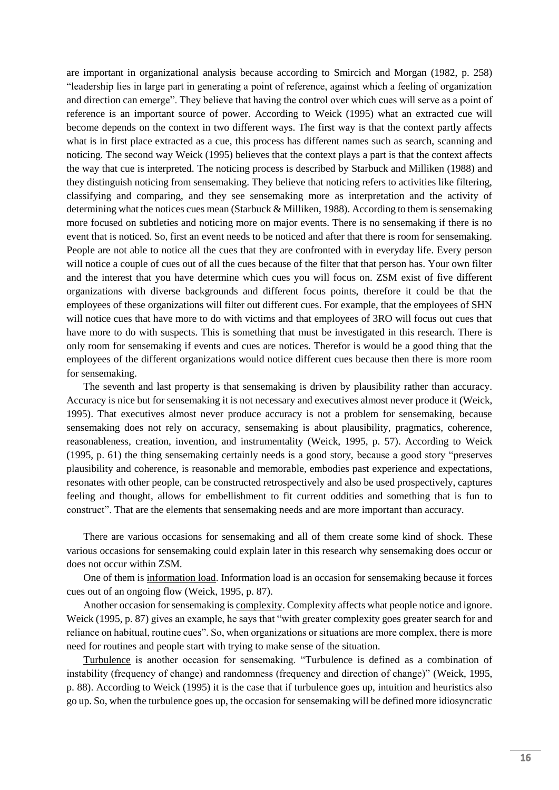are important in organizational analysis because according to Smircich and Morgan (1982, p. 258) "leadership lies in large part in generating a point of reference, against which a feeling of organization and direction can emerge". They believe that having the control over which cues will serve as a point of reference is an important source of power. According to Weick (1995) what an extracted cue will become depends on the context in two different ways. The first way is that the context partly affects what is in first place extracted as a cue, this process has different names such as search, scanning and noticing. The second way Weick (1995) believes that the context plays a part is that the context affects the way that cue is interpreted. The noticing process is described by Starbuck and Milliken (1988) and they distinguish noticing from sensemaking. They believe that noticing refers to activities like filtering, classifying and comparing, and they see sensemaking more as interpretation and the activity of determining what the notices cues mean (Starbuck & Milliken, 1988). According to them is sensemaking more focused on subtleties and noticing more on major events. There is no sensemaking if there is no event that is noticed. So, first an event needs to be noticed and after that there is room for sensemaking. People are not able to notice all the cues that they are confronted with in everyday life. Every person will notice a couple of cues out of all the cues because of the filter that that person has. Your own filter and the interest that you have determine which cues you will focus on. ZSM exist of five different organizations with diverse backgrounds and different focus points, therefore it could be that the employees of these organizations will filter out different cues. For example, that the employees of SHN will notice cues that have more to do with victims and that employees of 3RO will focus out cues that have more to do with suspects. This is something that must be investigated in this research. There is only room for sensemaking if events and cues are notices. Therefor is would be a good thing that the employees of the different organizations would notice different cues because then there is more room for sensemaking.

The seventh and last property is that sensemaking is driven by plausibility rather than accuracy. Accuracy is nice but for sensemaking it is not necessary and executives almost never produce it (Weick, 1995). That executives almost never produce accuracy is not a problem for sensemaking, because sensemaking does not rely on accuracy, sensemaking is about plausibility, pragmatics, coherence, reasonableness, creation, invention, and instrumentality (Weick, 1995, p. 57). According to Weick (1995, p. 61) the thing sensemaking certainly needs is a good story, because a good story "preserves plausibility and coherence, is reasonable and memorable, embodies past experience and expectations, resonates with other people, can be constructed retrospectively and also be used prospectively, captures feeling and thought, allows for embellishment to fit current oddities and something that is fun to construct". That are the elements that sensemaking needs and are more important than accuracy.

There are various occasions for sensemaking and all of them create some kind of shock. These various occasions for sensemaking could explain later in this research why sensemaking does occur or does not occur within ZSM.

One of them is information load. Information load is an occasion for sensemaking because it forces cues out of an ongoing flow (Weick, 1995, p. 87).

Another occasion for sensemaking is complexity. Complexity affects what people notice and ignore. Weick (1995, p. 87) gives an example, he says that "with greater complexity goes greater search for and reliance on habitual, routine cues". So, when organizations or situations are more complex, there is more need for routines and people start with trying to make sense of the situation.

Turbulence is another occasion for sensemaking. "Turbulence is defined as a combination of instability (frequency of change) and randomness (frequency and direction of change)" (Weick, 1995, p. 88). According to Weick (1995) it is the case that if turbulence goes up, intuition and heuristics also go up. So, when the turbulence goes up, the occasion for sensemaking will be defined more idiosyncratic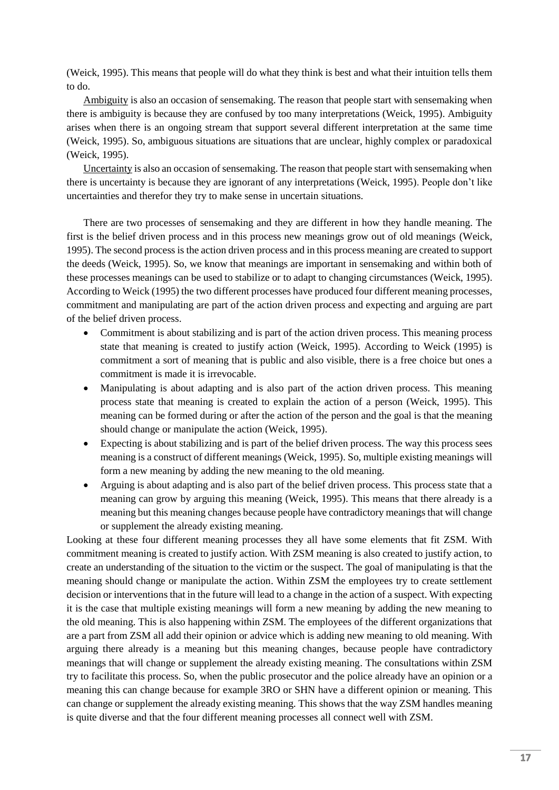(Weick, 1995). This means that people will do what they think is best and what their intuition tells them to do.

Ambiguity is also an occasion of sensemaking. The reason that people start with sensemaking when there is ambiguity is because they are confused by too many interpretations (Weick, 1995). Ambiguity arises when there is an ongoing stream that support several different interpretation at the same time (Weick, 1995). So, ambiguous situations are situations that are unclear, highly complex or paradoxical (Weick, 1995).

Uncertainty is also an occasion of sensemaking. The reason that people start with sensemaking when there is uncertainty is because they are ignorant of any interpretations (Weick, 1995). People don't like uncertainties and therefor they try to make sense in uncertain situations.

There are two processes of sensemaking and they are different in how they handle meaning. The first is the belief driven process and in this process new meanings grow out of old meanings (Weick, 1995). The second process is the action driven process and in this process meaning are created to support the deeds (Weick, 1995). So, we know that meanings are important in sensemaking and within both of these processes meanings can be used to stabilize or to adapt to changing circumstances (Weick, 1995). According to Weick (1995) the two different processes have produced four different meaning processes, commitment and manipulating are part of the action driven process and expecting and arguing are part of the belief driven process.

- Commitment is about stabilizing and is part of the action driven process. This meaning process state that meaning is created to justify action (Weick, 1995). According to Weick (1995) is commitment a sort of meaning that is public and also visible, there is a free choice but ones a commitment is made it is irrevocable.
- Manipulating is about adapting and is also part of the action driven process. This meaning process state that meaning is created to explain the action of a person (Weick, 1995). This meaning can be formed during or after the action of the person and the goal is that the meaning should change or manipulate the action (Weick, 1995).
- Expecting is about stabilizing and is part of the belief driven process. The way this process sees meaning is a construct of different meanings (Weick, 1995). So, multiple existing meanings will form a new meaning by adding the new meaning to the old meaning.
- Arguing is about adapting and is also part of the belief driven process. This process state that a meaning can grow by arguing this meaning (Weick, 1995). This means that there already is a meaning but this meaning changes because people have contradictory meanings that will change or supplement the already existing meaning.

Looking at these four different meaning processes they all have some elements that fit ZSM. With commitment meaning is created to justify action. With ZSM meaning is also created to justify action, to create an understanding of the situation to the victim or the suspect. The goal of manipulating is that the meaning should change or manipulate the action. Within ZSM the employees try to create settlement decision or interventions that in the future will lead to a change in the action of a suspect. With expecting it is the case that multiple existing meanings will form a new meaning by adding the new meaning to the old meaning. This is also happening within ZSM. The employees of the different organizations that are a part from ZSM all add their opinion or advice which is adding new meaning to old meaning. With arguing there already is a meaning but this meaning changes, because people have contradictory meanings that will change or supplement the already existing meaning. The consultations within ZSM try to facilitate this process. So, when the public prosecutor and the police already have an opinion or a meaning this can change because for example 3RO or SHN have a different opinion or meaning. This can change or supplement the already existing meaning. This shows that the way ZSM handles meaning is quite diverse and that the four different meaning processes all connect well with ZSM.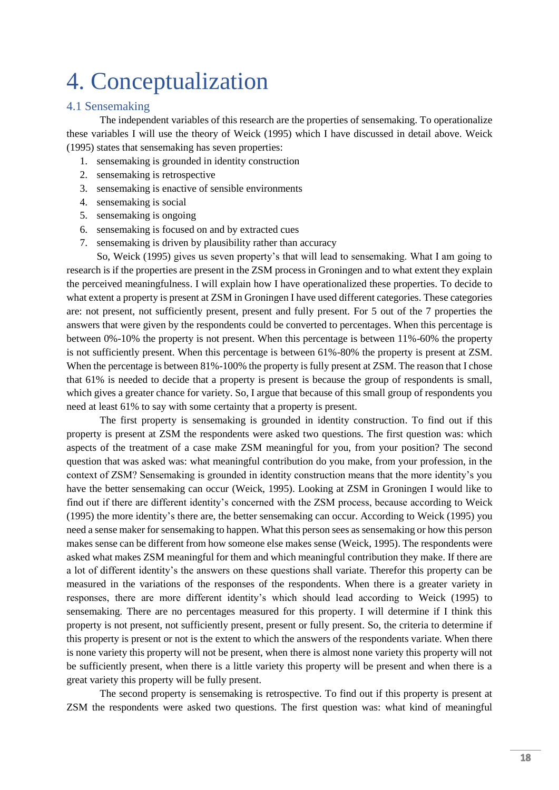## <span id="page-18-0"></span>4. Conceptualization

#### <span id="page-18-1"></span>4.1 Sensemaking

The independent variables of this research are the properties of sensemaking. To operationalize these variables I will use the theory of Weick (1995) which I have discussed in detail above. Weick (1995) states that sensemaking has seven properties:

- 1. sensemaking is grounded in identity construction
- 2. sensemaking is retrospective
- 3. sensemaking is enactive of sensible environments
- 4. sensemaking is social
- 5. sensemaking is ongoing
- 6. sensemaking is focused on and by extracted cues
- 7. sensemaking is driven by plausibility rather than accuracy

So, Weick (1995) gives us seven property's that will lead to sensemaking. What I am going to research is if the properties are present in the ZSM process in Groningen and to what extent they explain the perceived meaningfulness. I will explain how I have operationalized these properties. To decide to what extent a property is present at ZSM in Groningen I have used different categories. These categories are: not present, not sufficiently present, present and fully present. For 5 out of the 7 properties the answers that were given by the respondents could be converted to percentages. When this percentage is between 0%-10% the property is not present. When this percentage is between 11%-60% the property is not sufficiently present. When this percentage is between 61%-80% the property is present at ZSM. When the percentage is between 81%-100% the property is fully present at ZSM. The reason that I chose that 61% is needed to decide that a property is present is because the group of respondents is small, which gives a greater chance for variety. So, I argue that because of this small group of respondents you need at least 61% to say with some certainty that a property is present.

The first property is sensemaking is grounded in identity construction. To find out if this property is present at ZSM the respondents were asked two questions. The first question was: which aspects of the treatment of a case make ZSM meaningful for you, from your position? The second question that was asked was: what meaningful contribution do you make, from your profession, in the context of ZSM? Sensemaking is grounded in identity construction means that the more identity's you have the better sensemaking can occur (Weick, 1995). Looking at ZSM in Groningen I would like to find out if there are different identity's concerned with the ZSM process, because according to Weick (1995) the more identity's there are, the better sensemaking can occur. According to Weick (1995) you need a sense maker for sensemaking to happen. What this person sees as sensemaking or how this person makes sense can be different from how someone else makes sense (Weick, 1995). The respondents were asked what makes ZSM meaningful for them and which meaningful contribution they make. If there are a lot of different identity's the answers on these questions shall variate. Therefor this property can be measured in the variations of the responses of the respondents. When there is a greater variety in responses, there are more different identity's which should lead according to Weick (1995) to sensemaking. There are no percentages measured for this property. I will determine if I think this property is not present, not sufficiently present, present or fully present. So, the criteria to determine if this property is present or not is the extent to which the answers of the respondents variate. When there is none variety this property will not be present, when there is almost none variety this property will not be sufficiently present, when there is a little variety this property will be present and when there is a great variety this property will be fully present.

The second property is sensemaking is retrospective. To find out if this property is present at ZSM the respondents were asked two questions. The first question was: what kind of meaningful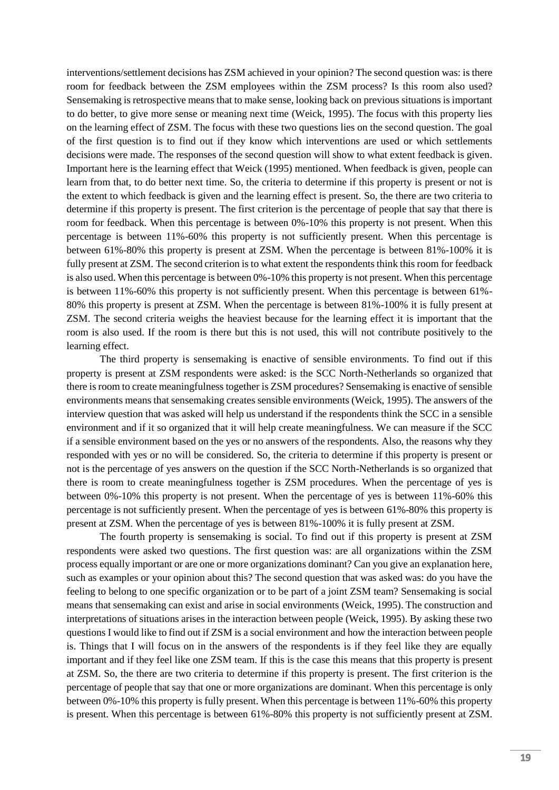interventions/settlement decisions has ZSM achieved in your opinion? The second question was: is there room for feedback between the ZSM employees within the ZSM process? Is this room also used? Sensemaking is retrospective means that to make sense, looking back on previous situations is important to do better, to give more sense or meaning next time (Weick, 1995). The focus with this property lies on the learning effect of ZSM. The focus with these two questions lies on the second question. The goal of the first question is to find out if they know which interventions are used or which settlements decisions were made. The responses of the second question will show to what extent feedback is given. Important here is the learning effect that Weick (1995) mentioned. When feedback is given, people can learn from that, to do better next time. So, the criteria to determine if this property is present or not is the extent to which feedback is given and the learning effect is present. So, the there are two criteria to determine if this property is present. The first criterion is the percentage of people that say that there is room for feedback. When this percentage is between 0%-10% this property is not present. When this percentage is between 11%-60% this property is not sufficiently present. When this percentage is between 61%-80% this property is present at ZSM. When the percentage is between 81%-100% it is fully present at ZSM. The second criterion is to what extent the respondents think this room for feedback is also used. When this percentage is between 0%-10% this property is not present. When this percentage is between 11%-60% this property is not sufficiently present. When this percentage is between 61%- 80% this property is present at ZSM. When the percentage is between 81%-100% it is fully present at ZSM. The second criteria weighs the heaviest because for the learning effect it is important that the room is also used. If the room is there but this is not used, this will not contribute positively to the learning effect.

The third property is sensemaking is enactive of sensible environments. To find out if this property is present at ZSM respondents were asked: is the SCC North-Netherlands so organized that there is room to create meaningfulness together is ZSM procedures? Sensemaking is enactive of sensible environments means that sensemaking creates sensible environments (Weick, 1995). The answers of the interview question that was asked will help us understand if the respondents think the SCC in a sensible environment and if it so organized that it will help create meaningfulness. We can measure if the SCC if a sensible environment based on the yes or no answers of the respondents. Also, the reasons why they responded with yes or no will be considered. So, the criteria to determine if this property is present or not is the percentage of yes answers on the question if the SCC North-Netherlands is so organized that there is room to create meaningfulness together is ZSM procedures. When the percentage of yes is between 0%-10% this property is not present. When the percentage of yes is between 11%-60% this percentage is not sufficiently present. When the percentage of yes is between 61%-80% this property is present at ZSM. When the percentage of yes is between 81%-100% it is fully present at ZSM.

The fourth property is sensemaking is social. To find out if this property is present at ZSM respondents were asked two questions. The first question was: are all organizations within the ZSM process equally important or are one or more organizations dominant? Can you give an explanation here, such as examples or your opinion about this? The second question that was asked was: do you have the feeling to belong to one specific organization or to be part of a joint ZSM team? Sensemaking is social means that sensemaking can exist and arise in social environments (Weick, 1995). The construction and interpretations of situations arises in the interaction between people (Weick, 1995). By asking these two questions I would like to find out if ZSM is a social environment and how the interaction between people is. Things that I will focus on in the answers of the respondents is if they feel like they are equally important and if they feel like one ZSM team. If this is the case this means that this property is present at ZSM. So, the there are two criteria to determine if this property is present. The first criterion is the percentage of people that say that one or more organizations are dominant. When this percentage is only between 0%-10% this property is fully present. When this percentage is between 11%-60% this property is present. When this percentage is between 61%-80% this property is not sufficiently present at ZSM.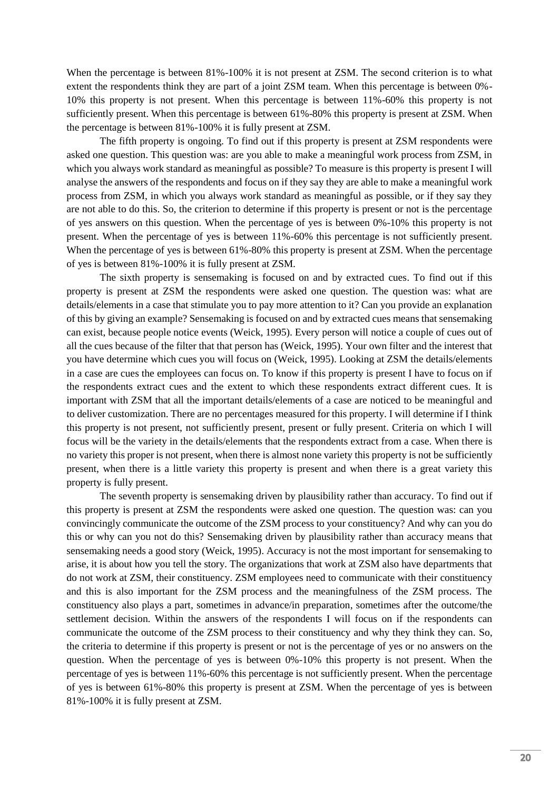When the percentage is between 81%-100% it is not present at ZSM. The second criterion is to what extent the respondents think they are part of a joint ZSM team. When this percentage is between 0%- 10% this property is not present. When this percentage is between 11%-60% this property is not sufficiently present. When this percentage is between 61%-80% this property is present at ZSM. When the percentage is between 81%-100% it is fully present at ZSM.

The fifth property is ongoing. To find out if this property is present at ZSM respondents were asked one question. This question was: are you able to make a meaningful work process from ZSM, in which you always work standard as meaningful as possible? To measure is this property is present I will analyse the answers of the respondents and focus on if they say they are able to make a meaningful work process from ZSM, in which you always work standard as meaningful as possible, or if they say they are not able to do this. So, the criterion to determine if this property is present or not is the percentage of yes answers on this question. When the percentage of yes is between 0%-10% this property is not present. When the percentage of yes is between 11%-60% this percentage is not sufficiently present. When the percentage of yes is between 61%-80% this property is present at ZSM. When the percentage of yes is between 81%-100% it is fully present at ZSM.

The sixth property is sensemaking is focused on and by extracted cues. To find out if this property is present at ZSM the respondents were asked one question. The question was: what are details/elements in a case that stimulate you to pay more attention to it? Can you provide an explanation of this by giving an example? Sensemaking is focused on and by extracted cues means that sensemaking can exist, because people notice events (Weick, 1995). Every person will notice a couple of cues out of all the cues because of the filter that that person has (Weick, 1995). Your own filter and the interest that you have determine which cues you will focus on (Weick, 1995). Looking at ZSM the details/elements in a case are cues the employees can focus on. To know if this property is present I have to focus on if the respondents extract cues and the extent to which these respondents extract different cues. It is important with ZSM that all the important details/elements of a case are noticed to be meaningful and to deliver customization. There are no percentages measured for this property. I will determine if I think this property is not present, not sufficiently present, present or fully present. Criteria on which I will focus will be the variety in the details/elements that the respondents extract from a case. When there is no variety this proper is not present, when there is almost none variety this property is not be sufficiently present, when there is a little variety this property is present and when there is a great variety this property is fully present.

The seventh property is sensemaking driven by plausibility rather than accuracy. To find out if this property is present at ZSM the respondents were asked one question. The question was: can you convincingly communicate the outcome of the ZSM process to your constituency? And why can you do this or why can you not do this? Sensemaking driven by plausibility rather than accuracy means that sensemaking needs a good story (Weick, 1995). Accuracy is not the most important for sensemaking to arise, it is about how you tell the story. The organizations that work at ZSM also have departments that do not work at ZSM, their constituency. ZSM employees need to communicate with their constituency and this is also important for the ZSM process and the meaningfulness of the ZSM process. The constituency also plays a part, sometimes in advance/in preparation, sometimes after the outcome/the settlement decision. Within the answers of the respondents I will focus on if the respondents can communicate the outcome of the ZSM process to their constituency and why they think they can. So, the criteria to determine if this property is present or not is the percentage of yes or no answers on the question. When the percentage of yes is between 0%-10% this property is not present. When the percentage of yes is between 11%-60% this percentage is not sufficiently present. When the percentage of yes is between 61%-80% this property is present at ZSM. When the percentage of yes is between 81%-100% it is fully present at ZSM.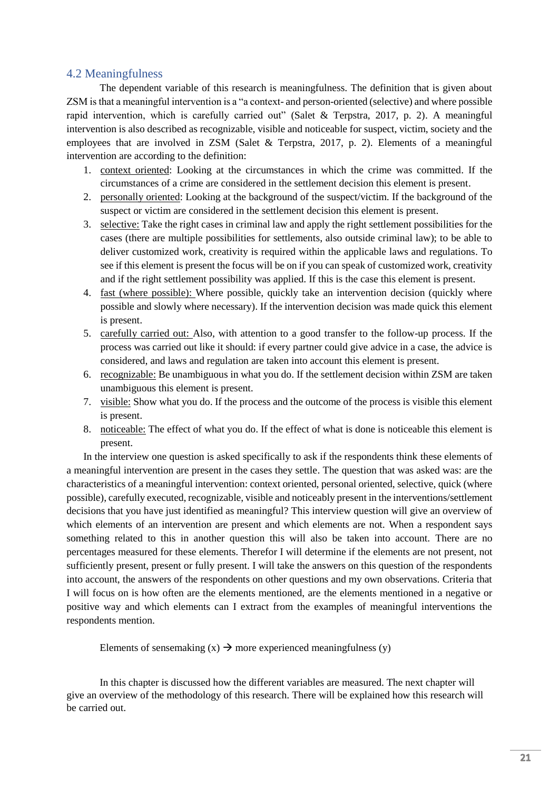#### <span id="page-21-0"></span>4.2 Meaningfulness

The dependent variable of this research is meaningfulness. The definition that is given about ZSM is that a meaningful intervention is a "a context- and person-oriented (selective) and where possible rapid intervention, which is carefully carried out" (Salet & Terpstra, 2017, p. 2). A meaningful intervention is also described as recognizable, visible and noticeable for suspect, victim, society and the employees that are involved in ZSM (Salet & Terpstra, 2017, p. 2). Elements of a meaningful intervention are according to the definition:

- 1. context oriented: Looking at the circumstances in which the crime was committed. If the circumstances of a crime are considered in the settlement decision this element is present.
- 2. personally oriented: Looking at the background of the suspect/victim. If the background of the suspect or victim are considered in the settlement decision this element is present.
- 3. selective: Take the right cases in criminal law and apply the right settlement possibilities for the cases (there are multiple possibilities for settlements, also outside criminal law); to be able to deliver customized work, creativity is required within the applicable laws and regulations. To see if this element is present the focus will be on if you can speak of customized work, creativity and if the right settlement possibility was applied. If this is the case this element is present.
- 4. fast (where possible): Where possible, quickly take an intervention decision (quickly where possible and slowly where necessary). If the intervention decision was made quick this element is present.
- 5. carefully carried out: Also, with attention to a good transfer to the follow-up process. If the process was carried out like it should: if every partner could give advice in a case, the advice is considered, and laws and regulation are taken into account this element is present.
- 6. recognizable: Be unambiguous in what you do. If the settlement decision within ZSM are taken unambiguous this element is present.
- 7. visible: Show what you do. If the process and the outcome of the process is visible this element is present.
- 8. noticeable: The effect of what you do. If the effect of what is done is noticeable this element is present.

In the interview one question is asked specifically to ask if the respondents think these elements of a meaningful intervention are present in the cases they settle. The question that was asked was: are the characteristics of a meaningful intervention: context oriented, personal oriented, selective, quick (where possible), carefully executed, recognizable, visible and noticeably present in the interventions/settlement decisions that you have just identified as meaningful? This interview question will give an overview of which elements of an intervention are present and which elements are not. When a respondent says something related to this in another question this will also be taken into account. There are no percentages measured for these elements. Therefor I will determine if the elements are not present, not sufficiently present, present or fully present. I will take the answers on this question of the respondents into account, the answers of the respondents on other questions and my own observations. Criteria that I will focus on is how often are the elements mentioned, are the elements mentioned in a negative or positive way and which elements can I extract from the examples of meaningful interventions the respondents mention.

Elements of sensemaking  $(x) \rightarrow$  more experienced meaningfulness  $(y)$ 

In this chapter is discussed how the different variables are measured. The next chapter will give an overview of the methodology of this research. There will be explained how this research will be carried out.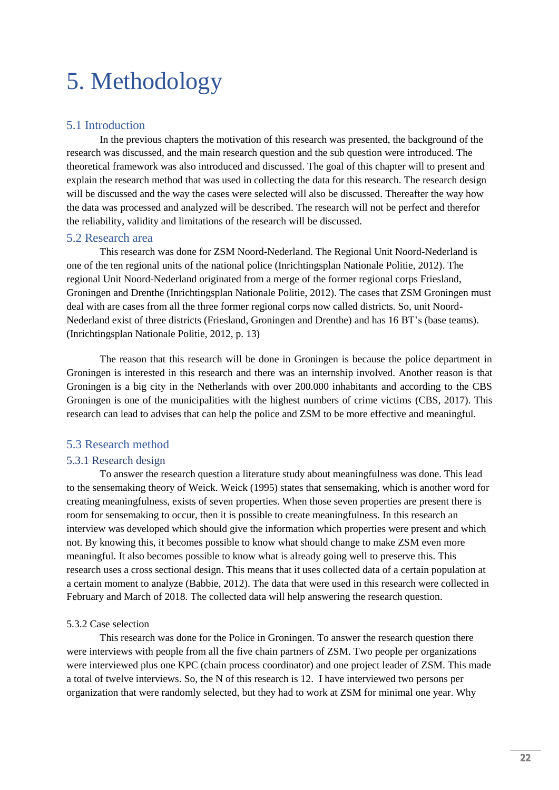## <span id="page-22-0"></span>5. Methodology

## <span id="page-22-1"></span>5.1 Introduction

In the previous chapters the motivation of this research was presented, the background of the research was discussed, and the main research question and the sub question were introduced. The theoretical framework was also introduced and discussed. The goal of this chapter will to present and explain the research method that was used in collecting the data for this research. The research design will be discussed and the way the cases were selected will also be discussed. Thereafter the way how the data was processed and analyzed will be described. The research will not be perfect and therefor the reliability, validity and limitations of the research will be discussed.

### <span id="page-22-2"></span>5.2 Research area

This research was done for ZSM Noord-Nederland. The Regional Unit Noord-Nederland is one of the ten regional units of the national police (Inrichtingsplan Nationale Politie, 2012). The regional Unit Noord-Nederland originated from a merge of the former regional corps Friesland, Groningen and Drenthe (Inrichtingsplan Nationale Politie, 2012). The cases that ZSM Groningen must deal with are cases from all the three former regional corps now called districts. So, unit Noord-Nederland exist of three districts (Friesland, Groningen and Drenthe) and has 16 BT's (base teams). (Inrichtingsplan Nationale Politie, 2012, p. 13)

The reason that this research will be done in Groningen is because the police department in Groningen is interested in this research and there was an internship involved. Another reason is that Groningen is a big city in the Netherlands with over 200.000 inhabitants and according to the CBS Groningen is one of the municipalities with the highest numbers of crime victims (CBS, 2017). This research can lead to advises that can help the police and ZSM to be more effective and meaningful.

## <span id="page-22-3"></span>5.3 Research method

### <span id="page-22-4"></span>5.3.1 Research design

To answer the research question a literature study about meaningfulness was done. This lead to the sensemaking theory of Weick. Weick (1995) states that sensemaking, which is another word for creating meaningfulness, exists of seven properties. When those seven properties are present there is room for sensemaking to occur, then it is possible to create meaningfulness. In this research an interview was developed which should give the information which properties were present and which not. By knowing this, it becomes possible to know what should change to make ZSM even more meaningful. It also becomes possible to know what is already going well to preserve this. This research uses a cross sectional design. This means that it uses collected data of a certain population at a certain moment to analyze (Babbie, 2012). The data that were used in this research were collected in February and March of 2018. The collected data will help answering the research question.

#### 5.3.2 Case selection

This research was done for the Police in Groningen. To answer the research question there were interviews with people from all the five chain partners of ZSM. Two people per organizations were interviewed plus one KPC (chain process coordinator) and one project leader of ZSM. This made a total of twelve interviews. So, the N of this research is 12. I have interviewed two persons per organization that were randomly selected, but they had to work at ZSM for minimal one year. Why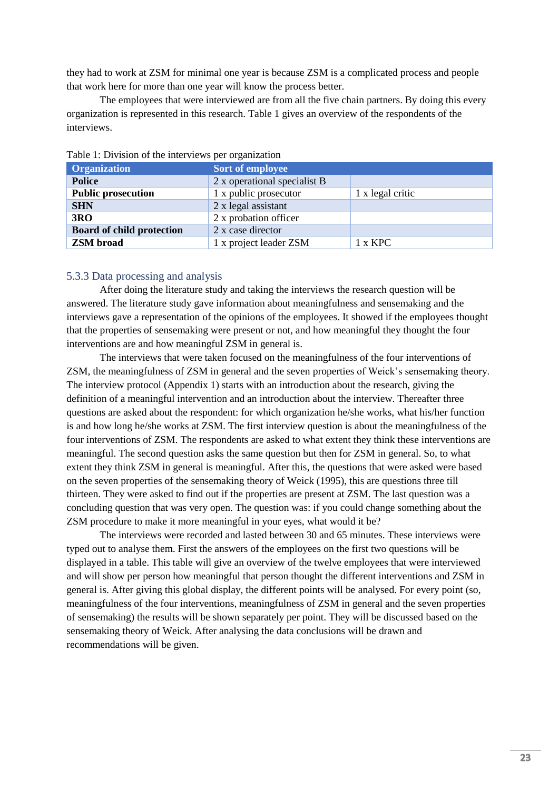they had to work at ZSM for minimal one year is because ZSM is a complicated process and people that work here for more than one year will know the process better.

The employees that were interviewed are from all the five chain partners. By doing this every organization is represented in this research. Table 1 gives an overview of the respondents of the interviews.

| Organization                     | Sort of employee             |                  |
|----------------------------------|------------------------------|------------------|
| <b>Police</b>                    | 2 x operational specialist B |                  |
| <b>Public prosecution</b>        | 1 x public prosecutor        | 1 x legal critic |
| <b>SHN</b>                       | 2 x legal assistant          |                  |
| <b>3RO</b>                       | 2 x probation officer        |                  |
| <b>Board of child protection</b> | 2 x case director            |                  |
| <b>ZSM</b> broad                 | 1 x project leader ZSM       | $1 \times KPC$   |

Table 1: Division of the interviews per organization

#### <span id="page-23-0"></span>5.3.3 Data processing and analysis

After doing the literature study and taking the interviews the research question will be answered. The literature study gave information about meaningfulness and sensemaking and the interviews gave a representation of the opinions of the employees. It showed if the employees thought that the properties of sensemaking were present or not, and how meaningful they thought the four interventions are and how meaningful ZSM in general is.

The interviews that were taken focused on the meaningfulness of the four interventions of ZSM, the meaningfulness of ZSM in general and the seven properties of Weick's sensemaking theory. The interview protocol (Appendix 1) starts with an introduction about the research, giving the definition of a meaningful intervention and an introduction about the interview. Thereafter three questions are asked about the respondent: for which organization he/she works, what his/her function is and how long he/she works at ZSM. The first interview question is about the meaningfulness of the four interventions of ZSM. The respondents are asked to what extent they think these interventions are meaningful. The second question asks the same question but then for ZSM in general. So, to what extent they think ZSM in general is meaningful. After this, the questions that were asked were based on the seven properties of the sensemaking theory of Weick (1995), this are questions three till thirteen. They were asked to find out if the properties are present at ZSM. The last question was a concluding question that was very open. The question was: if you could change something about the ZSM procedure to make it more meaningful in your eyes, what would it be?

The interviews were recorded and lasted between 30 and 65 minutes. These interviews were typed out to analyse them. First the answers of the employees on the first two questions will be displayed in a table. This table will give an overview of the twelve employees that were interviewed and will show per person how meaningful that person thought the different interventions and ZSM in general is. After giving this global display, the different points will be analysed. For every point (so, meaningfulness of the four interventions, meaningfulness of ZSM in general and the seven properties of sensemaking) the results will be shown separately per point. They will be discussed based on the sensemaking theory of Weick. After analysing the data conclusions will be drawn and recommendations will be given.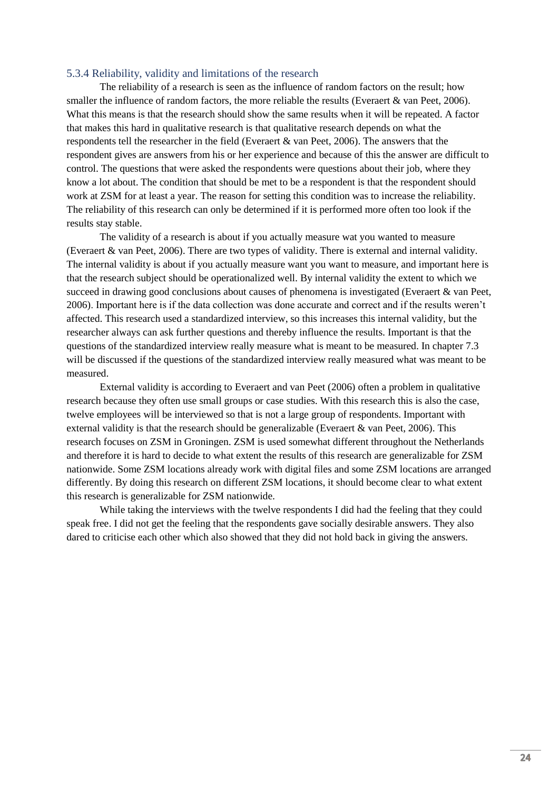#### <span id="page-24-0"></span>5.3.4 Reliability, validity and limitations of the research

The reliability of a research is seen as the influence of random factors on the result; how smaller the influence of random factors, the more reliable the results (Everaert & van Peet, 2006). What this means is that the research should show the same results when it will be repeated. A factor that makes this hard in qualitative research is that qualitative research depends on what the respondents tell the researcher in the field (Everaert & van Peet, 2006). The answers that the respondent gives are answers from his or her experience and because of this the answer are difficult to control. The questions that were asked the respondents were questions about their job, where they know a lot about. The condition that should be met to be a respondent is that the respondent should work at ZSM for at least a year. The reason for setting this condition was to increase the reliability. The reliability of this research can only be determined if it is performed more often too look if the results stay stable.

The validity of a research is about if you actually measure wat you wanted to measure (Everaert & van Peet, 2006). There are two types of validity. There is external and internal validity. The internal validity is about if you actually measure want you want to measure, and important here is that the research subject should be operationalized well. By internal validity the extent to which we succeed in drawing good conclusions about causes of phenomena is investigated (Everaert & van Peet, 2006). Important here is if the data collection was done accurate and correct and if the results weren't affected. This research used a standardized interview, so this increases this internal validity, but the researcher always can ask further questions and thereby influence the results. Important is that the questions of the standardized interview really measure what is meant to be measured. In chapter 7.3 will be discussed if the questions of the standardized interview really measured what was meant to be measured.

External validity is according to Everaert and van Peet (2006) often a problem in qualitative research because they often use small groups or case studies. With this research this is also the case, twelve employees will be interviewed so that is not a large group of respondents. Important with external validity is that the research should be generalizable (Everaert & van Peet, 2006). This research focuses on ZSM in Groningen. ZSM is used somewhat different throughout the Netherlands and therefore it is hard to decide to what extent the results of this research are generalizable for ZSM nationwide. Some ZSM locations already work with digital files and some ZSM locations are arranged differently. By doing this research on different ZSM locations, it should become clear to what extent this research is generalizable for ZSM nationwide.

While taking the interviews with the twelve respondents I did had the feeling that they could speak free. I did not get the feeling that the respondents gave socially desirable answers. They also dared to criticise each other which also showed that they did not hold back in giving the answers.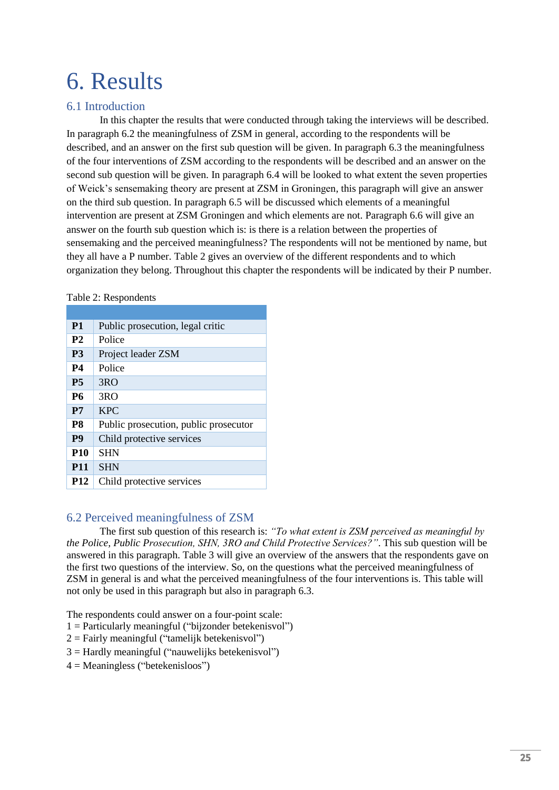## <span id="page-25-0"></span>6. Results

## <span id="page-25-1"></span>6.1 Introduction

In this chapter the results that were conducted through taking the interviews will be described. In paragraph 6.2 the meaningfulness of ZSM in general, according to the respondents will be described, and an answer on the first sub question will be given. In paragraph 6.3 the meaningfulness of the four interventions of ZSM according to the respondents will be described and an answer on the second sub question will be given. In paragraph 6.4 will be looked to what extent the seven properties of Weick's sensemaking theory are present at ZSM in Groningen, this paragraph will give an answer on the third sub question. In paragraph 6.5 will be discussed which elements of a meaningful intervention are present at ZSM Groningen and which elements are not. Paragraph 6.6 will give an answer on the fourth sub question which is: is there is a relation between the properties of sensemaking and the perceived meaningfulness? The respondents will not be mentioned by name, but they all have a P number. Table 2 gives an overview of the different respondents and to which organization they belong. Throughout this chapter the respondents will be indicated by their P number.

#### Table 2: Respondents

| P <sub>1</sub> | Public prosecution, legal critic      |
|----------------|---------------------------------------|
| P <sub>2</sub> | Police                                |
| <b>P3</b>      | Project leader ZSM                    |
| <b>P4</b>      | Police                                |
| <b>P5</b>      | 3RO                                   |
| <b>P6</b>      | 3RO                                   |
| P7             | <b>KPC</b>                            |
| P8             | Public prosecution, public prosecutor |
| P <sub>9</sub> | Child protective services             |
| <b>P10</b>     | <b>SHN</b>                            |
| <b>P11</b>     | <b>SHN</b>                            |
| P12            | Child protective services             |

### <span id="page-25-2"></span>6.2 Perceived meaningfulness of ZSM

The first sub question of this research is: *"To what extent is ZSM perceived as meaningful by the Police, Public Prosecution, SHN, 3RO and Child Protective Services?"*. This sub question will be answered in this paragraph. Table 3 will give an overview of the answers that the respondents gave on the first two questions of the interview. So, on the questions what the perceived meaningfulness of ZSM in general is and what the perceived meaningfulness of the four interventions is. This table will not only be used in this paragraph but also in paragraph 6.3.

The respondents could answer on a four-point scale:

- $1 =$  Particularly meaningful ("bijzonder betekenisvol")
- $2 =$ Fairly meaningful ("tamelijk betekenisvol")
- $3 =$  Hardly meaningful ("nauwelijks betekenisvol")
- $4 = \text{Meaningless}$  ("betekenisloos")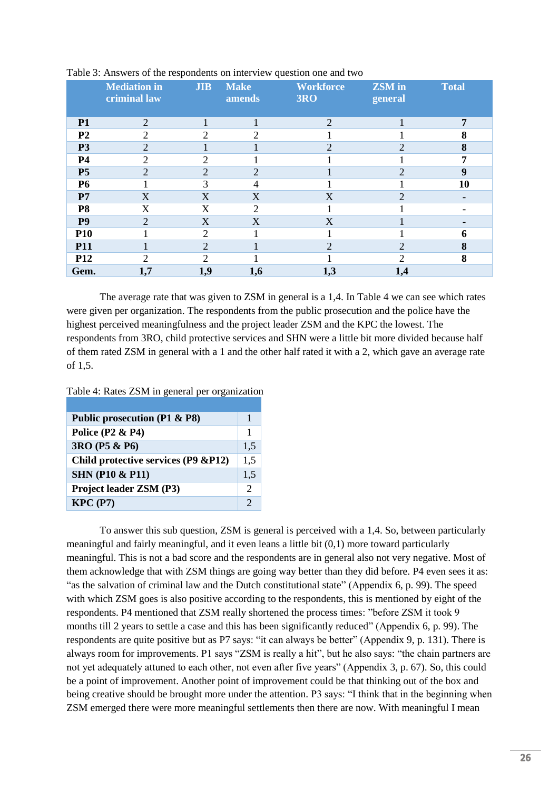|                 | <b>Mediation</b> in<br>criminal law | <b>JIB</b>     | <b>Make</b><br>amends | <b>Workforce</b><br><b>3RO</b> | <b>ZSM</b> in<br>general | <b>Total</b> |
|-----------------|-------------------------------------|----------------|-----------------------|--------------------------------|--------------------------|--------------|
| <b>P1</b>       | 2                                   |                |                       | $\overline{2}$                 |                          | 7            |
| P <sub>2</sub>  | 2                                   | $\mathfrak{D}$ | っ                     |                                |                          | 8            |
| <b>P3</b>       | $\overline{2}$                      |                |                       | $\overline{2}$                 | $\overline{2}$           | 8            |
| <b>P4</b>       | $\overline{2}$                      | $\overline{2}$ |                       |                                |                          | 7            |
| P <sub>5</sub>  | $\overline{2}$                      | $\overline{2}$ | $\overline{2}$        |                                | $\overline{2}$           | 9            |
| <b>P6</b>       |                                     | 3              | 4                     |                                |                          | 10           |
| P7              | X                                   | X              | X                     | X                              | $\mathcal{D}_{\cdot}$    |              |
| <b>P8</b>       | X                                   | X              | $\overline{2}$        |                                |                          |              |
| <b>P9</b>       | $\overline{2}$                      | X              | X                     | X                              |                          |              |
| <b>P10</b>      |                                     | $\overline{2}$ |                       |                                |                          | 6            |
| <b>P11</b>      |                                     | $\overline{2}$ |                       | $\overline{c}$                 | $\overline{2}$           | 8            |
| P <sub>12</sub> |                                     | ↑              |                       |                                |                          | 8            |
| Gem.            | 1,7                                 | 1,9            | 1,6                   | 1,3                            | 1,4                      |              |

Table 3: Answers of the respondents on interview question one and two

The average rate that was given to ZSM in general is a 1,4. In Table 4 we can see which rates were given per organization. The respondents from the public prosecution and the police have the highest perceived meaningfulness and the project leader ZSM and the KPC the lowest. The respondents from 3RO, child protective services and SHN were a little bit more divided because half of them rated ZSM in general with a 1 and the other half rated it with a 2, which gave an average rate of 1,5.

Table 4: Rates ZSM in general per organization

| Public prosecution (P1 & P8)        |                             |
|-------------------------------------|-----------------------------|
| <b>Police (P2 &amp; P4)</b>         | 1                           |
| 3RO (P5 & P6)                       | 1,5                         |
| Child protective services (P9 &P12) | 1,5                         |
| <b>SHN (P10 &amp; P11)</b>          | 1.5                         |
| Project leader ZSM (P3)             | $\mathcal{D}_{\mathcal{L}}$ |
| KPC(P7)                             |                             |

To answer this sub question, ZSM is general is perceived with a 1,4. So, between particularly meaningful and fairly meaningful, and it even leans a little bit (0,1) more toward particularly meaningful. This is not a bad score and the respondents are in general also not very negative. Most of them acknowledge that with ZSM things are going way better than they did before. P4 even sees it as: "as the salvation of criminal law and the Dutch constitutional state" (Appendix 6, p. 99). The speed with which ZSM goes is also positive according to the respondents, this is mentioned by eight of the respondents. P4 mentioned that ZSM really shortened the process times: "before ZSM it took 9 months till 2 years to settle a case and this has been significantly reduced" (Appendix 6, p. 99). The respondents are quite positive but as P7 says: "it can always be better" (Appendix 9, p. 131). There is always room for improvements. P1 says "ZSM is really a hit", but he also says: "the chain partners are not yet adequately attuned to each other, not even after five years" (Appendix 3, p. 67). So, this could be a point of improvement. Another point of improvement could be that thinking out of the box and being creative should be brought more under the attention. P3 says: "I think that in the beginning when ZSM emerged there were more meaningful settlements then there are now. With meaningful I mean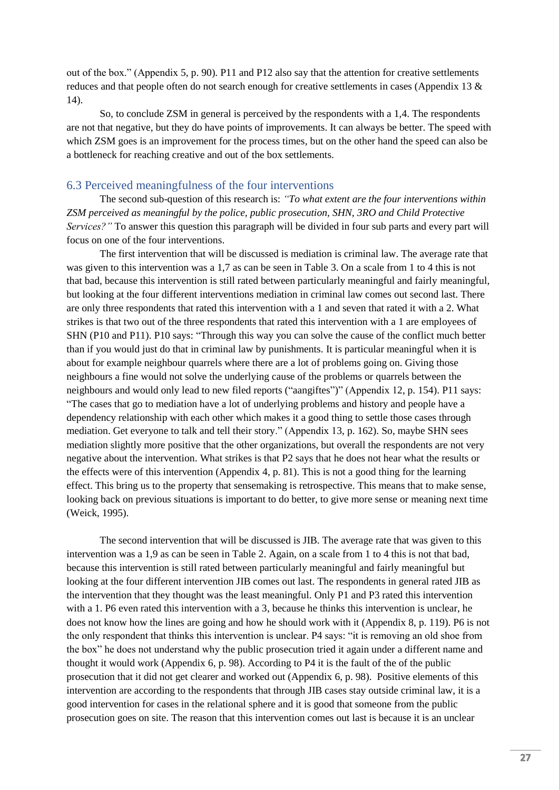out of the box." (Appendix 5, p. 90). P11 and P12 also say that the attention for creative settlements reduces and that people often do not search enough for creative settlements in cases (Appendix 13 & 14).

So, to conclude ZSM in general is perceived by the respondents with a 1,4. The respondents are not that negative, but they do have points of improvements. It can always be better. The speed with which ZSM goes is an improvement for the process times, but on the other hand the speed can also be a bottleneck for reaching creative and out of the box settlements.

#### <span id="page-27-0"></span>6.3 Perceived meaningfulness of the four interventions

The second sub-question of this research is: *"To what extent are the four interventions within ZSM perceived as meaningful by the police, public prosecution, SHN, 3RO and Child Protective Services?"* To answer this question this paragraph will be divided in four sub parts and every part will focus on one of the four interventions.

The first intervention that will be discussed is mediation is criminal law. The average rate that was given to this intervention was a 1,7 as can be seen in Table 3. On a scale from 1 to 4 this is not that bad, because this intervention is still rated between particularly meaningful and fairly meaningful, but looking at the four different interventions mediation in criminal law comes out second last. There are only three respondents that rated this intervention with a 1 and seven that rated it with a 2. What strikes is that two out of the three respondents that rated this intervention with a 1 are employees of SHN (P10 and P11). P10 says: "Through this way you can solve the cause of the conflict much better than if you would just do that in criminal law by punishments. It is particular meaningful when it is about for example neighbour quarrels where there are a lot of problems going on. Giving those neighbours a fine would not solve the underlying cause of the problems or quarrels between the neighbours and would only lead to new filed reports ("aangiftes")" (Appendix 12, p. 154). P11 says: "The cases that go to mediation have a lot of underlying problems and history and people have a dependency relationship with each other which makes it a good thing to settle those cases through mediation. Get everyone to talk and tell their story." (Appendix 13, p. 162). So, maybe SHN sees mediation slightly more positive that the other organizations, but overall the respondents are not very negative about the intervention. What strikes is that P2 says that he does not hear what the results or the effects were of this intervention (Appendix 4, p. 81). This is not a good thing for the learning effect. This bring us to the property that sensemaking is retrospective. This means that to make sense, looking back on previous situations is important to do better, to give more sense or meaning next time (Weick, 1995).

The second intervention that will be discussed is JIB. The average rate that was given to this intervention was a 1,9 as can be seen in Table 2. Again, on a scale from 1 to 4 this is not that bad, because this intervention is still rated between particularly meaningful and fairly meaningful but looking at the four different intervention JIB comes out last. The respondents in general rated JIB as the intervention that they thought was the least meaningful. Only P1 and P3 rated this intervention with a 1. P6 even rated this intervention with a 3, because he thinks this intervention is unclear, he does not know how the lines are going and how he should work with it (Appendix 8, p. 119). P6 is not the only respondent that thinks this intervention is unclear. P4 says: "it is removing an old shoe from the box" he does not understand why the public prosecution tried it again under a different name and thought it would work (Appendix 6, p. 98). According to P4 it is the fault of the of the public prosecution that it did not get clearer and worked out (Appendix 6, p. 98). Positive elements of this intervention are according to the respondents that through JIB cases stay outside criminal law, it is a good intervention for cases in the relational sphere and it is good that someone from the public prosecution goes on site. The reason that this intervention comes out last is because it is an unclear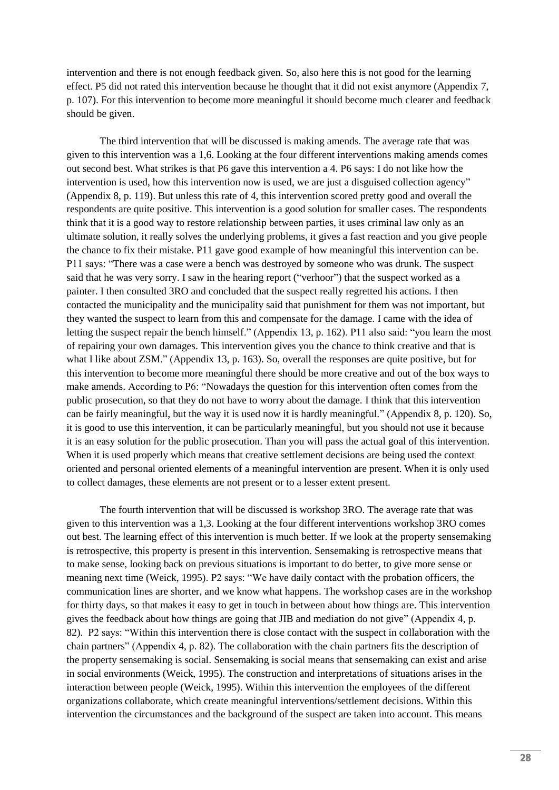intervention and there is not enough feedback given. So, also here this is not good for the learning effect. P5 did not rated this intervention because he thought that it did not exist anymore (Appendix 7, p. 107). For this intervention to become more meaningful it should become much clearer and feedback should be given.

The third intervention that will be discussed is making amends. The average rate that was given to this intervention was a 1,6. Looking at the four different interventions making amends comes out second best. What strikes is that P6 gave this intervention a 4. P6 says: I do not like how the intervention is used, how this intervention now is used, we are just a disguised collection agency" (Appendix 8, p. 119). But unless this rate of 4, this intervention scored pretty good and overall the respondents are quite positive. This intervention is a good solution for smaller cases. The respondents think that it is a good way to restore relationship between parties, it uses criminal law only as an ultimate solution, it really solves the underlying problems, it gives a fast reaction and you give people the chance to fix their mistake. P11 gave good example of how meaningful this intervention can be. P11 says: "There was a case were a bench was destroyed by someone who was drunk. The suspect said that he was very sorry. I saw in the hearing report ("verhoor") that the suspect worked as a painter. I then consulted 3RO and concluded that the suspect really regretted his actions. I then contacted the municipality and the municipality said that punishment for them was not important, but they wanted the suspect to learn from this and compensate for the damage. I came with the idea of letting the suspect repair the bench himself." (Appendix 13, p. 162). P11 also said: "you learn the most of repairing your own damages. This intervention gives you the chance to think creative and that is what I like about ZSM." (Appendix 13, p. 163). So, overall the responses are quite positive, but for this intervention to become more meaningful there should be more creative and out of the box ways to make amends. According to P6: "Nowadays the question for this intervention often comes from the public prosecution, so that they do not have to worry about the damage. I think that this intervention can be fairly meaningful, but the way it is used now it is hardly meaningful." (Appendix 8, p. 120). So, it is good to use this intervention, it can be particularly meaningful, but you should not use it because it is an easy solution for the public prosecution. Than you will pass the actual goal of this intervention. When it is used properly which means that creative settlement decisions are being used the context oriented and personal oriented elements of a meaningful intervention are present. When it is only used to collect damages, these elements are not present or to a lesser extent present.

The fourth intervention that will be discussed is workshop 3RO. The average rate that was given to this intervention was a 1,3. Looking at the four different interventions workshop 3RO comes out best. The learning effect of this intervention is much better. If we look at the property sensemaking is retrospective, this property is present in this intervention. Sensemaking is retrospective means that to make sense, looking back on previous situations is important to do better, to give more sense or meaning next time (Weick, 1995). P2 says: "We have daily contact with the probation officers, the communication lines are shorter, and we know what happens. The workshop cases are in the workshop for thirty days, so that makes it easy to get in touch in between about how things are. This intervention gives the feedback about how things are going that JIB and mediation do not give" (Appendix 4, p. 82). P2 says: "Within this intervention there is close contact with the suspect in collaboration with the chain partners" (Appendix 4, p. 82). The collaboration with the chain partners fits the description of the property sensemaking is social. Sensemaking is social means that sensemaking can exist and arise in social environments (Weick, 1995). The construction and interpretations of situations arises in the interaction between people (Weick, 1995). Within this intervention the employees of the different organizations collaborate, which create meaningful interventions/settlement decisions. Within this intervention the circumstances and the background of the suspect are taken into account. This means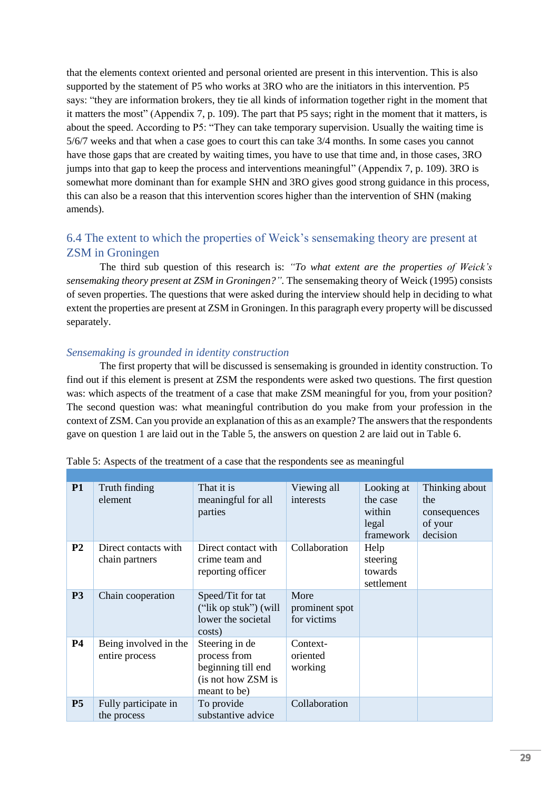that the elements context oriented and personal oriented are present in this intervention. This is also supported by the statement of P5 who works at 3RO who are the initiators in this intervention. P5 says: "they are information brokers, they tie all kinds of information together right in the moment that it matters the most" (Appendix 7, p. 109). The part that P5 says; right in the moment that it matters, is about the speed. According to P5: "They can take temporary supervision. Usually the waiting time is 5/6/7 weeks and that when a case goes to court this can take 3/4 months. In some cases you cannot have those gaps that are created by waiting times, you have to use that time and, in those cases, 3RO jumps into that gap to keep the process and interventions meaningful" (Appendix 7, p. 109). 3RO is somewhat more dominant than for example SHN and 3RO gives good strong guidance in this process, this can also be a reason that this intervention scores higher than the intervention of SHN (making amends).

## <span id="page-29-0"></span>6.4 The extent to which the properties of Weick's sensemaking theory are present at ZSM in Groningen

The third sub question of this research is: *"To what extent are the properties of Weick's sensemaking theory present at ZSM in Groningen?".* The sensemaking theory of Weick (1995) consists of seven properties. The questions that were asked during the interview should help in deciding to what extent the properties are present at ZSM in Groningen. In this paragraph every property will be discussed separately.

### *Sensemaking is grounded in identity construction*

The first property that will be discussed is sensemaking is grounded in identity construction. To find out if this element is present at ZSM the respondents were asked two questions. The first question was: which aspects of the treatment of a case that make ZSM meaningful for you, from your position? The second question was: what meaningful contribution do you make from your profession in the context of ZSM. Can you provide an explanation of this as an example? The answers that the respondents gave on question 1 are laid out in the Table 5, the answers on question 2 are laid out in Table 6.

| <b>P1</b>      | Truth finding<br>element                | That it is<br>meaningful for all<br>parties                                                | Viewing all<br>interests              | Looking at<br>the case<br>within<br>legal<br>framework | Thinking about<br>the<br>consequences<br>of your<br>decision |
|----------------|-----------------------------------------|--------------------------------------------------------------------------------------------|---------------------------------------|--------------------------------------------------------|--------------------------------------------------------------|
| P <sub>2</sub> | Direct contacts with<br>chain partners  | Direct contact with<br>crime team and<br>reporting officer                                 | Collaboration                         | Help<br>steering<br>towards<br>settlement              |                                                              |
| P <sub>3</sub> | Chain cooperation                       | Speed/Tit for tat<br>("lik op stuk") (will<br>lower the societal<br>costs)                 | More<br>prominent spot<br>for victims |                                                        |                                                              |
| <b>P4</b>      | Being involved in the<br>entire process | Steering in de<br>process from<br>beginning till end<br>(is not how ZSM is<br>meant to be) | Context-<br>oriented<br>working       |                                                        |                                                              |
| P <sub>5</sub> | Fully participate in<br>the process     | To provide<br>substantive advice                                                           | Collaboration                         |                                                        |                                                              |

Table 5: Aspects of the treatment of a case that the respondents see as meaningful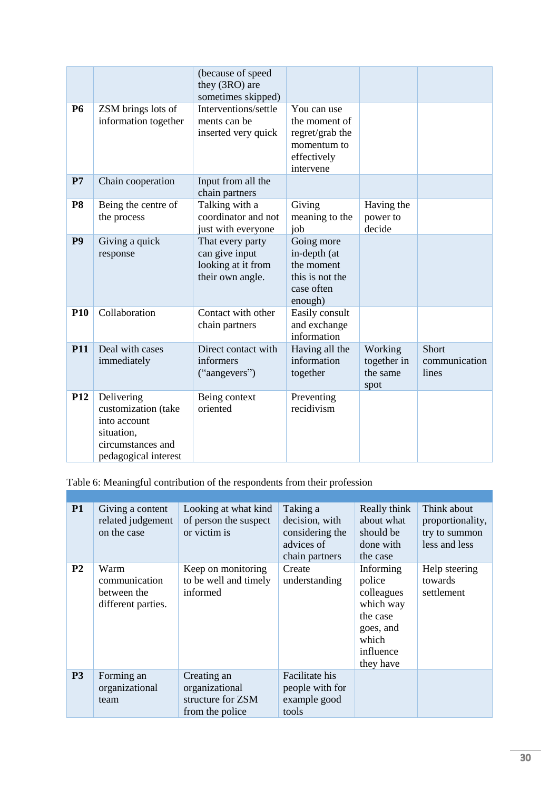|                 |                                                                                                              | (because of speed<br>they (3RO) are<br>sometimes skipped)                    |                                                                                            |                                            |                                 |
|-----------------|--------------------------------------------------------------------------------------------------------------|------------------------------------------------------------------------------|--------------------------------------------------------------------------------------------|--------------------------------------------|---------------------------------|
| <b>P6</b>       | ZSM brings lots of<br>information together                                                                   | Interventions/settle<br>ments can be<br>inserted very quick                  | You can use<br>the moment of<br>regret/grab the<br>momentum to<br>effectively<br>intervene |                                            |                                 |
| P7              | Chain cooperation                                                                                            | Input from all the<br>chain partners                                         |                                                                                            |                                            |                                 |
| P <sub>8</sub>  | Being the centre of<br>the process                                                                           | Talking with a<br>coordinator and not<br>just with everyone                  | Giving<br>meaning to the<br>job                                                            | Having the<br>power to<br>decide           |                                 |
| P <sub>9</sub>  | Giving a quick<br>response                                                                                   | That every party<br>can give input<br>looking at it from<br>their own angle. | Going more<br>in-depth (at<br>the moment<br>this is not the<br>case often<br>enough)       |                                            |                                 |
| <b>P10</b>      | Collaboration                                                                                                | Contact with other<br>chain partners                                         | Easily consult<br>and exchange<br>information                                              |                                            |                                 |
| <b>P11</b>      | Deal with cases<br>immediately                                                                               | Direct contact with<br>informers<br>("aangevers")                            | Having all the<br>information<br>together                                                  | Working<br>together in<br>the same<br>spot | Short<br>communication<br>lines |
| P <sub>12</sub> | Delivering<br>customization (take<br>into account<br>situation,<br>circumstances and<br>pedagogical interest | Being context<br>oriented                                                    | Preventing<br>recidivism                                                                   |                                            |                                 |

Table 6: Meaningful contribution of the respondents from their profession

| <b>P1</b>      | Giving a content<br>related judgement<br>on the case       | Looking at what kind<br>of person the suspect<br>or victim is         | Taking a<br>decision, with<br>considering the<br>advices of<br>chain partners | Really think<br>about what<br>should be<br>done with<br>the case                                           | Think about<br>proportionality,<br>try to summon<br>less and less |
|----------------|------------------------------------------------------------|-----------------------------------------------------------------------|-------------------------------------------------------------------------------|------------------------------------------------------------------------------------------------------------|-------------------------------------------------------------------|
| P <sub>2</sub> | Warm<br>communication<br>between the<br>different parties. | Keep on monitoring<br>to be well and timely<br>informed               | Create<br>understanding                                                       | Informing<br>police<br>colleagues<br>which way<br>the case<br>goes, and<br>which<br>influence<br>they have | Help steering<br>towards<br>settlement                            |
| P <sub>3</sub> | Forming an<br>organizational<br>team                       | Creating an<br>organizational<br>structure for ZSM<br>from the police | Facilitate his<br>people with for<br>example good<br>tools                    |                                                                                                            |                                                                   |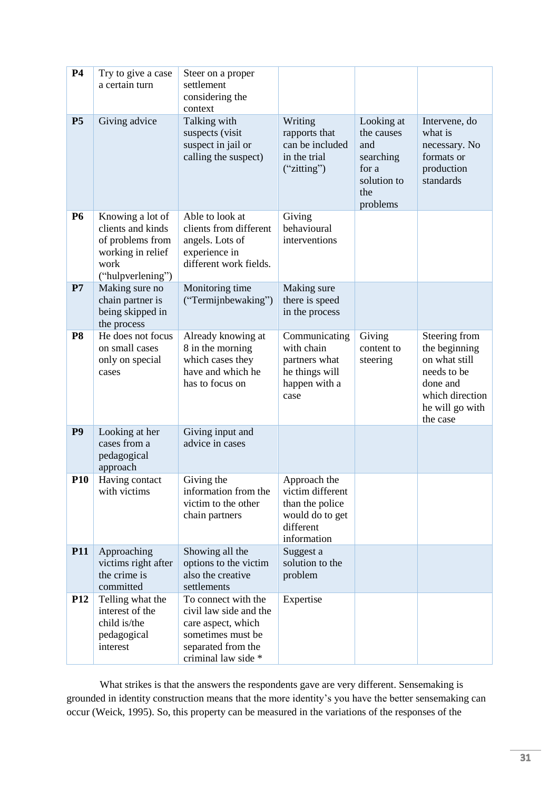| <b>P4</b>       | Try to give a case<br>a certain turn                                                                        | Steer on a proper<br>settlement<br>considering the<br>context                                                                         |                                                                                                    |                                                                                         |                                                                                                                              |
|-----------------|-------------------------------------------------------------------------------------------------------------|---------------------------------------------------------------------------------------------------------------------------------------|----------------------------------------------------------------------------------------------------|-----------------------------------------------------------------------------------------|------------------------------------------------------------------------------------------------------------------------------|
| P <sub>5</sub>  | Giving advice                                                                                               | Talking with<br>suspects (visit<br>suspect in jail or<br>calling the suspect)                                                         | Writing<br>rapports that<br>can be included<br>in the trial<br>("zitting")                         | Looking at<br>the causes<br>and<br>searching<br>for a<br>solution to<br>the<br>problems | Intervene, do<br>what is<br>necessary. No<br>formats or<br>production<br>standards                                           |
| <b>P6</b>       | Knowing a lot of<br>clients and kinds<br>of problems from<br>working in relief<br>work<br>("hulpverlening") | Able to look at<br>clients from different<br>angels. Lots of<br>experience in<br>different work fields.                               | Giving<br>behavioural<br>interventions                                                             |                                                                                         |                                                                                                                              |
| P7              | Making sure no<br>chain partner is<br>being skipped in<br>the process                                       | Monitoring time<br>("Termijnbewaking")                                                                                                | Making sure<br>there is speed<br>in the process                                                    |                                                                                         |                                                                                                                              |
| P <sub>8</sub>  | He does not focus<br>on small cases<br>only on special<br>cases                                             | Already knowing at<br>8 in the morning<br>which cases they<br>have and which he<br>has to focus on                                    | Communicating<br>with chain<br>partners what<br>he things will<br>happen with a<br>case            | Giving<br>content to<br>steering                                                        | Steering from<br>the beginning<br>on what still<br>needs to be<br>done and<br>which direction<br>he will go with<br>the case |
| P <sub>9</sub>  | Looking at her<br>cases from a<br>pedagogical<br>approach                                                   | Giving input and<br>advice in cases                                                                                                   |                                                                                                    |                                                                                         |                                                                                                                              |
| <b>P10</b>      | Having contact<br>with victims                                                                              | Giving the<br>information from the<br>victim to the other<br>chain partners                                                           | Approach the<br>victim different<br>than the police<br>would do to get<br>different<br>information |                                                                                         |                                                                                                                              |
| <b>P11</b>      | Approaching<br>victims right after<br>the crime is<br>committed                                             | Showing all the<br>options to the victim<br>also the creative<br>settlements                                                          | Suggest a<br>solution to the<br>problem                                                            |                                                                                         |                                                                                                                              |
| P <sub>12</sub> | Telling what the<br>interest of the<br>child is/the<br>pedagogical<br>interest                              | To connect with the<br>civil law side and the<br>care aspect, which<br>sometimes must be<br>separated from the<br>criminal law side * | Expertise                                                                                          |                                                                                         |                                                                                                                              |

What strikes is that the answers the respondents gave are very different. Sensemaking is grounded in identity construction means that the more identity's you have the better sensemaking can occur (Weick, 1995). So, this property can be measured in the variations of the responses of the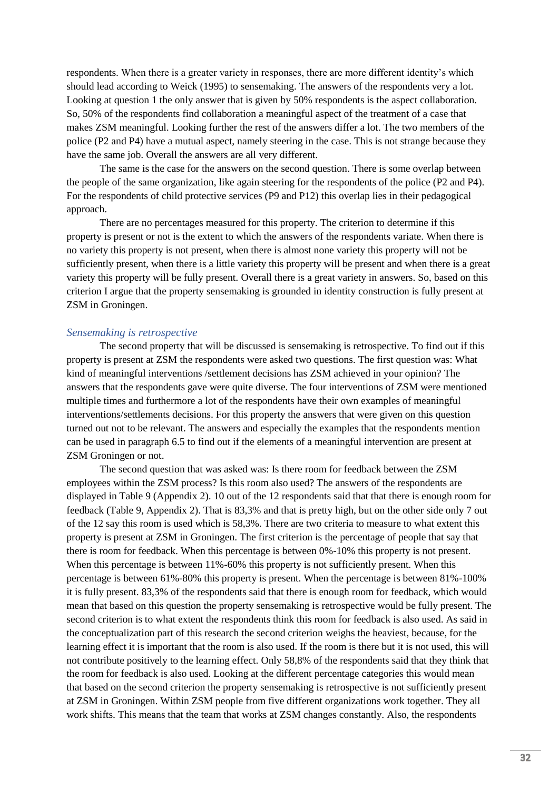respondents. When there is a greater variety in responses, there are more different identity's which should lead according to Weick (1995) to sensemaking. The answers of the respondents very a lot. Looking at question 1 the only answer that is given by 50% respondents is the aspect collaboration. So, 50% of the respondents find collaboration a meaningful aspect of the treatment of a case that makes ZSM meaningful. Looking further the rest of the answers differ a lot. The two members of the police (P2 and P4) have a mutual aspect, namely steering in the case. This is not strange because they have the same job. Overall the answers are all very different.

The same is the case for the answers on the second question. There is some overlap between the people of the same organization, like again steering for the respondents of the police (P2 and P4). For the respondents of child protective services (P9 and P12) this overlap lies in their pedagogical approach.

There are no percentages measured for this property. The criterion to determine if this property is present or not is the extent to which the answers of the respondents variate. When there is no variety this property is not present, when there is almost none variety this property will not be sufficiently present, when there is a little variety this property will be present and when there is a great variety this property will be fully present. Overall there is a great variety in answers. So, based on this criterion I argue that the property sensemaking is grounded in identity construction is fully present at ZSM in Groningen.

#### *Sensemaking is retrospective*

The second property that will be discussed is sensemaking is retrospective. To find out if this property is present at ZSM the respondents were asked two questions. The first question was: What kind of meaningful interventions /settlement decisions has ZSM achieved in your opinion? The answers that the respondents gave were quite diverse. The four interventions of ZSM were mentioned multiple times and furthermore a lot of the respondents have their own examples of meaningful interventions/settlements decisions. For this property the answers that were given on this question turned out not to be relevant. The answers and especially the examples that the respondents mention can be used in paragraph 6.5 to find out if the elements of a meaningful intervention are present at ZSM Groningen or not.

The second question that was asked was: Is there room for feedback between the ZSM employees within the ZSM process? Is this room also used? The answers of the respondents are displayed in Table 9 (Appendix 2). 10 out of the 12 respondents said that that there is enough room for feedback (Table 9, Appendix 2). That is 83,3% and that is pretty high, but on the other side only 7 out of the 12 say this room is used which is 58,3%. There are two criteria to measure to what extent this property is present at ZSM in Groningen. The first criterion is the percentage of people that say that there is room for feedback. When this percentage is between 0%-10% this property is not present. When this percentage is between 11%-60% this property is not sufficiently present. When this percentage is between 61%-80% this property is present. When the percentage is between 81%-100% it is fully present. 83,3% of the respondents said that there is enough room for feedback, which would mean that based on this question the property sensemaking is retrospective would be fully present. The second criterion is to what extent the respondents think this room for feedback is also used. As said in the conceptualization part of this research the second criterion weighs the heaviest, because, for the learning effect it is important that the room is also used. If the room is there but it is not used, this will not contribute positively to the learning effect. Only 58,8% of the respondents said that they think that the room for feedback is also used. Looking at the different percentage categories this would mean that based on the second criterion the property sensemaking is retrospective is not sufficiently present at ZSM in Groningen. Within ZSM people from five different organizations work together. They all work shifts. This means that the team that works at ZSM changes constantly. Also, the respondents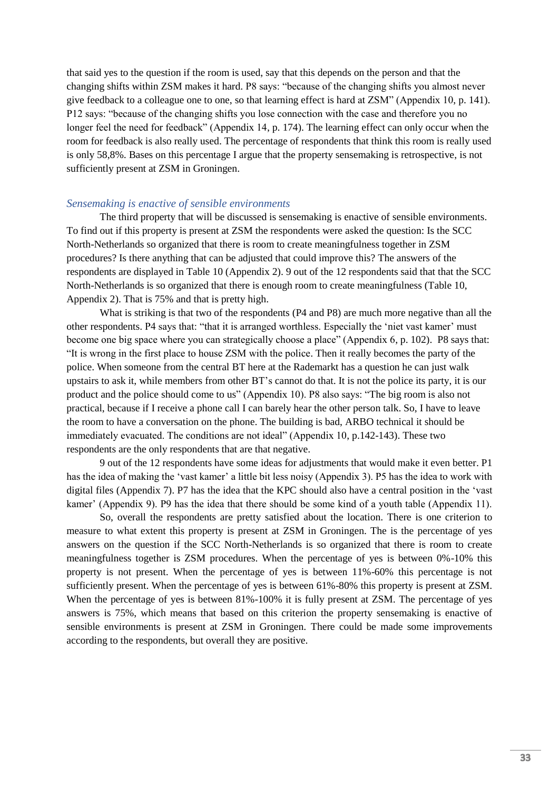that said yes to the question if the room is used, say that this depends on the person and that the changing shifts within ZSM makes it hard. P8 says: "because of the changing shifts you almost never give feedback to a colleague one to one, so that learning effect is hard at ZSM" (Appendix 10, p. 141). P12 says: "because of the changing shifts you lose connection with the case and therefore you no longer feel the need for feedback" (Appendix 14, p. 174). The learning effect can only occur when the room for feedback is also really used. The percentage of respondents that think this room is really used is only 58,8%. Bases on this percentage I argue that the property sensemaking is retrospective, is not sufficiently present at ZSM in Groningen.

#### *Sensemaking is enactive of sensible environments*

The third property that will be discussed is sensemaking is enactive of sensible environments. To find out if this property is present at ZSM the respondents were asked the question: Is the SCC North-Netherlands so organized that there is room to create meaningfulness together in ZSM procedures? Is there anything that can be adjusted that could improve this? The answers of the respondents are displayed in Table 10 (Appendix 2). 9 out of the 12 respondents said that that the SCC North-Netherlands is so organized that there is enough room to create meaningfulness (Table 10, Appendix 2). That is 75% and that is pretty high.

What is striking is that two of the respondents (P4 and P8) are much more negative than all the other respondents. P4 says that: "that it is arranged worthless. Especially the 'niet vast kamer' must become one big space where you can strategically choose a place" (Appendix 6, p. 102). P8 says that: "It is wrong in the first place to house ZSM with the police. Then it really becomes the party of the police. When someone from the central BT here at the Rademarkt has a question he can just walk upstairs to ask it, while members from other BT's cannot do that. It is not the police its party, it is our product and the police should come to us" (Appendix 10). P8 also says: "The big room is also not practical, because if I receive a phone call I can barely hear the other person talk. So, I have to leave the room to have a conversation on the phone. The building is bad, ARBO technical it should be immediately evacuated. The conditions are not ideal" (Appendix 10, p.142-143). These two respondents are the only respondents that are that negative.

9 out of the 12 respondents have some ideas for adjustments that would make it even better. P1 has the idea of making the 'vast kamer' a little bit less noisy (Appendix 3). P5 has the idea to work with digital files (Appendix 7). P7 has the idea that the KPC should also have a central position in the 'vast kamer' (Appendix 9). P9 has the idea that there should be some kind of a youth table (Appendix 11).

So, overall the respondents are pretty satisfied about the location. There is one criterion to measure to what extent this property is present at ZSM in Groningen. The is the percentage of yes answers on the question if the SCC North-Netherlands is so organized that there is room to create meaningfulness together is ZSM procedures. When the percentage of yes is between 0%-10% this property is not present. When the percentage of yes is between 11%-60% this percentage is not sufficiently present. When the percentage of yes is between 61%-80% this property is present at ZSM. When the percentage of yes is between 81%-100% it is fully present at ZSM. The percentage of yes answers is 75%, which means that based on this criterion the property sensemaking is enactive of sensible environments is present at ZSM in Groningen. There could be made some improvements according to the respondents, but overall they are positive.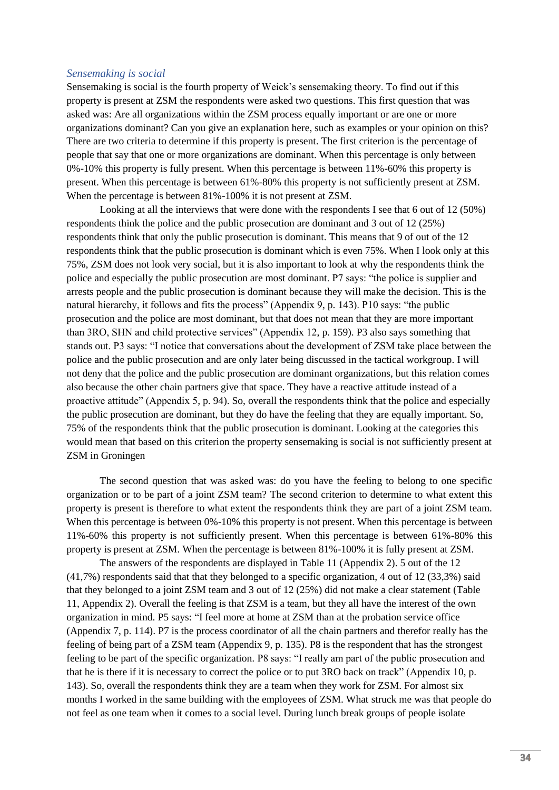#### *Sensemaking is social*

Sensemaking is social is the fourth property of Weick's sensemaking theory. To find out if this property is present at ZSM the respondents were asked two questions. This first question that was asked was: Are all organizations within the ZSM process equally important or are one or more organizations dominant? Can you give an explanation here, such as examples or your opinion on this? There are two criteria to determine if this property is present. The first criterion is the percentage of people that say that one or more organizations are dominant. When this percentage is only between 0%-10% this property is fully present. When this percentage is between 11%-60% this property is present. When this percentage is between 61%-80% this property is not sufficiently present at ZSM. When the percentage is between 81%-100% it is not present at ZSM.

Looking at all the interviews that were done with the respondents I see that 6 out of 12 (50%) respondents think the police and the public prosecution are dominant and 3 out of 12 (25%) respondents think that only the public prosecution is dominant. This means that 9 of out of the 12 respondents think that the public prosecution is dominant which is even 75%. When I look only at this 75%, ZSM does not look very social, but it is also important to look at why the respondents think the police and especially the public prosecution are most dominant. P7 says: "the police is supplier and arrests people and the public prosecution is dominant because they will make the decision. This is the natural hierarchy, it follows and fits the process" (Appendix 9, p. 143). P10 says: "the public prosecution and the police are most dominant, but that does not mean that they are more important than 3RO, SHN and child protective services" (Appendix 12, p. 159). P3 also says something that stands out. P3 says: "I notice that conversations about the development of ZSM take place between the police and the public prosecution and are only later being discussed in the tactical workgroup. I will not deny that the police and the public prosecution are dominant organizations, but this relation comes also because the other chain partners give that space. They have a reactive attitude instead of a proactive attitude" (Appendix 5, p. 94). So, overall the respondents think that the police and especially the public prosecution are dominant, but they do have the feeling that they are equally important. So, 75% of the respondents think that the public prosecution is dominant. Looking at the categories this would mean that based on this criterion the property sensemaking is social is not sufficiently present at ZSM in Groningen

The second question that was asked was: do you have the feeling to belong to one specific organization or to be part of a joint ZSM team? The second criterion to determine to what extent this property is present is therefore to what extent the respondents think they are part of a joint ZSM team. When this percentage is between  $0\% - 10\%$  this property is not present. When this percentage is between 11%-60% this property is not sufficiently present. When this percentage is between 61%-80% this property is present at ZSM. When the percentage is between 81%-100% it is fully present at ZSM.

The answers of the respondents are displayed in Table 11 (Appendix 2). 5 out of the 12 (41,7%) respondents said that that they belonged to a specific organization, 4 out of 12 (33,3%) said that they belonged to a joint ZSM team and 3 out of 12 (25%) did not make a clear statement (Table 11, Appendix 2). Overall the feeling is that ZSM is a team, but they all have the interest of the own organization in mind. P5 says: "I feel more at home at ZSM than at the probation service office (Appendix 7, p. 114). P7 is the process coordinator of all the chain partners and therefor really has the feeling of being part of a ZSM team (Appendix 9, p. 135). P8 is the respondent that has the strongest feeling to be part of the specific organization. P8 says: "I really am part of the public prosecution and that he is there if it is necessary to correct the police or to put 3RO back on track" (Appendix 10, p. 143). So, overall the respondents think they are a team when they work for ZSM. For almost six months I worked in the same building with the employees of ZSM. What struck me was that people do not feel as one team when it comes to a social level. During lunch break groups of people isolate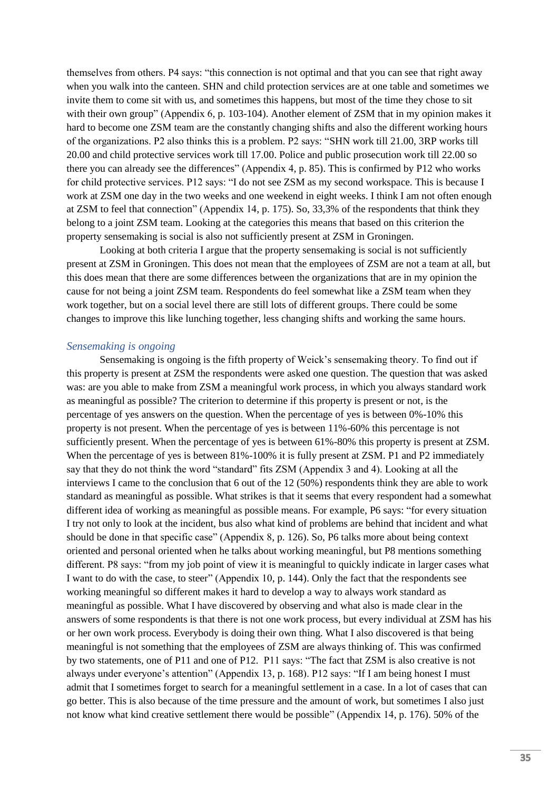themselves from others. P4 says: "this connection is not optimal and that you can see that right away when you walk into the canteen. SHN and child protection services are at one table and sometimes we invite them to come sit with us, and sometimes this happens, but most of the time they chose to sit with their own group" (Appendix 6, p. 103-104). Another element of ZSM that in my opinion makes it hard to become one ZSM team are the constantly changing shifts and also the different working hours of the organizations. P2 also thinks this is a problem. P2 says: "SHN work till 21.00, 3RP works till 20.00 and child protective services work till 17.00. Police and public prosecution work till 22.00 so there you can already see the differences" (Appendix 4, p. 85). This is confirmed by P12 who works for child protective services. P12 says: "I do not see ZSM as my second workspace. This is because I work at ZSM one day in the two weeks and one weekend in eight weeks. I think I am not often enough at ZSM to feel that connection" (Appendix 14, p. 175). So, 33,3% of the respondents that think they belong to a joint ZSM team. Looking at the categories this means that based on this criterion the property sensemaking is social is also not sufficiently present at ZSM in Groningen.

Looking at both criteria I argue that the property sensemaking is social is not sufficiently present at ZSM in Groningen. This does not mean that the employees of ZSM are not a team at all, but this does mean that there are some differences between the organizations that are in my opinion the cause for not being a joint ZSM team. Respondents do feel somewhat like a ZSM team when they work together, but on a social level there are still lots of different groups. There could be some changes to improve this like lunching together, less changing shifts and working the same hours.

#### *Sensemaking is ongoing*

Sensemaking is ongoing is the fifth property of Weick's sensemaking theory. To find out if this property is present at ZSM the respondents were asked one question. The question that was asked was: are you able to make from ZSM a meaningful work process, in which you always standard work as meaningful as possible? The criterion to determine if this property is present or not, is the percentage of yes answers on the question. When the percentage of yes is between 0%-10% this property is not present. When the percentage of yes is between 11%-60% this percentage is not sufficiently present. When the percentage of yes is between 61%-80% this property is present at ZSM. When the percentage of yes is between  $81\% - 100\%$  it is fully present at ZSM. P1 and P2 immediately say that they do not think the word "standard" fits ZSM (Appendix 3 and 4). Looking at all the interviews I came to the conclusion that 6 out of the 12 (50%) respondents think they are able to work standard as meaningful as possible. What strikes is that it seems that every respondent had a somewhat different idea of working as meaningful as possible means. For example, P6 says: "for every situation I try not only to look at the incident, bus also what kind of problems are behind that incident and what should be done in that specific case" (Appendix 8, p. 126). So, P6 talks more about being context oriented and personal oriented when he talks about working meaningful, but P8 mentions something different. P8 says: "from my job point of view it is meaningful to quickly indicate in larger cases what I want to do with the case, to steer" (Appendix 10, p. 144). Only the fact that the respondents see working meaningful so different makes it hard to develop a way to always work standard as meaningful as possible. What I have discovered by observing and what also is made clear in the answers of some respondents is that there is not one work process, but every individual at ZSM has his or her own work process. Everybody is doing their own thing. What I also discovered is that being meaningful is not something that the employees of ZSM are always thinking of. This was confirmed by two statements, one of P11 and one of P12. P11 says: "The fact that ZSM is also creative is not always under everyone's attention" (Appendix 13, p. 168). P12 says: "If I am being honest I must admit that I sometimes forget to search for a meaningful settlement in a case. In a lot of cases that can go better. This is also because of the time pressure and the amount of work, but sometimes I also just not know what kind creative settlement there would be possible" (Appendix 14, p. 176). 50% of the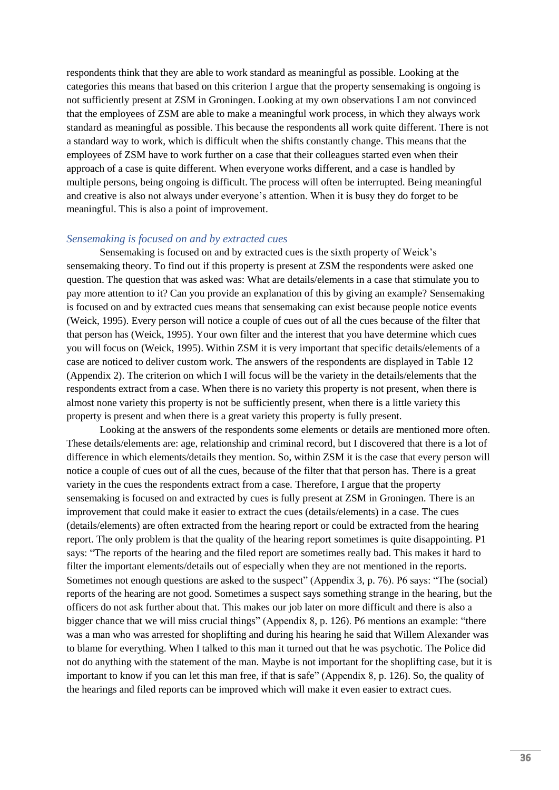respondents think that they are able to work standard as meaningful as possible. Looking at the categories this means that based on this criterion I argue that the property sensemaking is ongoing is not sufficiently present at ZSM in Groningen. Looking at my own observations I am not convinced that the employees of ZSM are able to make a meaningful work process, in which they always work standard as meaningful as possible. This because the respondents all work quite different. There is not a standard way to work, which is difficult when the shifts constantly change. This means that the employees of ZSM have to work further on a case that their colleagues started even when their approach of a case is quite different. When everyone works different, and a case is handled by multiple persons, being ongoing is difficult. The process will often be interrupted. Being meaningful and creative is also not always under everyone's attention. When it is busy they do forget to be meaningful. This is also a point of improvement.

#### *Sensemaking is focused on and by extracted cues*

Sensemaking is focused on and by extracted cues is the sixth property of Weick's sensemaking theory. To find out if this property is present at ZSM the respondents were asked one question. The question that was asked was: What are details/elements in a case that stimulate you to pay more attention to it? Can you provide an explanation of this by giving an example? Sensemaking is focused on and by extracted cues means that sensemaking can exist because people notice events (Weick, 1995). Every person will notice a couple of cues out of all the cues because of the filter that that person has (Weick, 1995). Your own filter and the interest that you have determine which cues you will focus on (Weick, 1995). Within ZSM it is very important that specific details/elements of a case are noticed to deliver custom work. The answers of the respondents are displayed in Table 12 (Appendix 2). The criterion on which I will focus will be the variety in the details/elements that the respondents extract from a case. When there is no variety this property is not present, when there is almost none variety this property is not be sufficiently present, when there is a little variety this property is present and when there is a great variety this property is fully present.

Looking at the answers of the respondents some elements or details are mentioned more often. These details/elements are: age, relationship and criminal record, but I discovered that there is a lot of difference in which elements/details they mention. So, within ZSM it is the case that every person will notice a couple of cues out of all the cues, because of the filter that that person has. There is a great variety in the cues the respondents extract from a case. Therefore, I argue that the property sensemaking is focused on and extracted by cues is fully present at ZSM in Groningen. There is an improvement that could make it easier to extract the cues (details/elements) in a case. The cues (details/elements) are often extracted from the hearing report or could be extracted from the hearing report. The only problem is that the quality of the hearing report sometimes is quite disappointing. P1 says: "The reports of the hearing and the filed report are sometimes really bad. This makes it hard to filter the important elements/details out of especially when they are not mentioned in the reports. Sometimes not enough questions are asked to the suspect" (Appendix 3, p. 76). P6 says: "The (social) reports of the hearing are not good. Sometimes a suspect says something strange in the hearing, but the officers do not ask further about that. This makes our job later on more difficult and there is also a bigger chance that we will miss crucial things" (Appendix 8, p. 126). P6 mentions an example: "there was a man who was arrested for shoplifting and during his hearing he said that Willem Alexander was to blame for everything. When I talked to this man it turned out that he was psychotic. The Police did not do anything with the statement of the man. Maybe is not important for the shoplifting case, but it is important to know if you can let this man free, if that is safe" (Appendix 8, p. 126). So, the quality of the hearings and filed reports can be improved which will make it even easier to extract cues.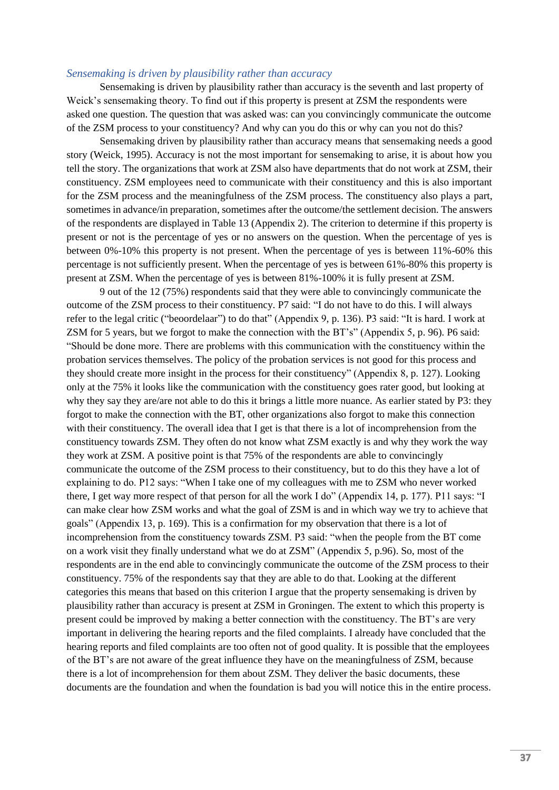#### *Sensemaking is driven by plausibility rather than accuracy*

Sensemaking is driven by plausibility rather than accuracy is the seventh and last property of Weick's sensemaking theory. To find out if this property is present at ZSM the respondents were asked one question. The question that was asked was: can you convincingly communicate the outcome of the ZSM process to your constituency? And why can you do this or why can you not do this?

Sensemaking driven by plausibility rather than accuracy means that sensemaking needs a good story (Weick, 1995). Accuracy is not the most important for sensemaking to arise, it is about how you tell the story. The organizations that work at ZSM also have departments that do not work at ZSM, their constituency. ZSM employees need to communicate with their constituency and this is also important for the ZSM process and the meaningfulness of the ZSM process. The constituency also plays a part, sometimes in advance/in preparation, sometimes after the outcome/the settlement decision. The answers of the respondents are displayed in Table 13 (Appendix 2). The criterion to determine if this property is present or not is the percentage of yes or no answers on the question. When the percentage of yes is between 0%-10% this property is not present. When the percentage of yes is between 11%-60% this percentage is not sufficiently present. When the percentage of yes is between 61%-80% this property is present at ZSM. When the percentage of yes is between 81%-100% it is fully present at ZSM.

9 out of the 12 (75%) respondents said that they were able to convincingly communicate the outcome of the ZSM process to their constituency. P7 said: "I do not have to do this. I will always refer to the legal critic ("beoordelaar") to do that" (Appendix 9, p. 136). P3 said: "It is hard. I work at ZSM for 5 years, but we forgot to make the connection with the BT's" (Appendix 5, p. 96). P6 said: "Should be done more. There are problems with this communication with the constituency within the probation services themselves. The policy of the probation services is not good for this process and they should create more insight in the process for their constituency" (Appendix 8, p. 127). Looking only at the 75% it looks like the communication with the constituency goes rater good, but looking at why they say they are/are not able to do this it brings a little more nuance. As earlier stated by P3: they forgot to make the connection with the BT, other organizations also forgot to make this connection with their constituency. The overall idea that I get is that there is a lot of incomprehension from the constituency towards ZSM. They often do not know what ZSM exactly is and why they work the way they work at ZSM. A positive point is that 75% of the respondents are able to convincingly communicate the outcome of the ZSM process to their constituency, but to do this they have a lot of explaining to do. P12 says: "When I take one of my colleagues with me to ZSM who never worked there, I get way more respect of that person for all the work I do" (Appendix 14, p. 177). P11 says: "I can make clear how ZSM works and what the goal of ZSM is and in which way we try to achieve that goals" (Appendix 13, p. 169). This is a confirmation for my observation that there is a lot of incomprehension from the constituency towards ZSM. P3 said: "when the people from the BT come on a work visit they finally understand what we do at ZSM" (Appendix 5, p.96). So, most of the respondents are in the end able to convincingly communicate the outcome of the ZSM process to their constituency. 75% of the respondents say that they are able to do that. Looking at the different categories this means that based on this criterion I argue that the property sensemaking is driven by plausibility rather than accuracy is present at ZSM in Groningen. The extent to which this property is present could be improved by making a better connection with the constituency. The BT's are very important in delivering the hearing reports and the filed complaints. I already have concluded that the hearing reports and filed complaints are too often not of good quality. It is possible that the employees of the BT's are not aware of the great influence they have on the meaningfulness of ZSM, because there is a lot of incomprehension for them about ZSM. They deliver the basic documents, these documents are the foundation and when the foundation is bad you will notice this in the entire process.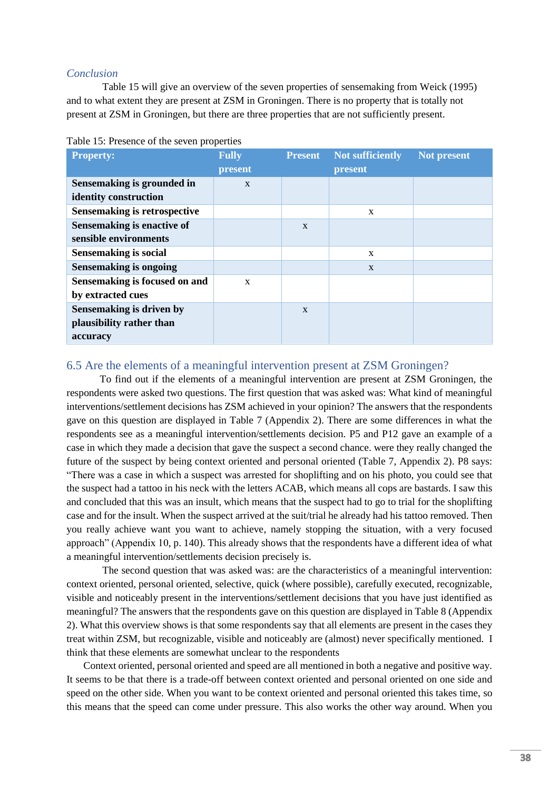#### *Conclusion*

Table 15 will give an overview of the seven properties of sensemaking from Weick (1995) and to what extent they are present at ZSM in Groningen. There is no property that is totally not present at ZSM in Groningen, but there are three properties that are not sufficiently present.

| <b>Property:</b>                    | <b>Fully</b> | <b>Present</b> | <b>Not sufficiently</b> | <b>Not present</b> |
|-------------------------------------|--------------|----------------|-------------------------|--------------------|
|                                     | present      |                | present                 |                    |
| Sensemaking is grounded in          | $\mathbf{x}$ |                |                         |                    |
| identity construction               |              |                |                         |                    |
| <b>Sensemaking is retrospective</b> |              |                | $\mathbf{x}$            |                    |
| Sensemaking is enactive of          |              | $\mathbf{x}$   |                         |                    |
| sensible environments               |              |                |                         |                    |
| <b>Sensemaking is social</b>        |              |                | $\mathbf{x}$            |                    |
| <b>Sensemaking is ongoing</b>       |              |                | $\mathbf{x}$            |                    |
| Sensemaking is focused on and       | $\mathbf{x}$ |                |                         |                    |
| by extracted cues                   |              |                |                         |                    |
| Sensemaking is driven by            |              | $\mathbf{x}$   |                         |                    |
| plausibility rather than            |              |                |                         |                    |
| accuracy                            |              |                |                         |                    |

Table 15: Presence of the seven properties

### <span id="page-38-0"></span>6.5 Are the elements of a meaningful intervention present at ZSM Groningen?

To find out if the elements of a meaningful intervention are present at ZSM Groningen, the respondents were asked two questions. The first question that was asked was: What kind of meaningful interventions/settlement decisions has ZSM achieved in your opinion? The answers that the respondents gave on this question are displayed in Table 7 (Appendix 2). There are some differences in what the respondents see as a meaningful intervention/settlements decision. P5 and P12 gave an example of a case in which they made a decision that gave the suspect a second chance. were they really changed the future of the suspect by being context oriented and personal oriented (Table 7, Appendix 2). P8 says: "There was a case in which a suspect was arrested for shoplifting and on his photo, you could see that the suspect had a tattoo in his neck with the letters ACAB, which means all cops are bastards. I saw this and concluded that this was an insult, which means that the suspect had to go to trial for the shoplifting case and for the insult. When the suspect arrived at the suit/trial he already had his tattoo removed. Then you really achieve want you want to achieve, namely stopping the situation, with a very focused approach" (Appendix 10, p. 140). This already shows that the respondents have a different idea of what a meaningful intervention/settlements decision precisely is.

The second question that was asked was: are the characteristics of a meaningful intervention: context oriented, personal oriented, selective, quick (where possible), carefully executed, recognizable, visible and noticeably present in the interventions/settlement decisions that you have just identified as meaningful? The answers that the respondents gave on this question are displayed in Table 8 (Appendix 2). What this overview shows is that some respondents say that all elements are present in the cases they treat within ZSM, but recognizable, visible and noticeably are (almost) never specifically mentioned. I think that these elements are somewhat unclear to the respondents

Context oriented, personal oriented and speed are all mentioned in both a negative and positive way. It seems to be that there is a trade-off between context oriented and personal oriented on one side and speed on the other side. When you want to be context oriented and personal oriented this takes time, so this means that the speed can come under pressure. This also works the other way around. When you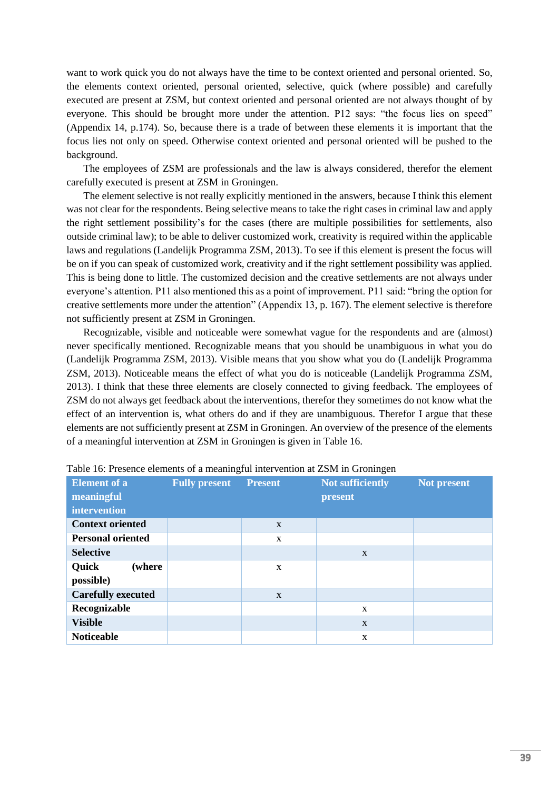want to work quick you do not always have the time to be context oriented and personal oriented. So, the elements context oriented, personal oriented, selective, quick (where possible) and carefully executed are present at ZSM, but context oriented and personal oriented are not always thought of by everyone. This should be brought more under the attention. P12 says: "the focus lies on speed" (Appendix 14, p.174). So, because there is a trade of between these elements it is important that the focus lies not only on speed. Otherwise context oriented and personal oriented will be pushed to the background.

The employees of ZSM are professionals and the law is always considered, therefor the element carefully executed is present at ZSM in Groningen.

The element selective is not really explicitly mentioned in the answers, because I think this element was not clear for the respondents. Being selective means to take the right cases in criminal law and apply the right settlement possibility's for the cases (there are multiple possibilities for settlements, also outside criminal law); to be able to deliver customized work, creativity is required within the applicable laws and regulations (Landelijk Programma ZSM, 2013). To see if this element is present the focus will be on if you can speak of customized work, creativity and if the right settlement possibility was applied. This is being done to little. The customized decision and the creative settlements are not always under everyone's attention. P11 also mentioned this as a point of improvement. P11 said: "bring the option for creative settlements more under the attention" (Appendix 13, p. 167). The element selective is therefore not sufficiently present at ZSM in Groningen.

Recognizable, visible and noticeable were somewhat vague for the respondents and are (almost) never specifically mentioned. Recognizable means that you should be unambiguous in what you do (Landelijk Programma ZSM, 2013). Visible means that you show what you do (Landelijk Programma ZSM, 2013). Noticeable means the effect of what you do is noticeable (Landelijk Programma ZSM, 2013). I think that these three elements are closely connected to giving feedback. The employees of ZSM do not always get feedback about the interventions, therefor they sometimes do not know what the effect of an intervention is, what others do and if they are unambiguous. Therefor I argue that these elements are not sufficiently present at ZSM in Groningen. An overview of the presence of the elements of a meaningful intervention at ZSM in Groningen is given in Table 16.

| <b>Element</b> of a<br>meaningful | <b>Fully present</b> | <b>Present</b> | <b>Not sufficiently</b><br>present | Not present |  |  |  |  |
|-----------------------------------|----------------------|----------------|------------------------------------|-------------|--|--|--|--|
| intervention                      |                      |                |                                    |             |  |  |  |  |
| <b>Context oriented</b>           |                      | X              |                                    |             |  |  |  |  |
| <b>Personal oriented</b>          |                      | X              |                                    |             |  |  |  |  |
| <b>Selective</b>                  |                      |                | X                                  |             |  |  |  |  |
| Quick<br>(where<br>possible)      |                      | $\mathbf{x}$   |                                    |             |  |  |  |  |
| <b>Carefully executed</b>         |                      | X              |                                    |             |  |  |  |  |
| Recognizable                      |                      |                | X                                  |             |  |  |  |  |
| <b>Visible</b>                    |                      |                | X                                  |             |  |  |  |  |
| <b>Noticeable</b>                 |                      |                | X                                  |             |  |  |  |  |

Table 16: Presence elements of a meaningful intervention at ZSM in Groningen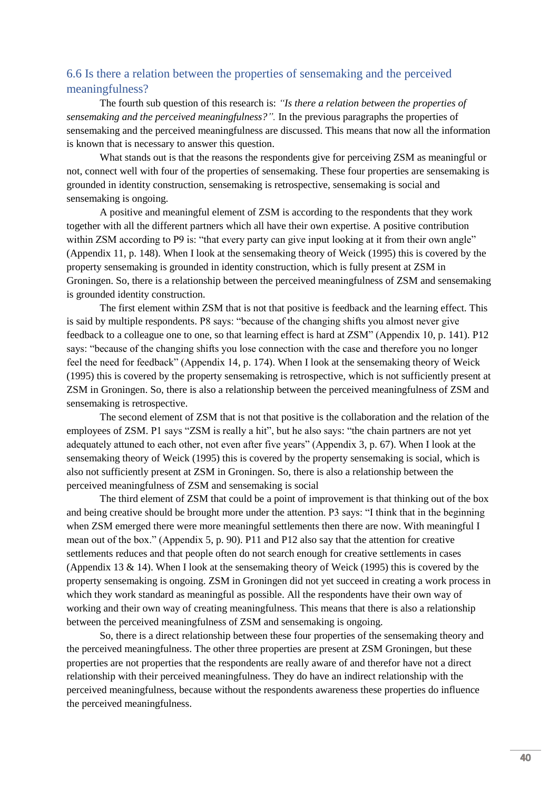## <span id="page-40-0"></span>6.6 Is there a relation between the properties of sensemaking and the perceived meaningfulness?

The fourth sub question of this research is: *"Is there a relation between the properties of sensemaking and the perceived meaningfulness?".* In the previous paragraphs the properties of sensemaking and the perceived meaningfulness are discussed. This means that now all the information is known that is necessary to answer this question.

What stands out is that the reasons the respondents give for perceiving ZSM as meaningful or not, connect well with four of the properties of sensemaking. These four properties are sensemaking is grounded in identity construction, sensemaking is retrospective, sensemaking is social and sensemaking is ongoing.

A positive and meaningful element of ZSM is according to the respondents that they work together with all the different partners which all have their own expertise. A positive contribution within ZSM according to P9 is: "that every party can give input looking at it from their own angle" (Appendix 11, p. 148). When I look at the sensemaking theory of Weick (1995) this is covered by the property sensemaking is grounded in identity construction, which is fully present at ZSM in Groningen. So, there is a relationship between the perceived meaningfulness of ZSM and sensemaking is grounded identity construction.

The first element within ZSM that is not that positive is feedback and the learning effect. This is said by multiple respondents. P8 says: "because of the changing shifts you almost never give feedback to a colleague one to one, so that learning effect is hard at ZSM" (Appendix 10, p. 141). P12 says: "because of the changing shifts you lose connection with the case and therefore you no longer feel the need for feedback" (Appendix 14, p. 174). When I look at the sensemaking theory of Weick (1995) this is covered by the property sensemaking is retrospective, which is not sufficiently present at ZSM in Groningen. So, there is also a relationship between the perceived meaningfulness of ZSM and sensemaking is retrospective.

The second element of ZSM that is not that positive is the collaboration and the relation of the employees of ZSM. P1 says "ZSM is really a hit", but he also says: "the chain partners are not yet adequately attuned to each other, not even after five years" (Appendix 3, p. 67). When I look at the sensemaking theory of Weick (1995) this is covered by the property sensemaking is social, which is also not sufficiently present at ZSM in Groningen. So, there is also a relationship between the perceived meaningfulness of ZSM and sensemaking is social

The third element of ZSM that could be a point of improvement is that thinking out of the box and being creative should be brought more under the attention. P3 says: "I think that in the beginning when ZSM emerged there were more meaningful settlements then there are now. With meaningful I mean out of the box." (Appendix 5, p. 90). P11 and P12 also say that the attention for creative settlements reduces and that people often do not search enough for creative settlements in cases (Appendix 13 & 14). When I look at the sensemaking theory of Weick (1995) this is covered by the property sensemaking is ongoing. ZSM in Groningen did not yet succeed in creating a work process in which they work standard as meaningful as possible. All the respondents have their own way of working and their own way of creating meaningfulness. This means that there is also a relationship between the perceived meaningfulness of ZSM and sensemaking is ongoing.

So, there is a direct relationship between these four properties of the sensemaking theory and the perceived meaningfulness. The other three properties are present at ZSM Groningen, but these properties are not properties that the respondents are really aware of and therefor have not a direct relationship with their perceived meaningfulness. They do have an indirect relationship with the perceived meaningfulness, because without the respondents awareness these properties do influence the perceived meaningfulness.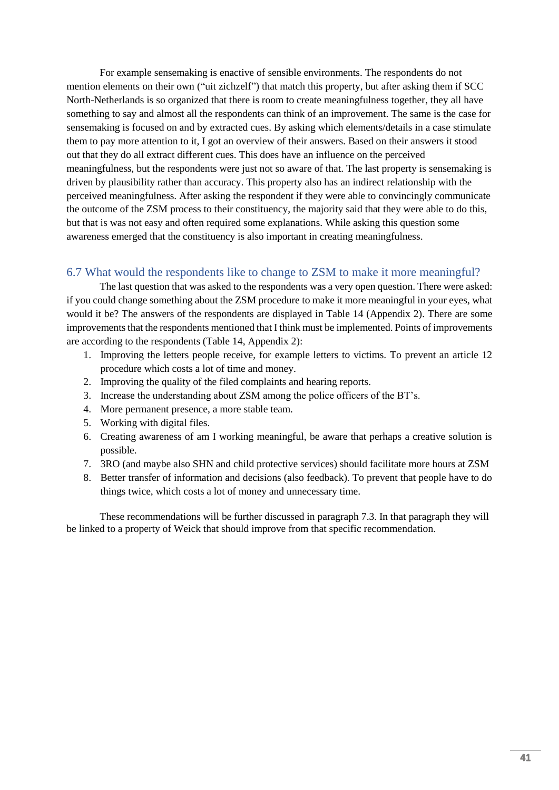For example sensemaking is enactive of sensible environments. The respondents do not mention elements on their own ("uit zichzelf") that match this property, but after asking them if SCC North-Netherlands is so organized that there is room to create meaningfulness together, they all have something to say and almost all the respondents can think of an improvement. The same is the case for sensemaking is focused on and by extracted cues. By asking which elements/details in a case stimulate them to pay more attention to it, I got an overview of their answers. Based on their answers it stood out that they do all extract different cues. This does have an influence on the perceived meaningfulness, but the respondents were just not so aware of that. The last property is sensemaking is driven by plausibility rather than accuracy. This property also has an indirect relationship with the perceived meaningfulness. After asking the respondent if they were able to convincingly communicate the outcome of the ZSM process to their constituency, the majority said that they were able to do this, but that is was not easy and often required some explanations. While asking this question some awareness emerged that the constituency is also important in creating meaningfulness.

### <span id="page-41-0"></span>6.7 What would the respondents like to change to ZSM to make it more meaningful?

The last question that was asked to the respondents was a very open question. There were asked: if you could change something about the ZSM procedure to make it more meaningful in your eyes, what would it be? The answers of the respondents are displayed in Table 14 (Appendix 2). There are some improvements that the respondents mentioned that I think must be implemented. Points of improvements are according to the respondents (Table 14, Appendix 2):

- 1. Improving the letters people receive, for example letters to victims. To prevent an article 12 procedure which costs a lot of time and money.
- 2. Improving the quality of the filed complaints and hearing reports.
- 3. Increase the understanding about ZSM among the police officers of the BT's.
- 4. More permanent presence, a more stable team.
- 5. Working with digital files.
- 6. Creating awareness of am I working meaningful, be aware that perhaps a creative solution is possible.
- 7. 3RO (and maybe also SHN and child protective services) should facilitate more hours at ZSM
- 8. Better transfer of information and decisions (also feedback). To prevent that people have to do things twice, which costs a lot of money and unnecessary time.

These recommendations will be further discussed in paragraph 7.3. In that paragraph they will be linked to a property of Weick that should improve from that specific recommendation.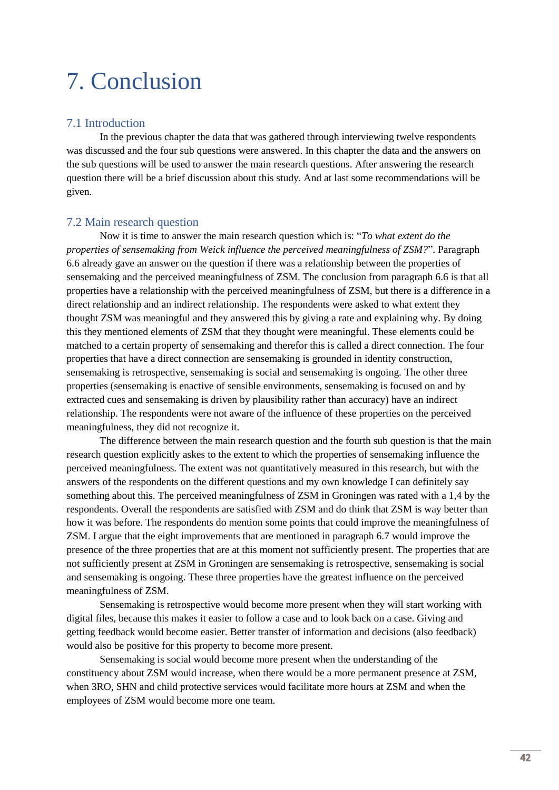## <span id="page-42-0"></span>7. Conclusion

### <span id="page-42-1"></span>7.1 Introduction

In the previous chapter the data that was gathered through interviewing twelve respondents was discussed and the four sub questions were answered. In this chapter the data and the answers on the sub questions will be used to answer the main research questions. After answering the research question there will be a brief discussion about this study. And at last some recommendations will be given.

### <span id="page-42-2"></span>7.2 Main research question

Now it is time to answer the main research question which is: "*To what extent do the properties of sensemaking from Weick influence the perceived meaningfulness of ZSM?*". Paragraph 6.6 already gave an answer on the question if there was a relationship between the properties of sensemaking and the perceived meaningfulness of ZSM. The conclusion from paragraph 6.6 is that all properties have a relationship with the perceived meaningfulness of ZSM, but there is a difference in a direct relationship and an indirect relationship. The respondents were asked to what extent they thought ZSM was meaningful and they answered this by giving a rate and explaining why. By doing this they mentioned elements of ZSM that they thought were meaningful. These elements could be matched to a certain property of sensemaking and therefor this is called a direct connection. The four properties that have a direct connection are sensemaking is grounded in identity construction, sensemaking is retrospective, sensemaking is social and sensemaking is ongoing. The other three properties (sensemaking is enactive of sensible environments, sensemaking is focused on and by extracted cues and sensemaking is driven by plausibility rather than accuracy) have an indirect relationship. The respondents were not aware of the influence of these properties on the perceived meaningfulness, they did not recognize it.

The difference between the main research question and the fourth sub question is that the main research question explicitly askes to the extent to which the properties of sensemaking influence the perceived meaningfulness. The extent was not quantitatively measured in this research, but with the answers of the respondents on the different questions and my own knowledge I can definitely say something about this. The perceived meaningfulness of ZSM in Groningen was rated with a 1,4 by the respondents. Overall the respondents are satisfied with ZSM and do think that ZSM is way better than how it was before. The respondents do mention some points that could improve the meaningfulness of ZSM. I argue that the eight improvements that are mentioned in paragraph 6.7 would improve the presence of the three properties that are at this moment not sufficiently present. The properties that are not sufficiently present at ZSM in Groningen are sensemaking is retrospective, sensemaking is social and sensemaking is ongoing. These three properties have the greatest influence on the perceived meaningfulness of ZSM.

Sensemaking is retrospective would become more present when they will start working with digital files, because this makes it easier to follow a case and to look back on a case. Giving and getting feedback would become easier. Better transfer of information and decisions (also feedback) would also be positive for this property to become more present.

Sensemaking is social would become more present when the understanding of the constituency about ZSM would increase, when there would be a more permanent presence at ZSM, when 3RO, SHN and child protective services would facilitate more hours at ZSM and when the employees of ZSM would become more one team.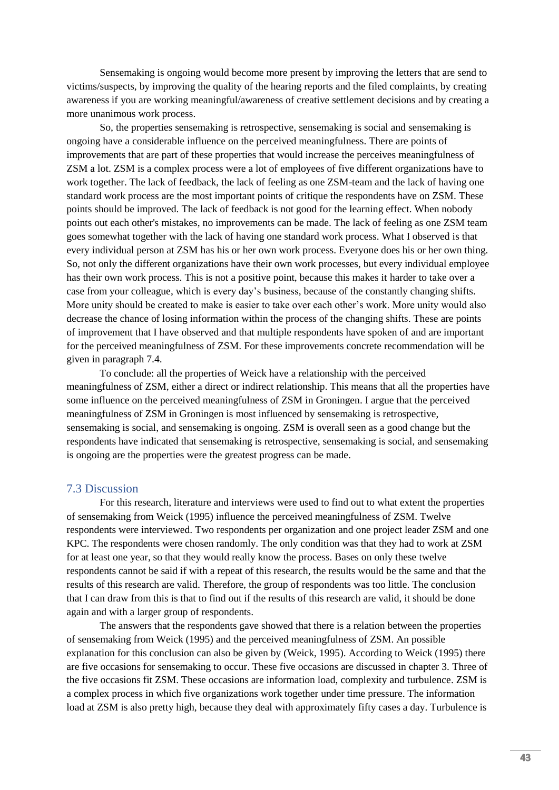Sensemaking is ongoing would become more present by improving the letters that are send to victims/suspects, by improving the quality of the hearing reports and the filed complaints, by creating awareness if you are working meaningful/awareness of creative settlement decisions and by creating a more unanimous work process.

So, the properties sensemaking is retrospective, sensemaking is social and sensemaking is ongoing have a considerable influence on the perceived meaningfulness. There are points of improvements that are part of these properties that would increase the perceives meaningfulness of ZSM a lot. ZSM is a complex process were a lot of employees of five different organizations have to work together. The lack of feedback, the lack of feeling as one ZSM-team and the lack of having one standard work process are the most important points of critique the respondents have on ZSM. These points should be improved. The lack of feedback is not good for the learning effect. When nobody points out each other's mistakes, no improvements can be made. The lack of feeling as one ZSM team goes somewhat together with the lack of having one standard work process. What I observed is that every individual person at ZSM has his or her own work process. Everyone does his or her own thing. So, not only the different organizations have their own work processes, but every individual employee has their own work process. This is not a positive point, because this makes it harder to take over a case from your colleague, which is every day's business, because of the constantly changing shifts. More unity should be created to make is easier to take over each other's work. More unity would also decrease the chance of losing information within the process of the changing shifts. These are points of improvement that I have observed and that multiple respondents have spoken of and are important for the perceived meaningfulness of ZSM. For these improvements concrete recommendation will be given in paragraph 7.4.

To conclude: all the properties of Weick have a relationship with the perceived meaningfulness of ZSM, either a direct or indirect relationship. This means that all the properties have some influence on the perceived meaningfulness of ZSM in Groningen. I argue that the perceived meaningfulness of ZSM in Groningen is most influenced by sensemaking is retrospective, sensemaking is social, and sensemaking is ongoing. ZSM is overall seen as a good change but the respondents have indicated that sensemaking is retrospective, sensemaking is social, and sensemaking is ongoing are the properties were the greatest progress can be made.

#### <span id="page-43-0"></span>7.3 Discussion

For this research, literature and interviews were used to find out to what extent the properties of sensemaking from Weick (1995) influence the perceived meaningfulness of ZSM. Twelve respondents were interviewed. Two respondents per organization and one project leader ZSM and one KPC. The respondents were chosen randomly. The only condition was that they had to work at ZSM for at least one year, so that they would really know the process. Bases on only these twelve respondents cannot be said if with a repeat of this research, the results would be the same and that the results of this research are valid. Therefore, the group of respondents was too little. The conclusion that I can draw from this is that to find out if the results of this research are valid, it should be done again and with a larger group of respondents.

The answers that the respondents gave showed that there is a relation between the properties of sensemaking from Weick (1995) and the perceived meaningfulness of ZSM. An possible explanation for this conclusion can also be given by (Weick, 1995). According to Weick (1995) there are five occasions for sensemaking to occur. These five occasions are discussed in chapter 3. Three of the five occasions fit ZSM. These occasions are information load, complexity and turbulence. ZSM is a complex process in which five organizations work together under time pressure. The information load at ZSM is also pretty high, because they deal with approximately fifty cases a day. Turbulence is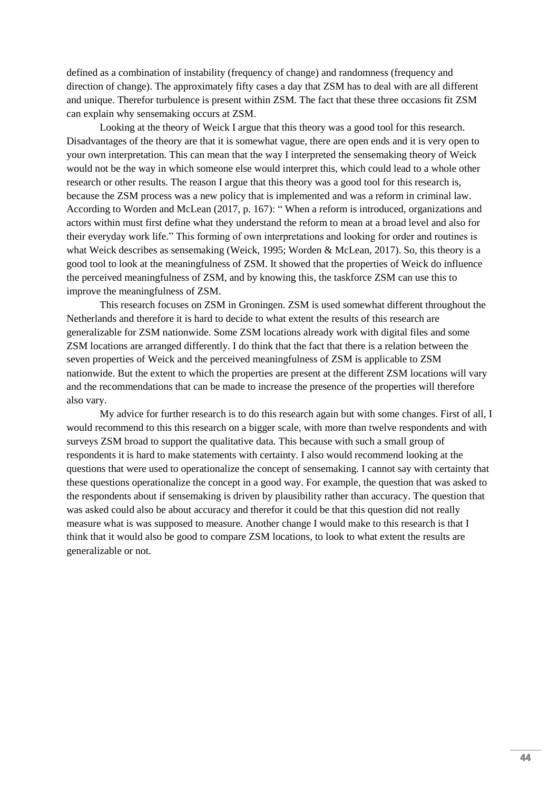defined as a combination of instability (frequency of change) and randomness (frequency and direction of change). The approximately fifty cases a day that ZSM has to deal with are all different and unique. Therefor turbulence is present within ZSM. The fact that these three occasions fit ZSM can explain why sensemaking occurs at ZSM.

Looking at the theory of Weick I argue that this theory was a good tool for this research. Disadvantages of the theory are that it is somewhat vague, there are open ends and it is very open to your own interpretation. This can mean that the way I interpreted the sensemaking theory of Weick would not be the way in which someone else would interpret this, which could lead to a whole other research or other results. The reason I argue that this theory was a good tool for this research is, because the ZSM process was a new policy that is implemented and was a reform in criminal law. According to Worden and McLean (2017, p. 167): " When a reform is introduced, organizations and actors within must first define what they understand the reform to mean at a broad level and also for their everyday work life." This forming of own interpretations and looking for order and routines is what Weick describes as sensemaking (Weick, 1995; Worden & McLean, 2017). So, this theory is a good tool to look at the meaningfulness of ZSM. It showed that the properties of Weick do influence the perceived meaningfulness of ZSM, and by knowing this, the taskforce ZSM can use this to improve the meaningfulness of ZSM.

This research focuses on ZSM in Groningen. ZSM is used somewhat different throughout the Netherlands and therefore it is hard to decide to what extent the results of this research are generalizable for ZSM nationwide. Some ZSM locations already work with digital files and some ZSM locations are arranged differently. I do think that the fact that there is a relation between the seven properties of Weick and the perceived meaningfulness of ZSM is applicable to ZSM nationwide. But the extent to which the properties are present at the different ZSM locations will vary and the recommendations that can be made to increase the presence of the properties will therefore also vary.

My advice for further research is to do this research again but with some changes. First of all, I would recommend to this this research on a bigger scale, with more than twelve respondents and with surveys ZSM broad to support the qualitative data. This because with such a small group of respondents it is hard to make statements with certainty. I also would recommend looking at the questions that were used to operationalize the concept of sensemaking. I cannot say with certainty that these questions operationalize the concept in a good way. For example, the question that was asked to the respondents about if sensemaking is driven by plausibility rather than accuracy. The question that was asked could also be about accuracy and therefor it could be that this question did not really measure what is was supposed to measure. Another change I would make to this research is that I think that it would also be good to compare ZSM locations, to look to what extent the results are generalizable or not.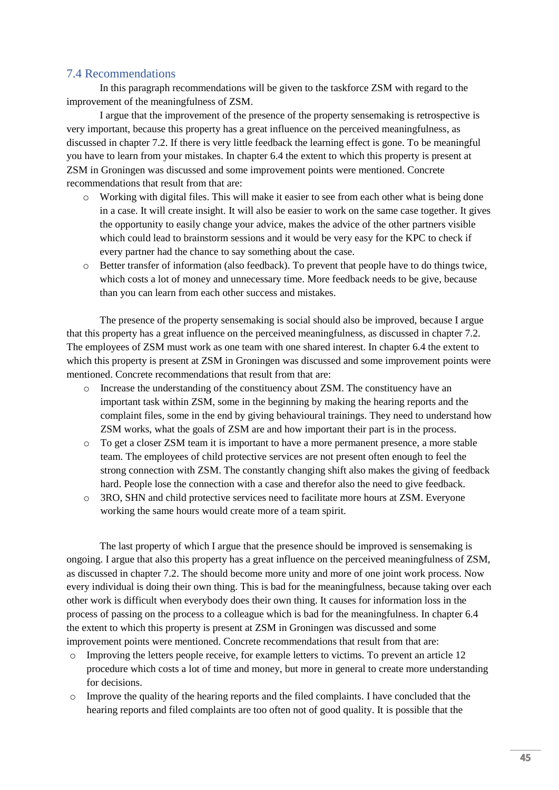### <span id="page-45-0"></span>7.4 Recommendations

In this paragraph recommendations will be given to the taskforce ZSM with regard to the improvement of the meaningfulness of ZSM.

I argue that the improvement of the presence of the property sensemaking is retrospective is very important, because this property has a great influence on the perceived meaningfulness, as discussed in chapter 7.2. If there is very little feedback the learning effect is gone. To be meaningful you have to learn from your mistakes. In chapter 6.4 the extent to which this property is present at ZSM in Groningen was discussed and some improvement points were mentioned. Concrete recommendations that result from that are:

- o Working with digital files. This will make it easier to see from each other what is being done in a case. It will create insight. It will also be easier to work on the same case together. It gives the opportunity to easily change your advice, makes the advice of the other partners visible which could lead to brainstorm sessions and it would be very easy for the KPC to check if every partner had the chance to say something about the case.
- $\circ$  Better transfer of information (also feedback). To prevent that people have to do things twice, which costs a lot of money and unnecessary time. More feedback needs to be give, because than you can learn from each other success and mistakes.

The presence of the property sensemaking is social should also be improved, because I argue that this property has a great influence on the perceived meaningfulness, as discussed in chapter 7.2. The employees of ZSM must work as one team with one shared interest. In chapter 6.4 the extent to which this property is present at ZSM in Groningen was discussed and some improvement points were mentioned. Concrete recommendations that result from that are:

- $\circ$  Increase the understanding of the constituency about ZSM. The constituency have an important task within ZSM, some in the beginning by making the hearing reports and the complaint files, some in the end by giving behavioural trainings. They need to understand how ZSM works, what the goals of ZSM are and how important their part is in the process.
- o To get a closer ZSM team it is important to have a more permanent presence, a more stable team. The employees of child protective services are not present often enough to feel the strong connection with ZSM. The constantly changing shift also makes the giving of feedback hard. People lose the connection with a case and therefor also the need to give feedback.
- o 3RO, SHN and child protective services need to facilitate more hours at ZSM. Everyone working the same hours would create more of a team spirit.

The last property of which I argue that the presence should be improved is sensemaking is ongoing. I argue that also this property has a great influence on the perceived meaningfulness of ZSM, as discussed in chapter 7.2. The should become more unity and more of one joint work process. Now every individual is doing their own thing. This is bad for the meaningfulness, because taking over each other work is difficult when everybody does their own thing. It causes for information loss in the process of passing on the process to a colleague which is bad for the meaningfulness. In chapter 6.4 the extent to which this property is present at ZSM in Groningen was discussed and some improvement points were mentioned. Concrete recommendations that result from that are:

- $\circ$  Improving the letters people receive, for example letters to victims. To prevent an article 12 procedure which costs a lot of time and money, but more in general to create more understanding for decisions.
- o Improve the quality of the hearing reports and the filed complaints. I have concluded that the hearing reports and filed complaints are too often not of good quality. It is possible that the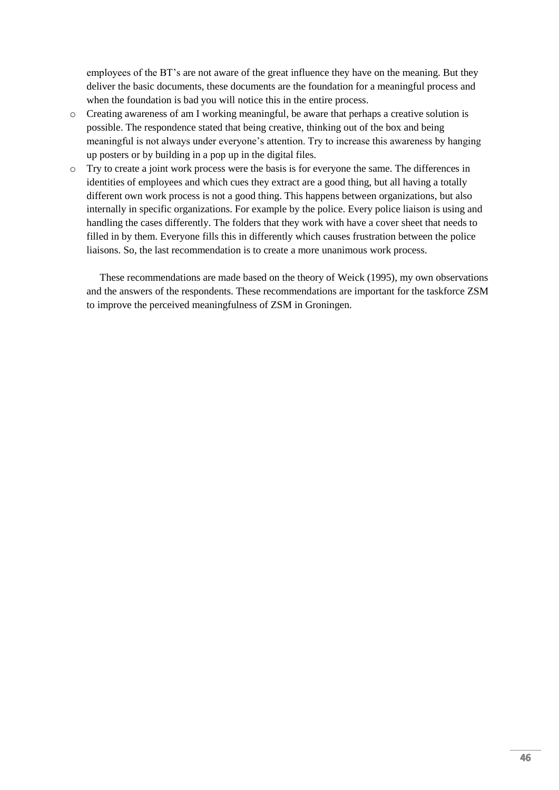employees of the BT's are not aware of the great influence they have on the meaning. But they deliver the basic documents, these documents are the foundation for a meaningful process and when the foundation is bad you will notice this in the entire process.

- o Creating awareness of am I working meaningful, be aware that perhaps a creative solution is possible. The respondence stated that being creative, thinking out of the box and being meaningful is not always under everyone's attention. Try to increase this awareness by hanging up posters or by building in a pop up in the digital files.
- o Try to create a joint work process were the basis is for everyone the same. The differences in identities of employees and which cues they extract are a good thing, but all having a totally different own work process is not a good thing. This happens between organizations, but also internally in specific organizations. For example by the police. Every police liaison is using and handling the cases differently. The folders that they work with have a cover sheet that needs to filled in by them. Everyone fills this in differently which causes frustration between the police liaisons. So, the last recommendation is to create a more unanimous work process.

These recommendations are made based on the theory of Weick (1995), my own observations and the answers of the respondents. These recommendations are important for the taskforce ZSM to improve the perceived meaningfulness of ZSM in Groningen.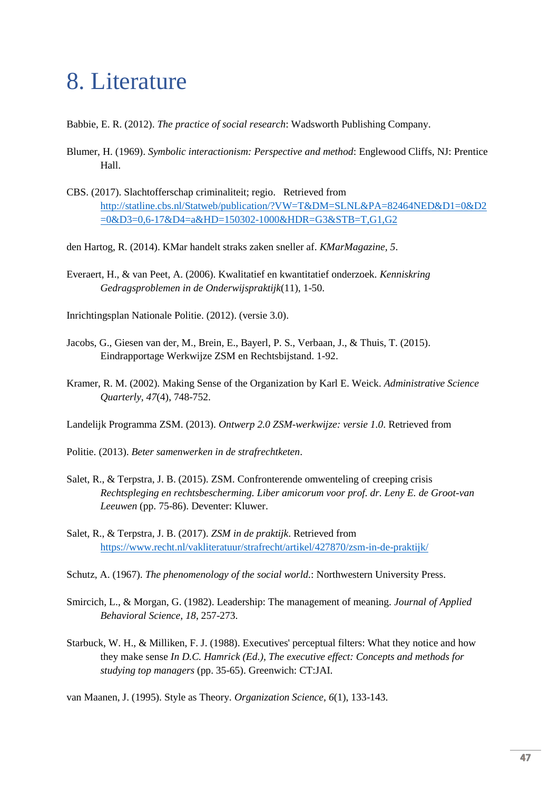## <span id="page-47-0"></span>8. Literature

- Babbie, E. R. (2012). *The practice of social research*: Wadsworth Publishing Company.
- Blumer, H. (1969). *Symbolic interactionism: Perspective and method*: Englewood Cliffs, NJ: Prentice Hall.
- CBS. (2017). Slachtofferschap criminaliteit; regio. Retrieved from [http://statline.cbs.nl/Statweb/publication/?VW=T&DM=SLNL&PA=82464NED&D1=0&D2](http://statline.cbs.nl/Statweb/publication/?VW=T&DM=SLNL&PA=82464NED&D1=0&D2=0&D3=0,6-17&D4=a&HD=150302-1000&HDR=G3&STB=T,G1,G2) [=0&D3=0,6-17&D4=a&HD=150302-1000&HDR=G3&STB=T,G1,G2](http://statline.cbs.nl/Statweb/publication/?VW=T&DM=SLNL&PA=82464NED&D1=0&D2=0&D3=0,6-17&D4=a&HD=150302-1000&HDR=G3&STB=T,G1,G2)
- den Hartog, R. (2014). KMar handelt straks zaken sneller af. *KMarMagazine, 5*.
- Everaert, H., & van Peet, A. (2006). Kwalitatief en kwantitatief onderzoek. *Kenniskring Gedragsproblemen in de Onderwijspraktijk*(11), 1-50.
- Inrichtingsplan Nationale Politie. (2012). (versie 3.0).
- Jacobs, G., Giesen van der, M., Brein, E., Bayerl, P. S., Verbaan, J., & Thuis, T. (2015). Eindrapportage Werkwijze ZSM en Rechtsbijstand. 1-92.
- Kramer, R. M. (2002). Making Sense of the Organization by Karl E. Weick. *Administrative Science Quarterly, 47*(4), 748-752.
- Landelijk Programma ZSM. (2013). *Ontwerp 2.0 ZSM-werkwijze: versie 1.0*. Retrieved from
- Politie. (2013). *Beter samenwerken in de strafrechtketen*.
- Salet, R., & Terpstra, J. B. (2015). ZSM. Confronterende omwenteling of creeping crisis *Rechtspleging en rechtsbescherming. Liber amicorum voor prof. dr. Leny E. de Groot-van Leeuwen* (pp. 75-86). Deventer: Kluwer.
- Salet, R., & Terpstra, J. B. (2017). *ZSM in de praktijk*. Retrieved from <https://www.recht.nl/vakliteratuur/strafrecht/artikel/427870/zsm-in-de-praktijk/>
- Schutz, A. (1967). *The phenomenology of the social world.*: Northwestern University Press.
- Smircich, L., & Morgan, G. (1982). Leadership: The management of meaning. *Journal of Applied Behavioral Science, 18*, 257-273.
- Starbuck, W. H., & Milliken, F. J. (1988). Executives' perceptual filters: What they notice and how they make sense *In D.C. Hamrick (Ed.), The executive effect: Concepts and methods for studying top managers* (pp. 35-65). Greenwich: CT:JAI.

van Maanen, J. (1995). Style as Theory. *Organization Science, 6*(1), 133-143.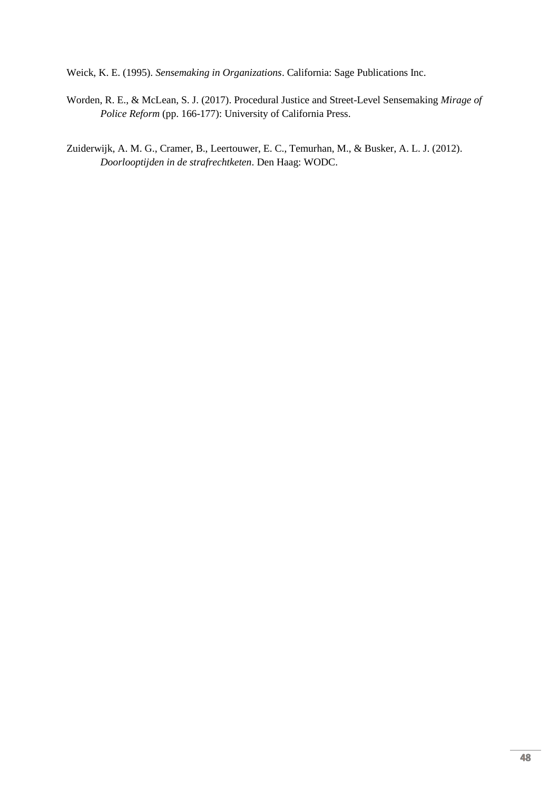Weick, K. E. (1995). *Sensemaking in Organizations*. California: Sage Publications Inc.

- Worden, R. E., & McLean, S. J. (2017). Procedural Justice and Street-Level Sensemaking *Mirage of Police Reform* (pp. 166-177): University of California Press.
- Zuiderwijk, A. M. G., Cramer, B., Leertouwer, E. C., Temurhan, M., & Busker, A. L. J. (2012). *Doorlooptijden in de strafrechtketen*. Den Haag: WODC.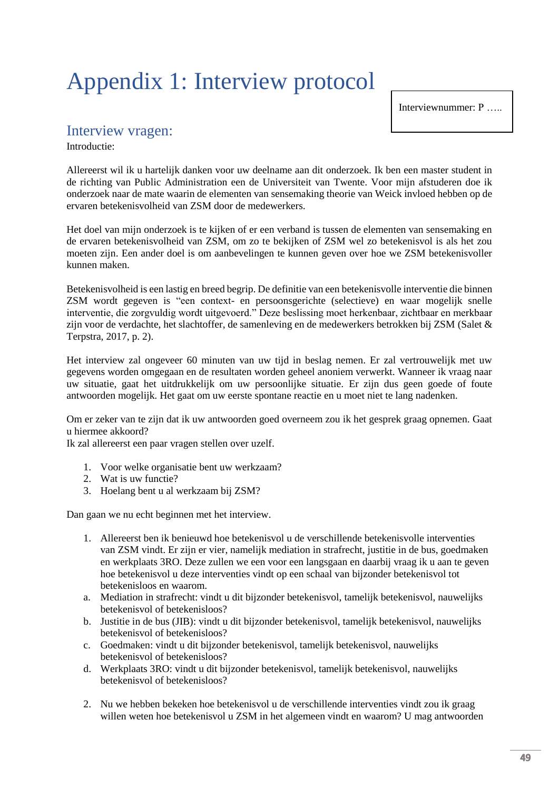## <span id="page-49-0"></span>Appendix 1: Interview protocol

Interviewnummer: P …..

## <span id="page-49-1"></span>Interview vragen:

Introductie:

Allereerst wil ik u hartelijk danken voor uw deelname aan dit onderzoek. Ik ben een master student in de richting van Public Administration een de Universiteit van Twente. Voor mijn afstuderen doe ik onderzoek naar de mate waarin de elementen van sensemaking theorie van Weick invloed hebben op de ervaren betekenisvolheid van ZSM door de medewerkers.

Het doel van mijn onderzoek is te kijken of er een verband is tussen de elementen van sensemaking en de ervaren betekenisvolheid van ZSM, om zo te bekijken of ZSM wel zo betekenisvol is als het zou moeten zijn. Een ander doel is om aanbevelingen te kunnen geven over hoe we ZSM betekenisvoller kunnen maken.

Betekenisvolheid is een lastig en breed begrip. De definitie van een betekenisvolle interventie die binnen ZSM wordt gegeven is "een context- en persoonsgerichte (selectieve) en waar mogelijk snelle interventie, die zorgvuldig wordt uitgevoerd." Deze beslissing moet herkenbaar, zichtbaar en merkbaar zijn voor de verdachte, het slachtoffer, de samenleving en de medewerkers betrokken bij ZSM (Salet & Terpstra, 2017, p. 2).

Het interview zal ongeveer 60 minuten van uw tijd in beslag nemen. Er zal vertrouwelijk met uw gegevens worden omgegaan en de resultaten worden geheel anoniem verwerkt. Wanneer ik vraag naar uw situatie, gaat het uitdrukkelijk om uw persoonlijke situatie. Er zijn dus geen goede of foute antwoorden mogelijk. Het gaat om uw eerste spontane reactie en u moet niet te lang nadenken.

Om er zeker van te zijn dat ik uw antwoorden goed overneem zou ik het gesprek graag opnemen. Gaat u hiermee akkoord?

Ik zal allereerst een paar vragen stellen over uzelf.

- 1. Voor welke organisatie bent uw werkzaam?
- 2. Wat is uw functie?
- 3. Hoelang bent u al werkzaam bij ZSM?

Dan gaan we nu echt beginnen met het interview.

- 1. Allereerst ben ik benieuwd hoe betekenisvol u de verschillende betekenisvolle interventies van ZSM vindt. Er zijn er vier, namelijk mediation in strafrecht, justitie in de bus, goedmaken en werkplaats 3RO. Deze zullen we een voor een langsgaan en daarbij vraag ik u aan te geven hoe betekenisvol u deze interventies vindt op een schaal van bijzonder betekenisvol tot betekenisloos en waarom.
- a. Mediation in strafrecht: vindt u dit bijzonder betekenisvol, tamelijk betekenisvol, nauwelijks betekenisvol of betekenisloos?
- b. Justitie in de bus (JIB): vindt u dit bijzonder betekenisvol, tamelijk betekenisvol, nauwelijks betekenisvol of betekenisloos?
- c. Goedmaken: vindt u dit bijzonder betekenisvol, tamelijk betekenisvol, nauwelijks betekenisvol of betekenisloos?
- d. Werkplaats 3RO: vindt u dit bijzonder betekenisvol, tamelijk betekenisvol, nauwelijks betekenisvol of betekenisloos?
- 2. Nu we hebben bekeken hoe betekenisvol u de verschillende interventies vindt zou ik graag willen weten hoe betekenisvol u ZSM in het algemeen vindt en waarom? U mag antwoorden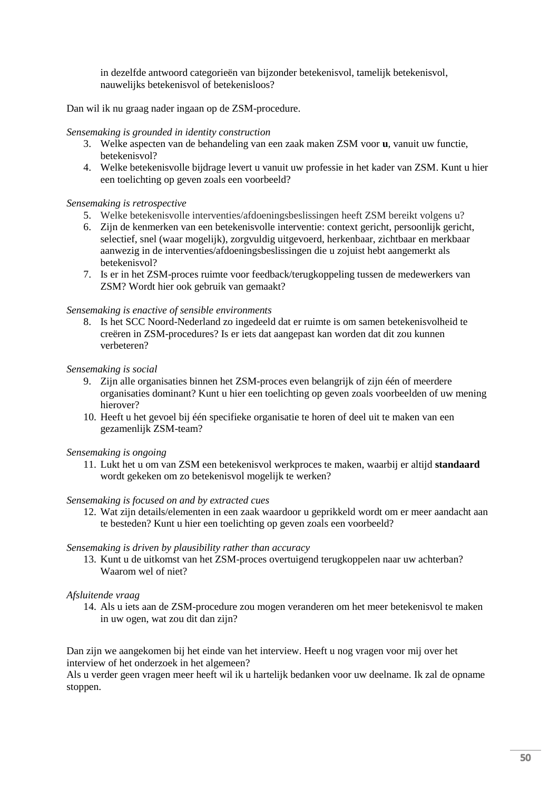in dezelfde antwoord categorieën van bijzonder betekenisvol, tamelijk betekenisvol, nauwelijks betekenisvol of betekenisloos?

Dan wil ik nu graag nader ingaan op de ZSM-procedure.

#### *Sensemaking is grounded in identity construction*

- 3. Welke aspecten van de behandeling van een zaak maken ZSM voor **u**, vanuit uw functie, betekenisvol?
- 4. Welke betekenisvolle bijdrage levert u vanuit uw professie in het kader van ZSM. Kunt u hier een toelichting op geven zoals een voorbeeld?

#### *Sensemaking is retrospective*

- 5. Welke betekenisvolle interventies/afdoeningsbeslissingen heeft ZSM bereikt volgens u?
- 6. Zijn de kenmerken van een betekenisvolle interventie: context gericht, persoonlijk gericht, selectief, snel (waar mogelijk), zorgvuldig uitgevoerd, herkenbaar, zichtbaar en merkbaar aanwezig in de interventies/afdoeningsbeslissingen die u zojuist hebt aangemerkt als betekenisvol?
- 7. Is er in het ZSM-proces ruimte voor feedback/terugkoppeling tussen de medewerkers van ZSM? Wordt hier ook gebruik van gemaakt?

#### *Sensemaking is enactive of sensible environments*

8. Is het SCC Noord-Nederland zo ingedeeld dat er ruimte is om samen betekenisvolheid te creëren in ZSM-procedures? Is er iets dat aangepast kan worden dat dit zou kunnen verbeteren?

#### *Sensemaking is social*

- 9. Zijn alle organisaties binnen het ZSM-proces even belangrijk of zijn één of meerdere organisaties dominant? Kunt u hier een toelichting op geven zoals voorbeelden of uw mening hierover?
- 10. Heeft u het gevoel bij één specifieke organisatie te horen of deel uit te maken van een gezamenlijk ZSM-team?

#### *Sensemaking is ongoing*

11. Lukt het u om van ZSM een betekenisvol werkproces te maken, waarbij er altijd **standaard** wordt gekeken om zo betekenisvol mogelijk te werken?

#### *Sensemaking is focused on and by extracted cues*

12. Wat zijn details/elementen in een zaak waardoor u geprikkeld wordt om er meer aandacht aan te besteden? Kunt u hier een toelichting op geven zoals een voorbeeld?

#### *Sensemaking is driven by plausibility rather than accuracy*

13. Kunt u de uitkomst van het ZSM-proces overtuigend terugkoppelen naar uw achterban? Waarom wel of niet?

#### *Afsluitende vraag*

14. Als u iets aan de ZSM-procedure zou mogen veranderen om het meer betekenisvol te maken in uw ogen, wat zou dit dan zijn?

Dan zijn we aangekomen bij het einde van het interview. Heeft u nog vragen voor mij over het interview of het onderzoek in het algemeen?

Als u verder geen vragen meer heeft wil ik u hartelijk bedanken voor uw deelname. Ik zal de opname stoppen.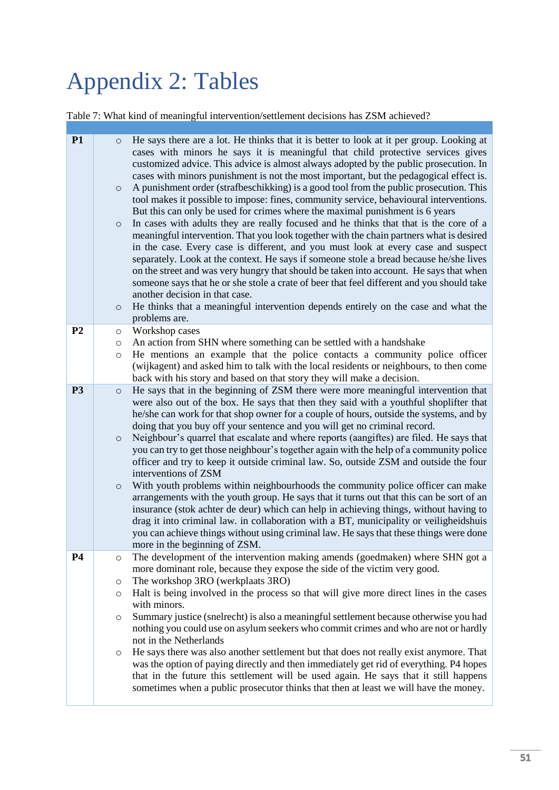# <span id="page-51-0"></span>Appendix 2: Tables

Table 7: What kind of meaningful intervention/settlement decisions has ZSM achieved?

| $\circ$<br>$\circ$<br>$\circ$<br>$\circ$ | He says there are a lot. He thinks that it is better to look at it per group. Looking at<br>cases with minors he says it is meaningful that child protective services gives<br>customized advice. This advice is almost always adopted by the public prosecution. In<br>cases with minors punishment is not the most important, but the pedagogical effect is.<br>A punishment order (strafbeschikking) is a good tool from the public prosecution. This<br>tool makes it possible to impose: fines, community service, behavioural interventions.<br>But this can only be used for crimes where the maximal punishment is 6 years<br>In cases with adults they are really focused and he thinks that that is the core of a<br>meaningful intervention. That you look together with the chain partners what is desired<br>in the case. Every case is different, and you must look at every case and suspect<br>separately. Look at the context. He says if someone stole a bread because he/she lives<br>on the street and was very hungry that should be taken into account. He says that when<br>someone says that he or she stole a crate of beer that feel different and you should take<br>another decision in that case.<br>He thinks that a meaningful intervention depends entirely on the case and what the<br>problems are. |
|------------------------------------------|---------------------------------------------------------------------------------------------------------------------------------------------------------------------------------------------------------------------------------------------------------------------------------------------------------------------------------------------------------------------------------------------------------------------------------------------------------------------------------------------------------------------------------------------------------------------------------------------------------------------------------------------------------------------------------------------------------------------------------------------------------------------------------------------------------------------------------------------------------------------------------------------------------------------------------------------------------------------------------------------------------------------------------------------------------------------------------------------------------------------------------------------------------------------------------------------------------------------------------------------------------------------------------------------------------------------------------------|
|                                          | Workshop cases                                                                                                                                                                                                                                                                                                                                                                                                                                                                                                                                                                                                                                                                                                                                                                                                                                                                                                                                                                                                                                                                                                                                                                                                                                                                                                                        |
| $\circ$                                  | An action from SHN where something can be settled with a handshake                                                                                                                                                                                                                                                                                                                                                                                                                                                                                                                                                                                                                                                                                                                                                                                                                                                                                                                                                                                                                                                                                                                                                                                                                                                                    |
| $\circ$                                  | He mentions an example that the police contacts a community police officer<br>(wijkagent) and asked him to talk with the local residents or neighbours, to then come<br>back with his story and based on that story they will make a decision.                                                                                                                                                                                                                                                                                                                                                                                                                                                                                                                                                                                                                                                                                                                                                                                                                                                                                                                                                                                                                                                                                        |
| $\circ$<br>$\circ$<br>$\circ$            | He says that in the beginning of ZSM there were more meaningful intervention that<br>were also out of the box. He says that then they said with a youthful shoplifter that<br>he/she can work for that shop owner for a couple of hours, outside the systems, and by<br>doing that you buy off your sentence and you will get no criminal record.<br>Neighbour's quarrel that escalate and where reports (aangiftes) are filed. He says that<br>you can try to get those neighbour's together again with the help of a community police<br>officer and try to keep it outside criminal law. So, outside ZSM and outside the four<br>interventions of ZSM<br>With youth problems within neighbourhoods the community police officer can make<br>arrangements with the youth group. He says that it turns out that this can be sort of an<br>insurance (stok achter de deur) which can help in achieving things, without having to<br>drag it into criminal law. in collaboration with a BT, municipality or veiligheidshuis<br>you can achieve things without using criminal law. He says that these things were done<br>more in the beginning of ZSM.                                                                                                                                                                                 |
| O<br>O<br>$\circ$<br>O<br>O              | The development of the intervention making amends (goedmaken) where SHN got a<br>more dominant role, because they expose the side of the victim very good.<br>The workshop 3RO (werkplaats 3RO)<br>Halt is being involved in the process so that will give more direct lines in the cases<br>with minors.<br>Summary justice (snelrecht) is also a meaningful settlement because otherwise you had<br>nothing you could use on asylum seekers who commit crimes and who are not or hardly<br>not in the Netherlands<br>He says there was also another settlement but that does not really exist anymore. That<br>was the option of paying directly and then immediately get rid of everything. P4 hopes<br>that in the future this settlement will be used again. He says that it still happens<br>sometimes when a public prosecutor thinks that then at least we will have the money.                                                                                                                                                                                                                                                                                                                                                                                                                                               |
|                                          | $\circ$                                                                                                                                                                                                                                                                                                                                                                                                                                                                                                                                                                                                                                                                                                                                                                                                                                                                                                                                                                                                                                                                                                                                                                                                                                                                                                                               |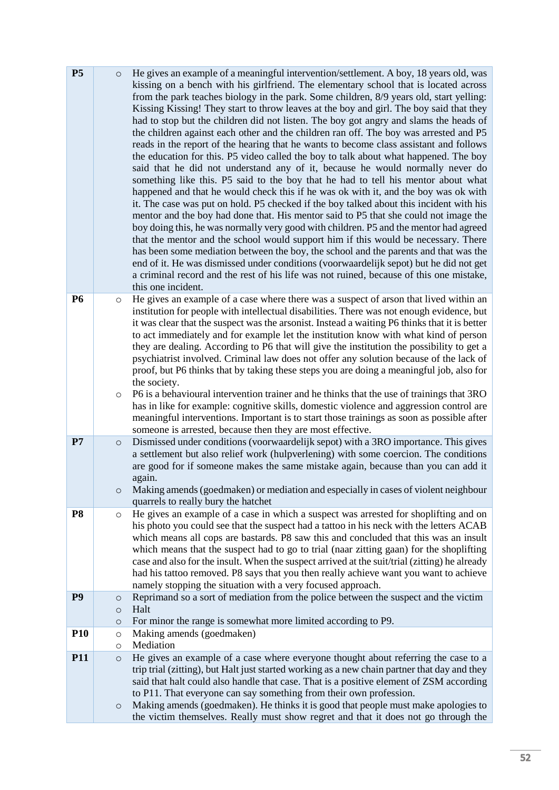| <b>P5</b>      |                    | He gives an example of a meaningful intervention/settlement. A boy, 18 years old, was<br>kissing on a bench with his girlfriend. The elementary school that is located across<br>from the park teaches biology in the park. Some children, 8/9 years old, start yelling:<br>Kissing Kissing! They start to throw leaves at the boy and girl. The boy said that they<br>had to stop but the children did not listen. The boy got angry and slams the heads of<br>the children against each other and the children ran off. The boy was arrested and P5<br>reads in the report of the hearing that he wants to become class assistant and follows<br>the education for this. P5 video called the boy to talk about what happened. The boy<br>said that he did not understand any of it, because he would normally never do<br>something like this. P5 said to the boy that he had to tell his mentor about what<br>happened and that he would check this if he was ok with it, and the boy was ok with<br>it. The case was put on hold. P5 checked if the boy talked about this incident with his<br>mentor and the boy had done that. His mentor said to P5 that she could not image the<br>boy doing this, he was normally very good with children. P5 and the mentor had agreed<br>that the mentor and the school would support him if this would be necessary. There<br>has been some mediation between the boy, the school and the parents and that was the<br>end of it. He was dismissed under conditions (voorwaardelijk sepot) but he did not get<br>a criminal record and the rest of his life was not ruined, because of this one mistake,<br>this one incident. |
|----------------|--------------------|---------------------------------------------------------------------------------------------------------------------------------------------------------------------------------------------------------------------------------------------------------------------------------------------------------------------------------------------------------------------------------------------------------------------------------------------------------------------------------------------------------------------------------------------------------------------------------------------------------------------------------------------------------------------------------------------------------------------------------------------------------------------------------------------------------------------------------------------------------------------------------------------------------------------------------------------------------------------------------------------------------------------------------------------------------------------------------------------------------------------------------------------------------------------------------------------------------------------------------------------------------------------------------------------------------------------------------------------------------------------------------------------------------------------------------------------------------------------------------------------------------------------------------------------------------------------------------------------------------------------------------------------------------------------------|
| <b>P6</b>      | $\circ$            | He gives an example of a case where there was a suspect of arson that lived within an<br>institution for people with intellectual disabilities. There was not enough evidence, but                                                                                                                                                                                                                                                                                                                                                                                                                                                                                                                                                                                                                                                                                                                                                                                                                                                                                                                                                                                                                                                                                                                                                                                                                                                                                                                                                                                                                                                                                        |
|                |                    | it was clear that the suspect was the arsonist. Instead a waiting P6 thinks that it is better<br>to act immediately and for example let the institution know with what kind of person<br>they are dealing. According to P6 that will give the institution the possibility to get a<br>psychiatrist involved. Criminal law does not offer any solution because of the lack of<br>proof, but P6 thinks that by taking these steps you are doing a meaningful job, also for<br>the society.                                                                                                                                                                                                                                                                                                                                                                                                                                                                                                                                                                                                                                                                                                                                                                                                                                                                                                                                                                                                                                                                                                                                                                                  |
|                | $\circ$            | P6 is a behavioural intervention trainer and he thinks that the use of trainings that 3RO<br>has in like for example: cognitive skills, domestic violence and aggression control are<br>meaningful interventions. Important is to start those trainings as soon as possible after<br>someone is arrested, because then they are most effective.                                                                                                                                                                                                                                                                                                                                                                                                                                                                                                                                                                                                                                                                                                                                                                                                                                                                                                                                                                                                                                                                                                                                                                                                                                                                                                                           |
| P7             | $\circ$            | Dismissed under conditions (voorwaardelijk sepot) with a 3RO importance. This gives<br>a settlement but also relief work (hulpverlening) with some coercion. The conditions<br>are good for if someone makes the same mistake again, because than you can add it<br>again.                                                                                                                                                                                                                                                                                                                                                                                                                                                                                                                                                                                                                                                                                                                                                                                                                                                                                                                                                                                                                                                                                                                                                                                                                                                                                                                                                                                                |
|                |                    | Making amends (goedmaken) or mediation and especially in cases of violent neighbour<br>quarrels to really bury the hatchet                                                                                                                                                                                                                                                                                                                                                                                                                                                                                                                                                                                                                                                                                                                                                                                                                                                                                                                                                                                                                                                                                                                                                                                                                                                                                                                                                                                                                                                                                                                                                |
| <b>P8</b>      | $\circ$            | He gives an example of a case in which a suspect was arrested for shoplifting and on<br>his photo you could see that the suspect had a tattoo in his neck with the letters ACAB<br>which means all cops are bastards. P8 saw this and concluded that this was an insult<br>which means that the suspect had to go to trial (naar zitting gaan) for the shoplifting<br>case and also for the insult. When the suspect arrived at the suit/trial (zitting) he already<br>had his tattoo removed. P8 says that you then really achieve want you want to achieve<br>namely stopping the situation with a very focused approach.                                                                                                                                                                                                                                                                                                                                                                                                                                                                                                                                                                                                                                                                                                                                                                                                                                                                                                                                                                                                                                               |
| P <sub>9</sub> | $\circ$<br>$\circ$ | Reprimand so a sort of mediation from the police between the suspect and the victim<br>Halt                                                                                                                                                                                                                                                                                                                                                                                                                                                                                                                                                                                                                                                                                                                                                                                                                                                                                                                                                                                                                                                                                                                                                                                                                                                                                                                                                                                                                                                                                                                                                                               |
|                | $\circ$            | For minor the range is somewhat more limited according to P9.                                                                                                                                                                                                                                                                                                                                                                                                                                                                                                                                                                                                                                                                                                                                                                                                                                                                                                                                                                                                                                                                                                                                                                                                                                                                                                                                                                                                                                                                                                                                                                                                             |
| <b>P10</b>     | $\circ$<br>$\circ$ | Making amends (goedmaken)<br>Mediation                                                                                                                                                                                                                                                                                                                                                                                                                                                                                                                                                                                                                                                                                                                                                                                                                                                                                                                                                                                                                                                                                                                                                                                                                                                                                                                                                                                                                                                                                                                                                                                                                                    |
| <b>P11</b>     | $\circ$            | He gives an example of a case where everyone thought about referring the case to a<br>trip trial (zitting), but Halt just started working as a new chain partner that day and they<br>said that halt could also handle that case. That is a positive element of ZSM according<br>to P11. That everyone can say something from their own profession.                                                                                                                                                                                                                                                                                                                                                                                                                                                                                                                                                                                                                                                                                                                                                                                                                                                                                                                                                                                                                                                                                                                                                                                                                                                                                                                       |
|                | $\circ$            | Making amends (goedmaken). He thinks it is good that people must make apologies to<br>the victim themselves. Really must show regret and that it does not go through the                                                                                                                                                                                                                                                                                                                                                                                                                                                                                                                                                                                                                                                                                                                                                                                                                                                                                                                                                                                                                                                                                                                                                                                                                                                                                                                                                                                                                                                                                                  |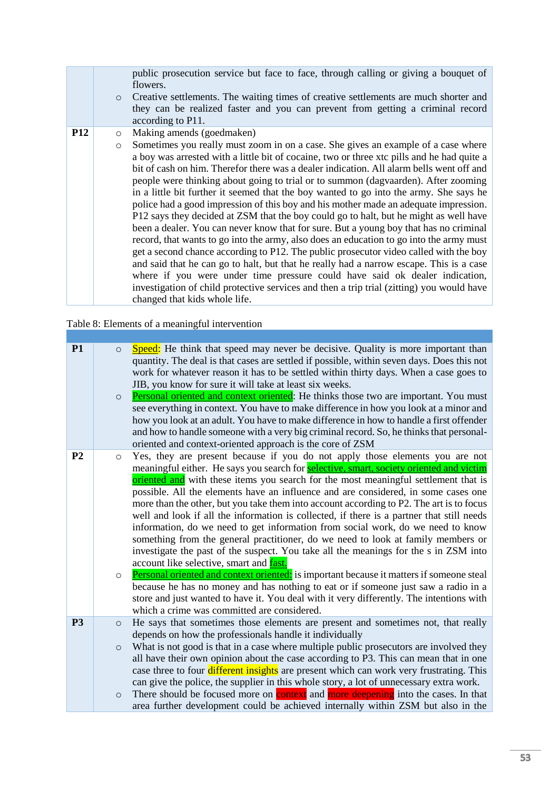|            |         | public prosecution service but face to face, through calling or giving a bouquet of<br>flowers.<br>o Creative settlements. The waiting times of creative settlements are much shorter and<br>they can be realized faster and you can prevent from getting a criminal record<br>according to P11. |
|------------|---------|--------------------------------------------------------------------------------------------------------------------------------------------------------------------------------------------------------------------------------------------------------------------------------------------------|
| <b>P12</b> | $\circ$ | Making amends (goedmaken)                                                                                                                                                                                                                                                                        |
|            | $\circ$ | Sometimes you really must zoom in on a case. She gives an example of a case where                                                                                                                                                                                                                |
|            |         | a boy was arrested with a little bit of cocaine, two or three xtc pills and he had quite a                                                                                                                                                                                                       |
|            |         | bit of cash on him. Therefor there was a dealer indication. All alarm bells went off and                                                                                                                                                                                                         |
|            |         | people were thinking about going to trial or to summon (dagvaarden). After zooming                                                                                                                                                                                                               |
|            |         | in a little bit further it seemed that the boy wanted to go into the army. She says he                                                                                                                                                                                                           |
|            |         | police had a good impression of this boy and his mother made an adequate impression.                                                                                                                                                                                                             |
|            |         | P12 says they decided at ZSM that the boy could go to halt, but he might as well have                                                                                                                                                                                                            |
|            |         | been a dealer. You can never know that for sure. But a young boy that has no criminal                                                                                                                                                                                                            |
|            |         | record, that wants to go into the army, also does an education to go into the army must                                                                                                                                                                                                          |
|            |         | get a second chance according to P12. The public prosecutor video called with the boy                                                                                                                                                                                                            |
|            |         | and said that he can go to halt, but that he really had a narrow escape. This is a case                                                                                                                                                                                                          |
|            |         | where if you were under time pressure could have said ok dealer indication,                                                                                                                                                                                                                      |
|            |         | investigation of child protective services and then a trip trial (zitting) you would have                                                                                                                                                                                                        |
|            |         | changed that kids whole life.                                                                                                                                                                                                                                                                    |

Table 8: Elements of a meaningful intervention

| P <sub>1</sub> | $\circ$<br>$\circ$ | <b>Speed:</b> He think that speed may never be decisive. Quality is more important than<br>quantity. The deal is that cases are settled if possible, within seven days. Does this not<br>work for whatever reason it has to be settled within thirty days. When a case goes to<br>JIB, you know for sure it will take at least six weeks.<br>Personal oriented and context oriented: He thinks those two are important. You must<br>see everything in context. You have to make difference in how you look at a minor and<br>how you look at an adult. You have to make difference in how to handle a first offender<br>and how to handle someone with a very big criminal record. So, he thinks that personal-<br>oriented and context-oriented approach is the core of ZSM                                                                                                                                                                                       |
|----------------|--------------------|--------------------------------------------------------------------------------------------------------------------------------------------------------------------------------------------------------------------------------------------------------------------------------------------------------------------------------------------------------------------------------------------------------------------------------------------------------------------------------------------------------------------------------------------------------------------------------------------------------------------------------------------------------------------------------------------------------------------------------------------------------------------------------------------------------------------------------------------------------------------------------------------------------------------------------------------------------------------|
| P <sub>2</sub> | $\circ$<br>$\circ$ | Yes, they are present because if you do not apply those elements you are not<br>meaningful either. He says you search for <b>selective</b> , smart, society oriented and victim<br>oriented and with these items you search for the most meaningful settlement that is<br>possible. All the elements have an influence and are considered, in some cases one<br>more than the other, but you take them into account according to P2. The art is to focus<br>well and look if all the information is collected, if there is a partner that still needs<br>information, do we need to get information from social work, do we need to know<br>something from the general practitioner, do we need to look at family members or<br>investigate the past of the suspect. You take all the meanings for the s in ZSM into<br>account like selective, smart and fast.<br><b>Personal oriented and context oriented:</b> is important because it matters if someone steal |
|                |                    | because he has no money and has nothing to eat or if someone just saw a radio in a<br>store and just wanted to have it. You deal with it very differently. The intentions with<br>which a crime was committed are considered.                                                                                                                                                                                                                                                                                                                                                                                                                                                                                                                                                                                                                                                                                                                                      |
| P <sub>3</sub> | $\circ$            | He says that sometimes those elements are present and sometimes not, that really<br>depends on how the professionals handle it individually                                                                                                                                                                                                                                                                                                                                                                                                                                                                                                                                                                                                                                                                                                                                                                                                                        |
|                | $\circ$            | What is not good is that in a case where multiple public prosecutors are involved they<br>all have their own opinion about the case according to P3. This can mean that in one<br>case three to four different insights are present which can work very frustrating. This<br>can give the police, the supplier in this whole story, a lot of unnecessary extra work.                                                                                                                                                                                                                                                                                                                                                                                                                                                                                                                                                                                               |
|                | $\circ$            | There should be focused more on <b>context</b> and more deepening into the cases. In that<br>area further development could be achieved internally within ZSM but also in the                                                                                                                                                                                                                                                                                                                                                                                                                                                                                                                                                                                                                                                                                                                                                                                      |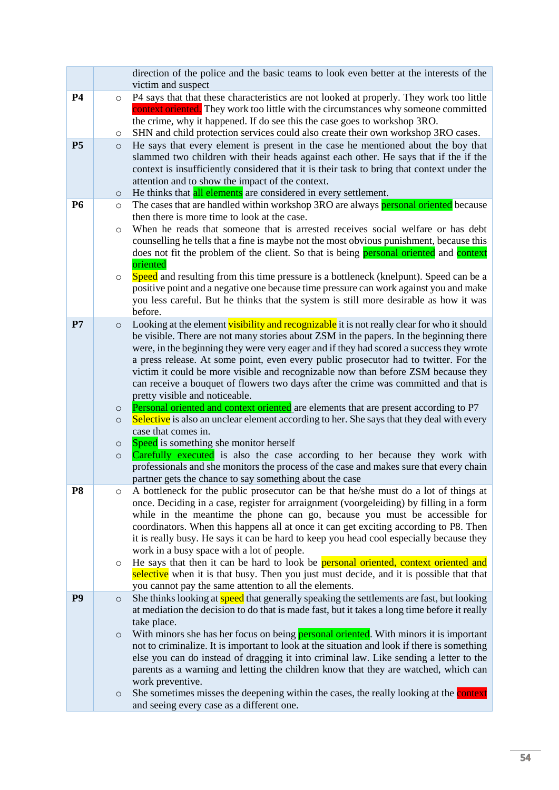|                |                    | direction of the police and the basic teams to look even better at the interests of the<br>victim and suspect                                                                                                                                                                                                                                                                                                                                                                                                                                                                          |
|----------------|--------------------|----------------------------------------------------------------------------------------------------------------------------------------------------------------------------------------------------------------------------------------------------------------------------------------------------------------------------------------------------------------------------------------------------------------------------------------------------------------------------------------------------------------------------------------------------------------------------------------|
| <b>P4</b>      | $\circ$            | P4 says that that these characteristics are not looked at properly. They work too little<br>context oriented. They work too little with the circumstances why someone committed<br>the crime, why it happened. If do see this the case goes to workshop 3RO.                                                                                                                                                                                                                                                                                                                           |
|                | O                  | SHN and child protection services could also create their own workshop 3RO cases.                                                                                                                                                                                                                                                                                                                                                                                                                                                                                                      |
| P <sub>5</sub> | $\circ$<br>$\circ$ | He says that every element is present in the case he mentioned about the boy that<br>slammed two children with their heads against each other. He says that if the if the<br>context is insufficiently considered that it is their task to bring that context under the<br>attention and to show the impact of the context.<br>He thinks that all elements are considered in every settlement.                                                                                                                                                                                         |
| <b>P6</b>      | $\circ$            | The cases that are handled within workshop 3RO are always personal oriented because                                                                                                                                                                                                                                                                                                                                                                                                                                                                                                    |
|                |                    | then there is more time to look at the case.                                                                                                                                                                                                                                                                                                                                                                                                                                                                                                                                           |
|                | $\circ$            | When he reads that someone that is arrested receives social welfare or has debt<br>counselling he tells that a fine is maybe not the most obvious punishment, because this<br>does not fit the problem of the client. So that is being personal oriented and context<br>oriented                                                                                                                                                                                                                                                                                                       |
|                | O                  | Speed and resulting from this time pressure is a bottleneck (knelpunt). Speed can be a<br>positive point and a negative one because time pressure can work against you and make<br>you less careful. But he thinks that the system is still more desirable as how it was<br>before.                                                                                                                                                                                                                                                                                                    |
| P7             | $\circ$            | Looking at the element visibility and recognizable it is not really clear for who it should<br>be visible. There are not many stories about ZSM in the papers. In the beginning there<br>were, in the beginning they were very eager and if they had scored a success they wrote<br>a press release. At some point, even every public prosecutor had to twitter. For the<br>victim it could be more visible and recognizable now than before ZSM because they<br>can receive a bouquet of flowers two days after the crime was committed and that is<br>pretty visible and noticeable. |
|                | $\circ$            | Personal oriented and context oriented are elements that are present according to P7                                                                                                                                                                                                                                                                                                                                                                                                                                                                                                   |
|                | $\circ$            | Selective is also an unclear element according to her. She says that they deal with every<br>case that comes in.                                                                                                                                                                                                                                                                                                                                                                                                                                                                       |
|                | $\circ$            | <b>Speed</b> is something she monitor herself                                                                                                                                                                                                                                                                                                                                                                                                                                                                                                                                          |
|                | $\circ$            | Carefully executed is also the case according to her because they work with<br>professionals and she monitors the process of the case and makes sure that every chain<br>partner gets the chance to say something about the case                                                                                                                                                                                                                                                                                                                                                       |
| ۲ŏ             |                    | A bottleneck for the public prosecutor can be that he/she must do a lot of things at<br>once. Deciding in a case, register for arraignment (voorgeleiding) by filling in a form<br>while in the meantime the phone can go, because you must be accessible for<br>coordinators. When this happens all at once it can get exciting according to P8. Then<br>it is really busy. He says it can be hard to keep you head cool especially because they<br>work in a busy space with a lot of people.                                                                                        |
|                | $\circ$            | He says that then it can be hard to look be personal oriented, context oriented and<br>selective when it is that busy. Then you just must decide, and it is possible that that<br>you cannot pay the same attention to all the elements.                                                                                                                                                                                                                                                                                                                                               |
| P <sub>9</sub> | $\circ$            | She thinks looking at speed that generally speaking the settlements are fast, but looking<br>at mediation the decision to do that is made fast, but it takes a long time before it really<br>take place.                                                                                                                                                                                                                                                                                                                                                                               |
|                | $\circ$            | With minors she has her focus on being <b>personal oriented</b> . With minors it is important<br>not to criminalize. It is important to look at the situation and look if there is something<br>else you can do instead of dragging it into criminal law. Like sending a letter to the<br>parents as a warning and letting the children know that they are watched, which can                                                                                                                                                                                                          |
|                | $\circ$            | work preventive.<br>She sometimes misses the deepening within the cases, the really looking at the <b>context</b><br>and seeing every case as a different one.                                                                                                                                                                                                                                                                                                                                                                                                                         |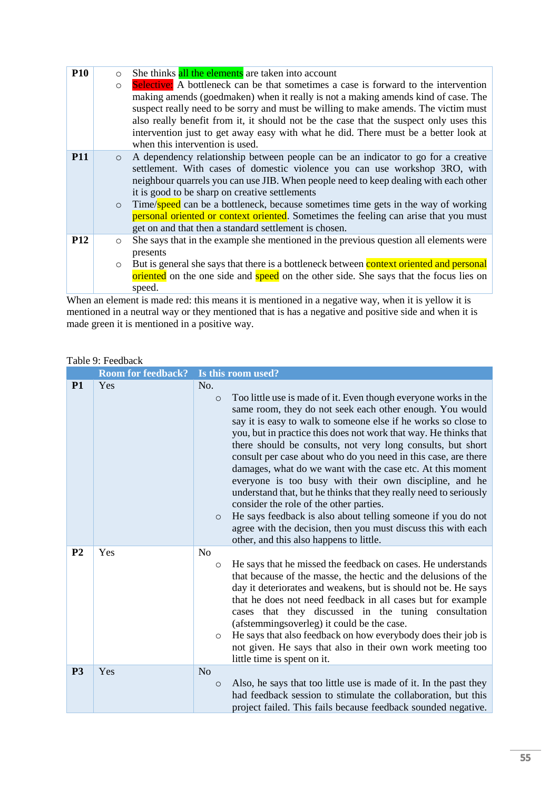| <b>P10</b> | $\circ$                                                                             | She thinks all the elements are taken into account                                       |
|------------|-------------------------------------------------------------------------------------|------------------------------------------------------------------------------------------|
|            | $\circ$                                                                             | Selective: A bottleneck can be that sometimes a case is forward to the intervention      |
|            |                                                                                     | making amends (goedmaken) when it really is not a making amends kind of case. The        |
|            |                                                                                     | suspect really need to be sorry and must be willing to make amends. The victim must      |
|            |                                                                                     | also really benefit from it, it should not be the case that the suspect only uses this   |
|            |                                                                                     | intervention just to get away easy with what he did. There must be a better look at      |
|            |                                                                                     | when this intervention is used.                                                          |
| <b>P11</b> | $\circ$                                                                             | A dependency relationship between people can be an indicator to go for a creative        |
|            |                                                                                     | settlement. With cases of domestic violence you can use workshop 3RO, with               |
|            |                                                                                     |                                                                                          |
|            |                                                                                     | neighbour quarrels you can use JIB. When people need to keep dealing with each other     |
|            |                                                                                     | it is good to be sharp on creative settlements                                           |
|            | o Time/speed can be a bottleneck, because sometimes time gets in the way of working |                                                                                          |
|            |                                                                                     | personal oriented or context oriented. Sometimes the feeling can arise that you must     |
|            |                                                                                     | get on and that then a standard settlement is chosen.                                    |
| <b>P12</b> | $\circ$                                                                             | She says that in the example she mentioned in the previous question all elements were    |
|            |                                                                                     | presents                                                                                 |
|            | $\circ$                                                                             | But is general she says that there is a bottleneck between context oriented and personal |
|            |                                                                                     | oriented on the one side and speed on the other side. She says that the focus lies on    |
|            |                                                                                     | speed.                                                                                   |
|            |                                                                                     |                                                                                          |

When an element is made red: this means it is mentioned in a negative way, when it is yellow it is mentioned in a neutral way or they mentioned that is has a negative and positive side and when it is made green it is mentioned in a positive way.

#### Table 9: Feedback

|                | <b>Room for feedback?</b> | Is this room used?                                                                                                                                                                                                                                                                                                                                                                                                                                                                                                                                                                                                                                                                                                                                                                                                                                  |
|----------------|---------------------------|-----------------------------------------------------------------------------------------------------------------------------------------------------------------------------------------------------------------------------------------------------------------------------------------------------------------------------------------------------------------------------------------------------------------------------------------------------------------------------------------------------------------------------------------------------------------------------------------------------------------------------------------------------------------------------------------------------------------------------------------------------------------------------------------------------------------------------------------------------|
| <b>P1</b>      | Yes                       | No.<br>Too little use is made of it. Even though everyone works in the<br>$\circ$<br>same room, they do not seek each other enough. You would<br>say it is easy to walk to someone else if he works so close to<br>you, but in practice this does not work that way. He thinks that<br>there should be consults, not very long consults, but short<br>consult per case about who do you need in this case, are there<br>damages, what do we want with the case etc. At this moment<br>everyone is too busy with their own discipline, and he<br>understand that, but he thinks that they really need to seriously<br>consider the role of the other parties.<br>He says feedback is also about telling someone if you do not<br>$\circ$<br>agree with the decision, then you must discuss this with each<br>other, and this also happens to little. |
| P <sub>2</sub> | Yes                       | N <sub>o</sub><br>He says that he missed the feedback on cases. He understands<br>$\circ$<br>that because of the masse, the hectic and the delusions of the<br>day it deteriorates and weakens, but is should not be. He says<br>that he does not need feedback in all cases but for example<br>cases that they discussed in the tuning consultation<br>(afstemmingsoverleg) it could be the case.<br>He says that also feedback on how everybody does their job is<br>$\circ$<br>not given. He says that also in their own work meeting too<br>little time is spent on it.                                                                                                                                                                                                                                                                         |
| P <sub>3</sub> | Yes                       | N <sub>o</sub><br>Also, he says that too little use is made of it. In the past they<br>$\circ$<br>had feedback session to stimulate the collaboration, but this<br>project failed. This fails because feedback sounded negative.                                                                                                                                                                                                                                                                                                                                                                                                                                                                                                                                                                                                                    |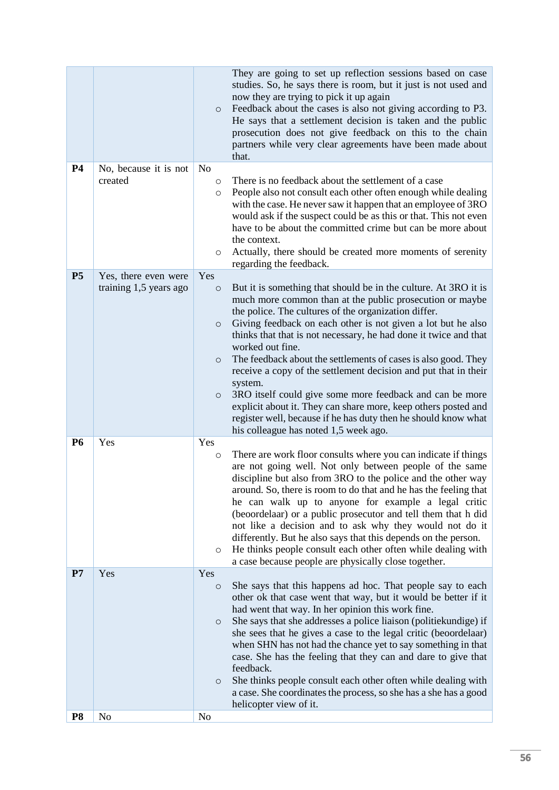|                |                                                | $\circ$                                         | They are going to set up reflection sessions based on case<br>studies. So, he says there is room, but it just is not used and<br>now they are trying to pick it up again<br>Feedback about the cases is also not giving according to P3.<br>He says that a settlement decision is taken and the public<br>prosecution does not give feedback on this to the chain<br>partners while very clear agreements have been made about<br>that.                                                                                                                                                                                                                                                                                              |
|----------------|------------------------------------------------|-------------------------------------------------|--------------------------------------------------------------------------------------------------------------------------------------------------------------------------------------------------------------------------------------------------------------------------------------------------------------------------------------------------------------------------------------------------------------------------------------------------------------------------------------------------------------------------------------------------------------------------------------------------------------------------------------------------------------------------------------------------------------------------------------|
| <b>P4</b>      | No, because it is not<br>created               | N <sub>o</sub><br>$\circ$<br>$\circ$<br>$\circ$ | There is no feedback about the settlement of a case<br>People also not consult each other often enough while dealing<br>with the case. He never saw it happen that an employee of 3RO<br>would ask if the suspect could be as this or that. This not even<br>have to be about the committed crime but can be more about<br>the context.<br>Actually, there should be created more moments of serenity<br>regarding the feedback.                                                                                                                                                                                                                                                                                                     |
| P <sub>5</sub> | Yes, there even were<br>training 1,5 years ago | Yes<br>$\circ$<br>$\circ$<br>$\circ$<br>$\circ$ | But it is something that should be in the culture. At 3RO it is<br>much more common than at the public prosecution or maybe<br>the police. The cultures of the organization differ.<br>Giving feedback on each other is not given a lot but he also<br>thinks that that is not necessary, he had done it twice and that<br>worked out fine.<br>The feedback about the settlements of cases is also good. They<br>receive a copy of the settlement decision and put that in their<br>system.<br>3RO itself could give some more feedback and can be more<br>explicit about it. They can share more, keep others posted and<br>register well, because if he has duty then he should know what<br>his colleague has noted 1,5 week ago. |
| <b>P6</b>      | Yes                                            | Yes<br>$\circ$<br>$\circ$                       | There are work floor consults where you can indicate if things<br>are not going well. Not only between people of the same<br>discipline but also from 3RO to the police and the other way<br>around. So, there is room to do that and he has the feeling that<br>he can walk up to anyone for example a legal critic<br>(beoordelaar) or a public prosecutor and tell them that h did<br>not like a decision and to ask why they would not do it<br>differently. But he also says that this depends on the person.<br>He thinks people consult each other often while dealing with<br>a case because people are physically close together.                                                                                           |
| P7             | Yes                                            | Yes<br>$\circ$<br>$\circ$<br>$\circ$            | She says that this happens ad hoc. That people say to each<br>other ok that case went that way, but it would be better if it<br>had went that way. In her opinion this work fine.<br>She says that she addresses a police liaison (politiekundige) if<br>she sees that he gives a case to the legal critic (beoordelaar)<br>when SHN has not had the chance yet to say something in that<br>case. She has the feeling that they can and dare to give that<br>feedback.<br>She thinks people consult each other often while dealing with<br>a case. She coordinates the process, so she has a she has a good<br>helicopter view of it.                                                                                                |
| P8             | N <sub>o</sub>                                 | No                                              |                                                                                                                                                                                                                                                                                                                                                                                                                                                                                                                                                                                                                                                                                                                                      |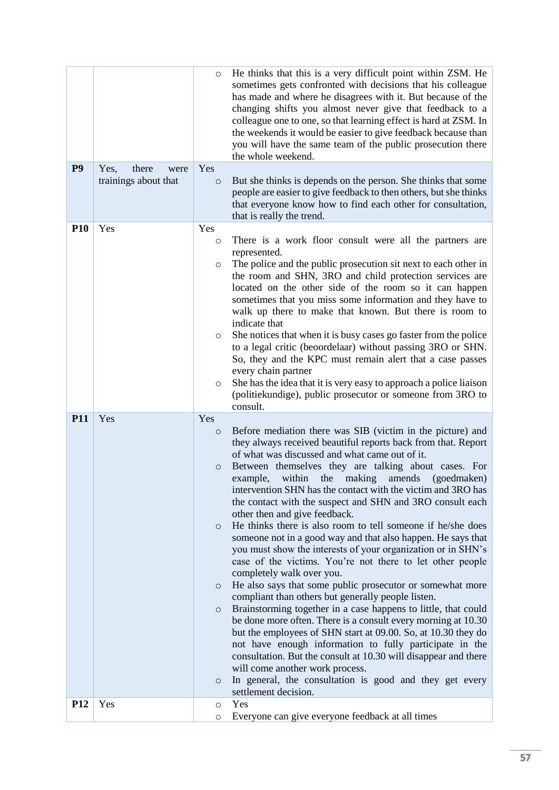| Yes<br>P <sub>9</sub><br>there<br>Yes,<br>were<br>trainings about that<br>But she thinks is depends on the person. She thinks that some<br>$\circ$<br>people are easier to give feedback to then others, but she thinks<br>that everyone know how to find each other for consultation,<br>that is really the trend.<br>Yes<br><b>P10</b><br>Yes<br>There is a work floor consult were all the partners are<br>O<br>represented.<br>The police and the public prosecution sit next to each other in<br>O<br>the room and SHN, 3RO and child protection services are<br>located on the other side of the room so it can happen<br>sometimes that you miss some information and they have to<br>walk up there to make that known. But there is room to<br>indicate that<br>She notices that when it is busy cases go faster from the police<br>$\circ$<br>to a legal critic (beoordelaar) without passing 3RO or SHN.<br>So, they and the KPC must remain alert that a case passes<br>every chain partner<br>She has the idea that it is very easy to approach a police liaison<br>$\circ$<br>(politiekundige), public prosecutor or someone from 3RO to<br>consult.<br>Yes<br><b>P11</b><br>Yes<br>Before mediation there was SIB (victim in the picture) and<br>$\circ$<br>they always received beautiful reports back from that. Report<br>of what was discussed and what came out of it.<br>Between themselves they are talking about cases. For<br>$\circ$<br>within<br>the making amends (goedmaken)<br>example,<br>intervention SHN has the contact with the victim and 3RO has<br>the contact with the suspect and SHN and 3RO consult each<br>other then and give feedback.<br>He thinks there is also room to tell someone if he/she does<br>$\circ$<br>someone not in a good way and that also happen. He says that<br>you must show the interests of your organization or in SHN's<br>case of the victims. You're not there to let other people<br>completely walk over you.<br>He also says that some public prosecutor or somewhat more<br>$\circ$<br>compliant than others but generally people listen.<br>Brainstorming together in a case happens to little, that could<br>$\circ$<br>be done more often. There is a consult every morning at 10.30<br>but the employees of SHN start at 09.00. So, at 10.30 they do<br>not have enough information to fully participate in the<br>consultation. But the consult at 10.30 will disappear and there<br>will come another work process.<br>In general, the consultation is good and they get every<br>$\circ$ |            |     | $\circ$ | He thinks that this is a very difficult point within ZSM. He<br>sometimes gets confronted with decisions that his colleague<br>has made and where he disagrees with it. But because of the<br>changing shifts you almost never give that feedback to a<br>colleague one to one, so that learning effect is hard at ZSM. In<br>the weekends it would be easier to give feedback because than<br>you will have the same team of the public prosecution there<br>the whole weekend. |
|---------------------------------------------------------------------------------------------------------------------------------------------------------------------------------------------------------------------------------------------------------------------------------------------------------------------------------------------------------------------------------------------------------------------------------------------------------------------------------------------------------------------------------------------------------------------------------------------------------------------------------------------------------------------------------------------------------------------------------------------------------------------------------------------------------------------------------------------------------------------------------------------------------------------------------------------------------------------------------------------------------------------------------------------------------------------------------------------------------------------------------------------------------------------------------------------------------------------------------------------------------------------------------------------------------------------------------------------------------------------------------------------------------------------------------------------------------------------------------------------------------------------------------------------------------------------------------------------------------------------------------------------------------------------------------------------------------------------------------------------------------------------------------------------------------------------------------------------------------------------------------------------------------------------------------------------------------------------------------------------------------------------------------------------------------------------------------------------------------------------------------------------------------------------------------------------------------------------------------------------------------------------------------------------------------------------------------------------------------------------------------------------------------------------------------------------------------------------------------------------------------------------------------------------------------------------------|------------|-----|---------|----------------------------------------------------------------------------------------------------------------------------------------------------------------------------------------------------------------------------------------------------------------------------------------------------------------------------------------------------------------------------------------------------------------------------------------------------------------------------------|
|                                                                                                                                                                                                                                                                                                                                                                                                                                                                                                                                                                                                                                                                                                                                                                                                                                                                                                                                                                                                                                                                                                                                                                                                                                                                                                                                                                                                                                                                                                                                                                                                                                                                                                                                                                                                                                                                                                                                                                                                                                                                                                                                                                                                                                                                                                                                                                                                                                                                                                                                                                           |            |     |         |                                                                                                                                                                                                                                                                                                                                                                                                                                                                                  |
|                                                                                                                                                                                                                                                                                                                                                                                                                                                                                                                                                                                                                                                                                                                                                                                                                                                                                                                                                                                                                                                                                                                                                                                                                                                                                                                                                                                                                                                                                                                                                                                                                                                                                                                                                                                                                                                                                                                                                                                                                                                                                                                                                                                                                                                                                                                                                                                                                                                                                                                                                                           |            |     |         |                                                                                                                                                                                                                                                                                                                                                                                                                                                                                  |
|                                                                                                                                                                                                                                                                                                                                                                                                                                                                                                                                                                                                                                                                                                                                                                                                                                                                                                                                                                                                                                                                                                                                                                                                                                                                                                                                                                                                                                                                                                                                                                                                                                                                                                                                                                                                                                                                                                                                                                                                                                                                                                                                                                                                                                                                                                                                                                                                                                                                                                                                                                           |            |     |         |                                                                                                                                                                                                                                                                                                                                                                                                                                                                                  |
|                                                                                                                                                                                                                                                                                                                                                                                                                                                                                                                                                                                                                                                                                                                                                                                                                                                                                                                                                                                                                                                                                                                                                                                                                                                                                                                                                                                                                                                                                                                                                                                                                                                                                                                                                                                                                                                                                                                                                                                                                                                                                                                                                                                                                                                                                                                                                                                                                                                                                                                                                                           |            |     |         |                                                                                                                                                                                                                                                                                                                                                                                                                                                                                  |
|                                                                                                                                                                                                                                                                                                                                                                                                                                                                                                                                                                                                                                                                                                                                                                                                                                                                                                                                                                                                                                                                                                                                                                                                                                                                                                                                                                                                                                                                                                                                                                                                                                                                                                                                                                                                                                                                                                                                                                                                                                                                                                                                                                                                                                                                                                                                                                                                                                                                                                                                                                           |            |     |         |                                                                                                                                                                                                                                                                                                                                                                                                                                                                                  |
|                                                                                                                                                                                                                                                                                                                                                                                                                                                                                                                                                                                                                                                                                                                                                                                                                                                                                                                                                                                                                                                                                                                                                                                                                                                                                                                                                                                                                                                                                                                                                                                                                                                                                                                                                                                                                                                                                                                                                                                                                                                                                                                                                                                                                                                                                                                                                                                                                                                                                                                                                                           |            |     |         |                                                                                                                                                                                                                                                                                                                                                                                                                                                                                  |
|                                                                                                                                                                                                                                                                                                                                                                                                                                                                                                                                                                                                                                                                                                                                                                                                                                                                                                                                                                                                                                                                                                                                                                                                                                                                                                                                                                                                                                                                                                                                                                                                                                                                                                                                                                                                                                                                                                                                                                                                                                                                                                                                                                                                                                                                                                                                                                                                                                                                                                                                                                           |            |     |         |                                                                                                                                                                                                                                                                                                                                                                                                                                                                                  |
|                                                                                                                                                                                                                                                                                                                                                                                                                                                                                                                                                                                                                                                                                                                                                                                                                                                                                                                                                                                                                                                                                                                                                                                                                                                                                                                                                                                                                                                                                                                                                                                                                                                                                                                                                                                                                                                                                                                                                                                                                                                                                                                                                                                                                                                                                                                                                                                                                                                                                                                                                                           |            |     |         |                                                                                                                                                                                                                                                                                                                                                                                                                                                                                  |
|                                                                                                                                                                                                                                                                                                                                                                                                                                                                                                                                                                                                                                                                                                                                                                                                                                                                                                                                                                                                                                                                                                                                                                                                                                                                                                                                                                                                                                                                                                                                                                                                                                                                                                                                                                                                                                                                                                                                                                                                                                                                                                                                                                                                                                                                                                                                                                                                                                                                                                                                                                           |            |     |         |                                                                                                                                                                                                                                                                                                                                                                                                                                                                                  |
|                                                                                                                                                                                                                                                                                                                                                                                                                                                                                                                                                                                                                                                                                                                                                                                                                                                                                                                                                                                                                                                                                                                                                                                                                                                                                                                                                                                                                                                                                                                                                                                                                                                                                                                                                                                                                                                                                                                                                                                                                                                                                                                                                                                                                                                                                                                                                                                                                                                                                                                                                                           |            |     |         |                                                                                                                                                                                                                                                                                                                                                                                                                                                                                  |
|                                                                                                                                                                                                                                                                                                                                                                                                                                                                                                                                                                                                                                                                                                                                                                                                                                                                                                                                                                                                                                                                                                                                                                                                                                                                                                                                                                                                                                                                                                                                                                                                                                                                                                                                                                                                                                                                                                                                                                                                                                                                                                                                                                                                                                                                                                                                                                                                                                                                                                                                                                           |            |     |         |                                                                                                                                                                                                                                                                                                                                                                                                                                                                                  |
|                                                                                                                                                                                                                                                                                                                                                                                                                                                                                                                                                                                                                                                                                                                                                                                                                                                                                                                                                                                                                                                                                                                                                                                                                                                                                                                                                                                                                                                                                                                                                                                                                                                                                                                                                                                                                                                                                                                                                                                                                                                                                                                                                                                                                                                                                                                                                                                                                                                                                                                                                                           |            |     |         |                                                                                                                                                                                                                                                                                                                                                                                                                                                                                  |
|                                                                                                                                                                                                                                                                                                                                                                                                                                                                                                                                                                                                                                                                                                                                                                                                                                                                                                                                                                                                                                                                                                                                                                                                                                                                                                                                                                                                                                                                                                                                                                                                                                                                                                                                                                                                                                                                                                                                                                                                                                                                                                                                                                                                                                                                                                                                                                                                                                                                                                                                                                           |            |     |         |                                                                                                                                                                                                                                                                                                                                                                                                                                                                                  |
|                                                                                                                                                                                                                                                                                                                                                                                                                                                                                                                                                                                                                                                                                                                                                                                                                                                                                                                                                                                                                                                                                                                                                                                                                                                                                                                                                                                                                                                                                                                                                                                                                                                                                                                                                                                                                                                                                                                                                                                                                                                                                                                                                                                                                                                                                                                                                                                                                                                                                                                                                                           |            |     |         |                                                                                                                                                                                                                                                                                                                                                                                                                                                                                  |
|                                                                                                                                                                                                                                                                                                                                                                                                                                                                                                                                                                                                                                                                                                                                                                                                                                                                                                                                                                                                                                                                                                                                                                                                                                                                                                                                                                                                                                                                                                                                                                                                                                                                                                                                                                                                                                                                                                                                                                                                                                                                                                                                                                                                                                                                                                                                                                                                                                                                                                                                                                           |            |     |         |                                                                                                                                                                                                                                                                                                                                                                                                                                                                                  |
|                                                                                                                                                                                                                                                                                                                                                                                                                                                                                                                                                                                                                                                                                                                                                                                                                                                                                                                                                                                                                                                                                                                                                                                                                                                                                                                                                                                                                                                                                                                                                                                                                                                                                                                                                                                                                                                                                                                                                                                                                                                                                                                                                                                                                                                                                                                                                                                                                                                                                                                                                                           |            |     |         |                                                                                                                                                                                                                                                                                                                                                                                                                                                                                  |
|                                                                                                                                                                                                                                                                                                                                                                                                                                                                                                                                                                                                                                                                                                                                                                                                                                                                                                                                                                                                                                                                                                                                                                                                                                                                                                                                                                                                                                                                                                                                                                                                                                                                                                                                                                                                                                                                                                                                                                                                                                                                                                                                                                                                                                                                                                                                                                                                                                                                                                                                                                           |            |     |         |                                                                                                                                                                                                                                                                                                                                                                                                                                                                                  |
|                                                                                                                                                                                                                                                                                                                                                                                                                                                                                                                                                                                                                                                                                                                                                                                                                                                                                                                                                                                                                                                                                                                                                                                                                                                                                                                                                                                                                                                                                                                                                                                                                                                                                                                                                                                                                                                                                                                                                                                                                                                                                                                                                                                                                                                                                                                                                                                                                                                                                                                                                                           |            |     |         |                                                                                                                                                                                                                                                                                                                                                                                                                                                                                  |
| settlement decision.                                                                                                                                                                                                                                                                                                                                                                                                                                                                                                                                                                                                                                                                                                                                                                                                                                                                                                                                                                                                                                                                                                                                                                                                                                                                                                                                                                                                                                                                                                                                                                                                                                                                                                                                                                                                                                                                                                                                                                                                                                                                                                                                                                                                                                                                                                                                                                                                                                                                                                                                                      |            |     |         |                                                                                                                                                                                                                                                                                                                                                                                                                                                                                  |
| $\circ$                                                                                                                                                                                                                                                                                                                                                                                                                                                                                                                                                                                                                                                                                                                                                                                                                                                                                                                                                                                                                                                                                                                                                                                                                                                                                                                                                                                                                                                                                                                                                                                                                                                                                                                                                                                                                                                                                                                                                                                                                                                                                                                                                                                                                                                                                                                                                                                                                                                                                                                                                                   | <b>P12</b> | Yes |         | Yes                                                                                                                                                                                                                                                                                                                                                                                                                                                                              |
|                                                                                                                                                                                                                                                                                                                                                                                                                                                                                                                                                                                                                                                                                                                                                                                                                                                                                                                                                                                                                                                                                                                                                                                                                                                                                                                                                                                                                                                                                                                                                                                                                                                                                                                                                                                                                                                                                                                                                                                                                                                                                                                                                                                                                                                                                                                                                                                                                                                                                                                                                                           |            |     | $\circ$ | Everyone can give everyone feedback at all times                                                                                                                                                                                                                                                                                                                                                                                                                                 |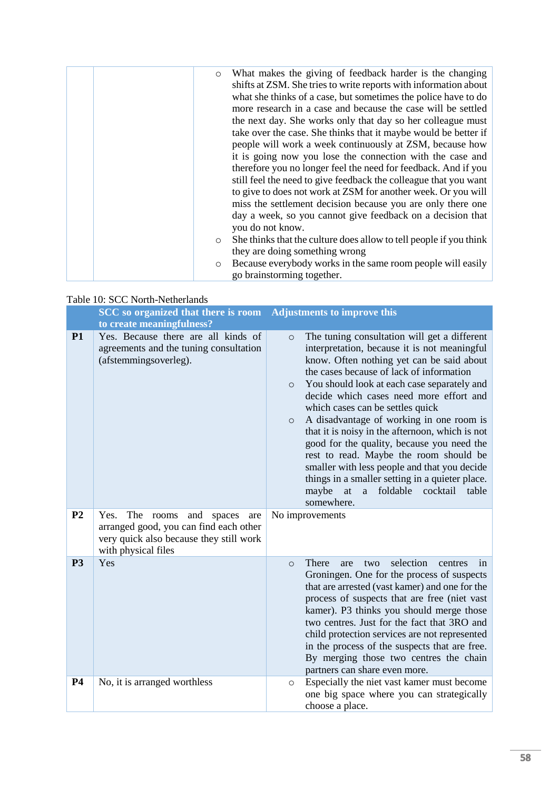|         | What makes the giving of feedback harder is the changing<br>shifts at ZSM. She tries to write reports with information about<br>what she thinks of a case, but sometimes the police have to do<br>more research in a case and because the case will be settled |
|---------|----------------------------------------------------------------------------------------------------------------------------------------------------------------------------------------------------------------------------------------------------------------|
|         | the next day. She works only that day so her colleague must<br>take over the case. She thinks that it maybe would be better if                                                                                                                                 |
|         | people will work a week continuously at ZSM, because how                                                                                                                                                                                                       |
|         | it is going now you lose the connection with the case and                                                                                                                                                                                                      |
|         | therefore you no longer feel the need for feedback. And if you                                                                                                                                                                                                 |
|         | still feel the need to give feedback the colleague that you want                                                                                                                                                                                               |
|         | to give to does not work at ZSM for another week. Or you will                                                                                                                                                                                                  |
|         | miss the settlement decision because you are only there one                                                                                                                                                                                                    |
|         | day a week, so you cannot give feedback on a decision that<br>you do not know.                                                                                                                                                                                 |
|         |                                                                                                                                                                                                                                                                |
| $\circ$ | She thinks that the culture does allow to tell people if you think                                                                                                                                                                                             |
|         | they are doing something wrong                                                                                                                                                                                                                                 |
| $\circ$ | Because everybody works in the same room people will easily                                                                                                                                                                                                    |
|         | go brainstorming together.                                                                                                                                                                                                                                     |

#### Table 10: SCC North-Netherlands

|                | SCC so organized that there is room                                                                                                                   |                                | <b>Adjustments to improve this</b>                                                                                                                                                                                                                                                                                                                                                                                                                                                                                                                                                                                                                                                          |
|----------------|-------------------------------------------------------------------------------------------------------------------------------------------------------|--------------------------------|---------------------------------------------------------------------------------------------------------------------------------------------------------------------------------------------------------------------------------------------------------------------------------------------------------------------------------------------------------------------------------------------------------------------------------------------------------------------------------------------------------------------------------------------------------------------------------------------------------------------------------------------------------------------------------------------|
|                | to create meaningfulness?                                                                                                                             |                                |                                                                                                                                                                                                                                                                                                                                                                                                                                                                                                                                                                                                                                                                                             |
| <b>P1</b>      | Yes. Because there are all kinds of<br>agreements and the tuning consultation<br>(afstemmingsoverleg).                                                | $\Omega$<br>$\circ$<br>$\circ$ | The tuning consultation will get a different<br>interpretation, because it is not meaningful<br>know. Often nothing yet can be said about<br>the cases because of lack of information<br>You should look at each case separately and<br>decide which cases need more effort and<br>which cases can be settles quick<br>A disadvantage of working in one room is<br>that it is noisy in the afternoon, which is not<br>good for the quality, because you need the<br>rest to read. Maybe the room should be<br>smaller with less people and that you decide<br>things in a smaller setting in a quieter place.<br>maybe<br>at<br>foldable<br>cocktail<br>table<br>$\mathbf{a}$<br>somewhere. |
| P <sub>2</sub> | The rooms<br>and<br>Yes.<br>spaces<br>are<br>arranged good, you can find each other<br>very quick also because they still work<br>with physical files |                                | No improvements                                                                                                                                                                                                                                                                                                                                                                                                                                                                                                                                                                                                                                                                             |
| P <sub>3</sub> | Yes                                                                                                                                                   | $\circ$                        | selection<br>There<br>are<br>two<br>centres<br>in<br>Groningen. One for the process of suspects<br>that are arrested (vast kamer) and one for the<br>process of suspects that are free (niet vast<br>kamer). P3 thinks you should merge those<br>two centres. Just for the fact that 3RO and<br>child protection services are not represented<br>in the process of the suspects that are free.<br>By merging those two centres the chain<br>partners can share even more.                                                                                                                                                                                                                   |
| <b>P4</b>      | No, it is arranged worthless                                                                                                                          | $\circ$                        | Especially the niet vast kamer must become<br>one big space where you can strategically<br>choose a place.                                                                                                                                                                                                                                                                                                                                                                                                                                                                                                                                                                                  |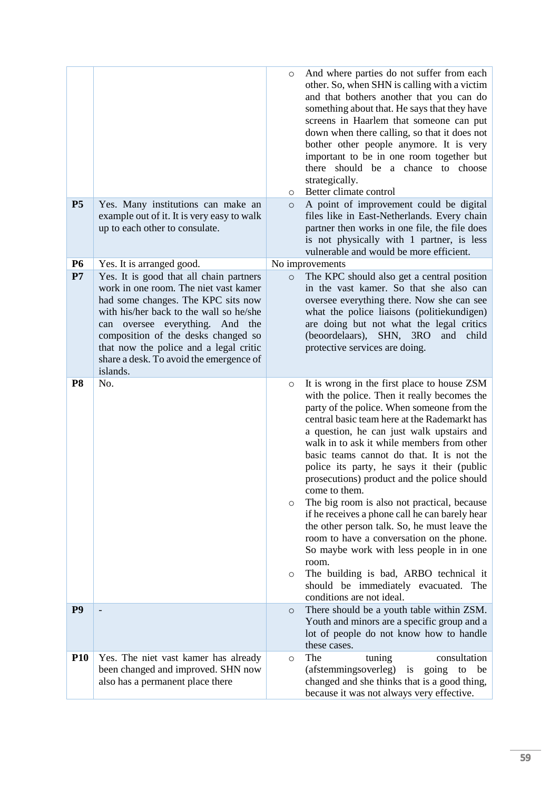| <b>P5</b>      | Yes. Many institutions can make an                                                                                                                                                                                                                                                                                                           | And where parties do not suffer from each<br>O<br>other. So, when SHN is calling with a victim<br>and that bothers another that you can do<br>something about that. He says that they have<br>screens in Haarlem that someone can put<br>down when there calling, so that it does not<br>bother other people anymore. It is very<br>important to be in one room together but<br>there should be a chance to choose<br>strategically.<br>Better climate control<br>$\circ$<br>A point of improvement could be digital<br>$\circ$                                                                                                                                                                                                                                                                                                       |
|----------------|----------------------------------------------------------------------------------------------------------------------------------------------------------------------------------------------------------------------------------------------------------------------------------------------------------------------------------------------|---------------------------------------------------------------------------------------------------------------------------------------------------------------------------------------------------------------------------------------------------------------------------------------------------------------------------------------------------------------------------------------------------------------------------------------------------------------------------------------------------------------------------------------------------------------------------------------------------------------------------------------------------------------------------------------------------------------------------------------------------------------------------------------------------------------------------------------|
|                | example out of it. It is very easy to walk<br>up to each other to consulate.                                                                                                                                                                                                                                                                 | files like in East-Netherlands. Every chain<br>partner then works in one file, the file does<br>is not physically with 1 partner, is less<br>vulnerable and would be more efficient.                                                                                                                                                                                                                                                                                                                                                                                                                                                                                                                                                                                                                                                  |
| <b>P6</b>      | Yes. It is arranged good.                                                                                                                                                                                                                                                                                                                    | No improvements                                                                                                                                                                                                                                                                                                                                                                                                                                                                                                                                                                                                                                                                                                                                                                                                                       |
| P7             | Yes. It is good that all chain partners<br>work in one room. The niet vast kamer<br>had some changes. The KPC sits now<br>with his/her back to the wall so he/she<br>can oversee everything. And the<br>composition of the desks changed so<br>that now the police and a legal critic<br>share a desk. To avoid the emergence of<br>islands. | The KPC should also get a central position<br>$\circ$<br>in the vast kamer. So that she also can<br>oversee everything there. Now she can see<br>what the police liaisons (politiekundigen)<br>are doing but not what the legal critics<br>SHN, 3RO<br>(beoordelaars),<br>and<br>child<br>protective services are doing.                                                                                                                                                                                                                                                                                                                                                                                                                                                                                                              |
| P <sub>8</sub> | No.                                                                                                                                                                                                                                                                                                                                          | It is wrong in the first place to house ZSM<br>$\circ$<br>with the police. Then it really becomes the<br>party of the police. When someone from the<br>central basic team here at the Rademarkt has<br>a question, he can just walk upstairs and<br>walk in to ask it while members from other<br>basic teams cannot do that. It is not the<br>police its party, he says it their (public<br>prosecutions) product and the police should<br>come to them.<br>The big room is also not practical, because<br>O<br>if he receives a phone call he can barely hear<br>the other person talk. So, he must leave the<br>room to have a conversation on the phone.<br>So maybe work with less people in in one<br>room.<br>The building is bad, ARBO technical it<br>O<br>should be immediately evacuated. The<br>conditions are not ideal. |
| P <sub>9</sub> |                                                                                                                                                                                                                                                                                                                                              | There should be a youth table within ZSM.<br>$\circ$<br>Youth and minors are a specific group and a<br>lot of people do not know how to handle<br>these cases.                                                                                                                                                                                                                                                                                                                                                                                                                                                                                                                                                                                                                                                                        |
| <b>P10</b>     | Yes. The niet vast kamer has already<br>been changed and improved. SHN now<br>also has a permanent place there                                                                                                                                                                                                                               | The<br>consultation<br>tuning<br>O<br>(afstemmingsoverleg)<br>going<br>is<br>to<br>be<br>changed and she thinks that is a good thing,<br>because it was not always very effective.                                                                                                                                                                                                                                                                                                                                                                                                                                                                                                                                                                                                                                                    |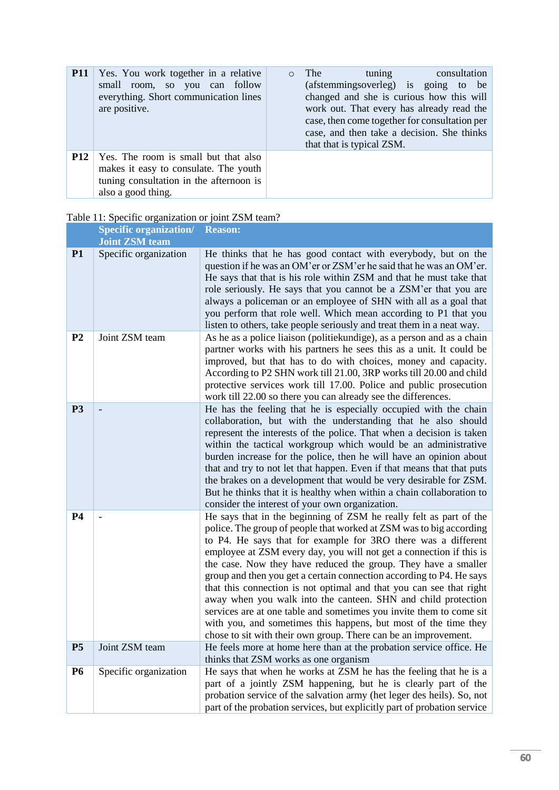| <b>P11</b> | Yes. You work together in a relative<br>small room, so you can follow<br>everything. Short communication lines<br>are positive.                | $\Omega$ | The | tuning consultation<br>(afstemmingsoverleg) is going to be<br>changed and she is curious how this will<br>work out. That every has already read the<br>case, then come together for consultation per<br>case, and then take a decision. She thinks<br>that that is typical ZSM. |  |  |
|------------|------------------------------------------------------------------------------------------------------------------------------------------------|----------|-----|---------------------------------------------------------------------------------------------------------------------------------------------------------------------------------------------------------------------------------------------------------------------------------|--|--|
| <b>P12</b> | Yes. The room is small but that also<br>makes it easy to consulate. The youth<br>tuning consultation in the afternoon is<br>also a good thing. |          |     |                                                                                                                                                                                                                                                                                 |  |  |

## Table 11: Specific organization or joint ZSM team?

|                | <b>Specific organization/</b> | <b>Reason:</b>                                                                                                                                                                                                                                                                                                                                                                                                                                                                                                                                                                                                                                                                                                                                                                   |
|----------------|-------------------------------|----------------------------------------------------------------------------------------------------------------------------------------------------------------------------------------------------------------------------------------------------------------------------------------------------------------------------------------------------------------------------------------------------------------------------------------------------------------------------------------------------------------------------------------------------------------------------------------------------------------------------------------------------------------------------------------------------------------------------------------------------------------------------------|
|                | <b>Joint ZSM</b> team         |                                                                                                                                                                                                                                                                                                                                                                                                                                                                                                                                                                                                                                                                                                                                                                                  |
| <b>P1</b>      | Specific organization         | He thinks that he has good contact with everybody, but on the<br>question if he was an OM'er or ZSM'er he said that he was an OM'er.<br>He says that that is his role within ZSM and that he must take that<br>role seriously. He says that you cannot be a ZSM'er that you are<br>always a policeman or an employee of SHN with all as a goal that<br>you perform that role well. Which mean according to P1 that you<br>listen to others, take people seriously and treat them in a neat way.                                                                                                                                                                                                                                                                                  |
| P <sub>2</sub> | Joint ZSM team                | As he as a police liaison (politiekundige), as a person and as a chain<br>partner works with his partners he sees this as a unit. It could be<br>improved, but that has to do with choices, money and capacity.<br>According to P2 SHN work till 21.00, 3RP works till 20.00 and child<br>protective services work till 17.00. Police and public prosecution<br>work till 22.00 so there you can already see the differences.                                                                                                                                                                                                                                                                                                                                                    |
| P <sub>3</sub> |                               | He has the feeling that he is especially occupied with the chain<br>collaboration, but with the understanding that he also should<br>represent the interests of the police. That when a decision is taken<br>within the tactical workgroup which would be an administrative<br>burden increase for the police, then he will have an opinion about<br>that and try to not let that happen. Even if that means that that puts<br>the brakes on a development that would be very desirable for ZSM.<br>But he thinks that it is healthy when within a chain collaboration to<br>consider the interest of your own organization.                                                                                                                                                     |
| <b>P4</b>      | $\overline{a}$                | He says that in the beginning of ZSM he really felt as part of the<br>police. The group of people that worked at ZSM was to big according<br>to P4. He says that for example for 3RO there was a different<br>employee at ZSM every day, you will not get a connection if this is<br>the case. Now they have reduced the group. They have a smaller<br>group and then you get a certain connection according to P4. He says<br>that this connection is not optimal and that you can see that right<br>away when you walk into the canteen. SHN and child protection<br>services are at one table and sometimes you invite them to come sit<br>with you, and sometimes this happens, but most of the time they<br>chose to sit with their own group. There can be an improvement. |
| P <sub>5</sub> | Joint ZSM team                | He feels more at home here than at the probation service office. He<br>thinks that ZSM works as one organism                                                                                                                                                                                                                                                                                                                                                                                                                                                                                                                                                                                                                                                                     |
| <b>P6</b>      | Specific organization         | He says that when he works at ZSM he has the feeling that he is a<br>part of a jointly ZSM happening, but he is clearly part of the<br>probation service of the salvation army (het leger des heils). So, not<br>part of the probation services, but explicitly part of probation service                                                                                                                                                                                                                                                                                                                                                                                                                                                                                        |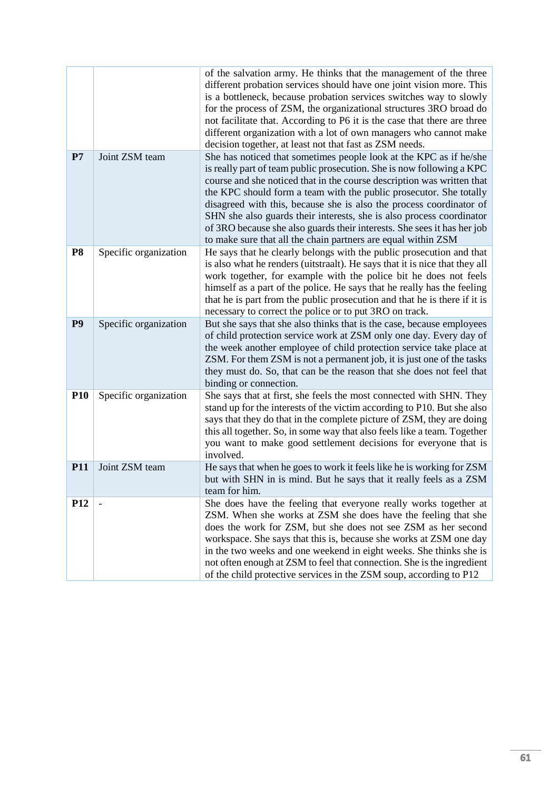| P7             | Joint ZSM team        | of the salvation army. He thinks that the management of the three<br>different probation services should have one joint vision more. This<br>is a bottleneck, because probation services switches way to slowly<br>for the process of ZSM, the organizational structures 3RO broad do<br>not facilitate that. According to P6 it is the case that there are three<br>different organization with a lot of own managers who cannot make<br>decision together, at least not that fast as ZSM needs.<br>She has noticed that sometimes people look at the KPC as if he/she |
|----------------|-----------------------|-------------------------------------------------------------------------------------------------------------------------------------------------------------------------------------------------------------------------------------------------------------------------------------------------------------------------------------------------------------------------------------------------------------------------------------------------------------------------------------------------------------------------------------------------------------------------|
|                |                       | is really part of team public prosecution. She is now following a KPC<br>course and she noticed that in the course description was written that<br>the KPC should form a team with the public prosecutor. She totally<br>disagreed with this, because she is also the process coordinator of<br>SHN she also guards their interests, she is also process coordinator<br>of 3RO because she also guards their interests. She sees it has her job<br>to make sure that all the chain partners are equal within ZSM                                                        |
| P <sub>8</sub> | Specific organization | He says that he clearly belongs with the public prosecution and that<br>is also what he renders (uitstraalt). He says that it is nice that they all<br>work together, for example with the police bit he does not feels<br>himself as a part of the police. He says that he really has the feeling<br>that he is part from the public prosecution and that he is there if it is<br>necessary to correct the police or to put 3RO on track.                                                                                                                              |
| P <sub>9</sub> | Specific organization | But she says that she also thinks that is the case, because employees<br>of child protection service work at ZSM only one day. Every day of<br>the week another employee of child protection service take place at<br>ZSM. For them ZSM is not a permanent job, it is just one of the tasks<br>they must do. So, that can be the reason that she does not feel that<br>binding or connection.                                                                                                                                                                           |
| <b>P10</b>     | Specific organization | She says that at first, she feels the most connected with SHN. They<br>stand up for the interests of the victim according to P10. But she also<br>says that they do that in the complete picture of ZSM, they are doing<br>this all together. So, in some way that also feels like a team. Together<br>you want to make good settlement decisions for everyone that is<br>involved.                                                                                                                                                                                     |
| <b>P11</b>     | Joint ZSM team        | He says that when he goes to work it feels like he is working for ZSM<br>but with SHN in is mind. But he says that it really feels as a ZSM<br>team for him.                                                                                                                                                                                                                                                                                                                                                                                                            |
| <b>P12</b>     |                       | She does have the feeling that everyone really works together at<br>ZSM. When she works at ZSM she does have the feeling that she<br>does the work for ZSM, but she does not see ZSM as her second<br>workspace. She says that this is, because she works at ZSM one day<br>in the two weeks and one weekend in eight weeks. She thinks she is<br>not often enough at ZSM to feel that connection. She is the ingredient<br>of the child protective services in the ZSM soup, according to P12                                                                          |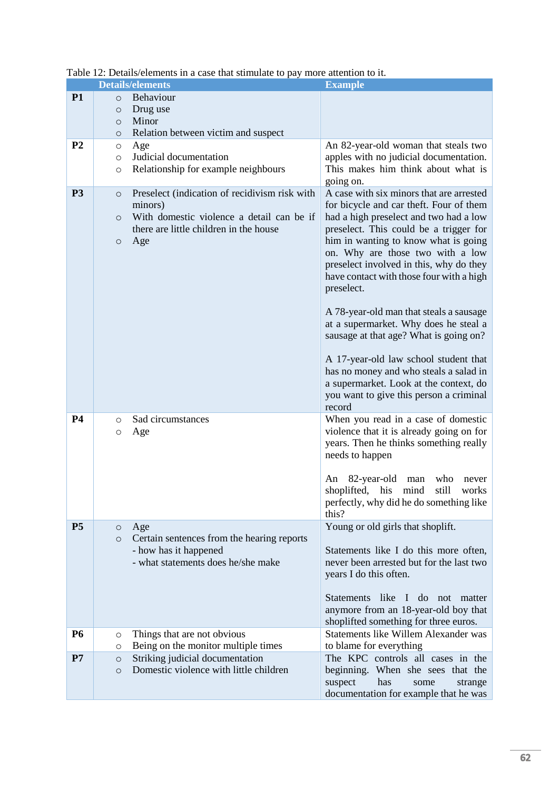|                |         | <b>Details/elements</b>                       | <b>Example</b>                                                                     |
|----------------|---------|-----------------------------------------------|------------------------------------------------------------------------------------|
| <b>P1</b>      | $\circ$ | Behaviour                                     |                                                                                    |
|                | $\circ$ | Drug use                                      |                                                                                    |
|                | $\circ$ | Minor                                         |                                                                                    |
|                | $\circ$ | Relation between victim and suspect           |                                                                                    |
| P <sub>2</sub> | $\circ$ | Age                                           | An 82-year-old woman that steals two                                               |
|                | $\circ$ | Judicial documentation                        | apples with no judicial documentation.                                             |
|                | $\circ$ | Relationship for example neighbours           | This makes him think about what is                                                 |
|                |         |                                               | going on.                                                                          |
| P <sub>3</sub> | $\circ$ | Preselect (indication of recidivism risk with | A case with six minors that are arrested                                           |
|                |         | minors)                                       | for bicycle and car theft. Four of them                                            |
|                | $\circ$ | With domestic violence a detail can be if     | had a high preselect and two had a low                                             |
|                |         | there are little children in the house        | preselect. This could be a trigger for                                             |
|                | $\circ$ | Age                                           | him in wanting to know what is going<br>on. Why are those two with a low           |
|                |         |                                               | preselect involved in this, why do they                                            |
|                |         |                                               | have contact with those four with a high                                           |
|                |         |                                               | preselect.                                                                         |
|                |         |                                               |                                                                                    |
|                |         |                                               | A 78-year-old man that steals a sausage                                            |
|                |         |                                               | at a supermarket. Why does he steal a                                              |
|                |         |                                               | sausage at that age? What is going on?                                             |
|                |         |                                               |                                                                                    |
|                |         |                                               | A 17-year-old law school student that                                              |
|                |         |                                               | has no money and who steals a salad in                                             |
|                |         |                                               | a supermarket. Look at the context, do                                             |
|                |         |                                               | you want to give this person a criminal                                            |
|                |         |                                               | record                                                                             |
| <b>P4</b>      | $\circ$ | Sad circumstances                             | When you read in a case of domestic                                                |
|                | $\circ$ | Age                                           | violence that it is already going on for                                           |
|                |         |                                               | years. Then he thinks something really                                             |
|                |         |                                               | needs to happen                                                                    |
|                |         |                                               |                                                                                    |
|                |         |                                               | An 82-year-old<br>who<br>man<br>never<br>mind<br>shoplifted, his<br>still<br>works |
|                |         |                                               | perfectly, why did he do something like                                            |
|                |         |                                               | this?                                                                              |
| <b>P5</b>      | $\circ$ | Age                                           | Young or old girls that shoplift.                                                  |
|                | $\circ$ | Certain sentences from the hearing reports    |                                                                                    |
|                |         | - how has it happened                         | Statements like I do this more often,                                              |
|                |         | - what statements does he/she make            | never been arrested but for the last two                                           |
|                |         |                                               | years I do this often.                                                             |
|                |         |                                               |                                                                                    |
|                |         |                                               | Statements like I do not<br>matter                                                 |
|                |         |                                               | anymore from an 18-year-old boy that                                               |
|                |         |                                               | shoplifted something for three euros.                                              |
| <b>P6</b>      | $\circ$ | Things that are not obvious                   | <b>Statements like Willem Alexander was</b>                                        |
|                | O       | Being on the monitor multiple times           | to blame for everything                                                            |
| P7             | $\circ$ | Striking judicial documentation               | The KPC controls all cases in the                                                  |
|                | $\circ$ | Domestic violence with little children        | beginning. When she sees that the                                                  |
|                |         |                                               | suspect<br>has<br>some<br>strange                                                  |
|                |         |                                               | documentation for example that he was                                              |

## Table 12: Details/elements in a case that stimulate to pay more attention to it.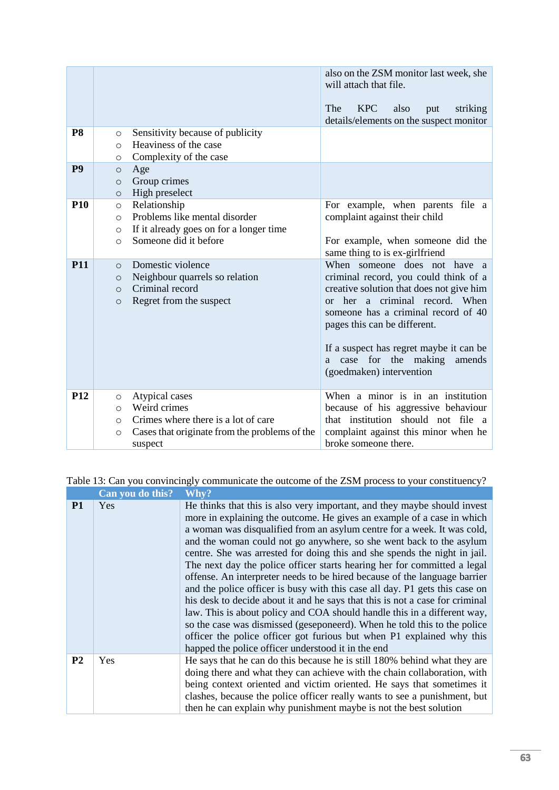|                |                                                                                                                                                                               | also on the ZSM monitor last week, she<br>will attach that file.<br>The<br><b>KPC</b><br>also<br>striking<br>put<br>details/elements on the suspect monitor                                                                                                                                                                             |
|----------------|-------------------------------------------------------------------------------------------------------------------------------------------------------------------------------|-----------------------------------------------------------------------------------------------------------------------------------------------------------------------------------------------------------------------------------------------------------------------------------------------------------------------------------------|
| P8             | Sensitivity because of publicity<br>$\circ$<br>Heaviness of the case<br>$\Omega$<br>Complexity of the case<br>$\circ$                                                         |                                                                                                                                                                                                                                                                                                                                         |
| P <sub>9</sub> | Age<br>$\circ$<br>Group crimes<br>$\circ$<br>High preselect<br>$\circ$                                                                                                        |                                                                                                                                                                                                                                                                                                                                         |
| <b>P10</b>     | Relationship<br>$\circ$<br>Problems like mental disorder<br>$\circ$<br>If it already goes on for a longer time<br>$\circ$<br>Someone did it before<br>$\circ$                 | For example, when parents file a<br>complaint against their child<br>For example, when someone did the<br>same thing to is ex-girlfriend                                                                                                                                                                                                |
| <b>P11</b>     | Domestic violence<br>$\Omega$<br>Neighbour quarrels so relation<br>$\circ$<br>Criminal record<br>$\Omega$<br>Regret from the suspect<br>$\Omega$                              | When someone does not have a<br>criminal record, you could think of a<br>creative solution that does not give him<br>or her a criminal record. When<br>someone has a criminal record of 40<br>pages this can be different.<br>If a suspect has regret maybe it can be<br>case for the making<br>amends<br>a<br>(goedmaken) intervention |
| <b>P12</b>     | Atypical cases<br>$\circ$<br>Weird crimes<br>$\circ$<br>Crimes where there is a lot of care<br>$\circ$<br>Cases that originate from the problems of the<br>$\circ$<br>suspect | When a minor is in an institution<br>because of his aggressive behaviour<br>that institution should not file a<br>complaint against this minor when he<br>broke someone there.                                                                                                                                                          |

## Table 13: Can you convincingly communicate the outcome of the ZSM process to your constituency?

|                | Can you do this? | Why?                                                                                                                                                                                                                                                                                                                                                                                                                                                                                                                                                                                                                                                                                                                                                                                                                                                                                                                                                                                             |
|----------------|------------------|--------------------------------------------------------------------------------------------------------------------------------------------------------------------------------------------------------------------------------------------------------------------------------------------------------------------------------------------------------------------------------------------------------------------------------------------------------------------------------------------------------------------------------------------------------------------------------------------------------------------------------------------------------------------------------------------------------------------------------------------------------------------------------------------------------------------------------------------------------------------------------------------------------------------------------------------------------------------------------------------------|
| <b>P1</b>      | <b>Yes</b>       | He thinks that this is also very important, and they maybe should invest<br>more in explaining the outcome. He gives an example of a case in which<br>a woman was disqualified from an asylum centre for a week. It was cold,<br>and the woman could not go anywhere, so she went back to the asylum<br>centre. She was arrested for doing this and she spends the night in jail.<br>The next day the police officer starts hearing her for committed a legal<br>offense. An interpreter needs to be hired because of the language barrier<br>and the police officer is busy with this case all day. P1 gets this case on<br>his desk to decide about it and he says that this is not a case for criminal<br>law. This is about policy and COA should handle this in a different way,<br>so the case was dismissed (geseponeerd). When he told this to the police<br>officer the police officer got furious but when P1 explained why this<br>happed the police officer understood it in the end |
| P <sub>2</sub> | <b>Yes</b>       | He says that he can do this because he is still 180% behind what they are<br>doing there and what they can achieve with the chain collaboration, with<br>being context oriented and victim oriented. He says that sometimes it<br>clashes, because the police officer really wants to see a punishment, but<br>then he can explain why punishment maybe is not the best solution                                                                                                                                                                                                                                                                                                                                                                                                                                                                                                                                                                                                                 |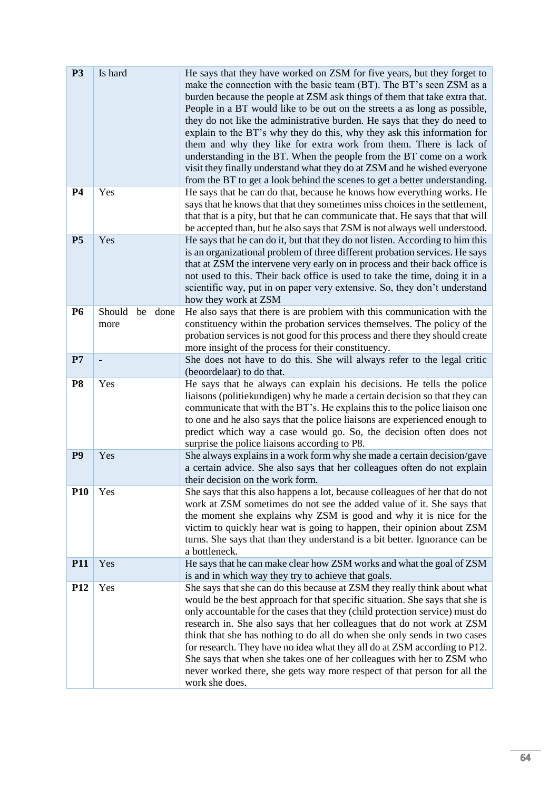| P <sub>3</sub> | Is hard                   | He says that they have worked on ZSM for five years, but they forget to<br>make the connection with the basic team (BT). The BT's seen ZSM as a<br>burden because the people at ZSM ask things of them that take extra that.<br>People in a BT would like to be out on the streets a as long as possible,<br>they do not like the administrative burden. He says that they do need to<br>explain to the BT's why they do this, why they ask this information for<br>them and why they like for extra work from them. There is lack of<br>understanding in the BT. When the people from the BT come on a work<br>visit they finally understand what they do at ZSM and he wished everyone<br>from the BT to get a look behind the scenes to get a better understanding. |
|----------------|---------------------------|------------------------------------------------------------------------------------------------------------------------------------------------------------------------------------------------------------------------------------------------------------------------------------------------------------------------------------------------------------------------------------------------------------------------------------------------------------------------------------------------------------------------------------------------------------------------------------------------------------------------------------------------------------------------------------------------------------------------------------------------------------------------|
| <b>P4</b>      | Yes                       | He says that he can do that, because he knows how everything works. He<br>says that he knows that that they sometimes miss choices in the settlement,<br>that that is a pity, but that he can communicate that. He says that that will<br>be accepted than, but he also says that ZSM is not always well understood.                                                                                                                                                                                                                                                                                                                                                                                                                                                   |
| P <sub>5</sub> | Yes                       | He says that he can do it, but that they do not listen. According to him this<br>is an organizational problem of three different probation services. He says<br>that at ZSM the intervene very early on in process and their back office is<br>not used to this. Their back office is used to take the time, doing it in a<br>scientific way, put in on paper very extensive. So, they don't understand<br>how they work at ZSM                                                                                                                                                                                                                                                                                                                                        |
| <b>P6</b>      | Should<br>be done<br>more | He also says that there is are problem with this communication with the<br>constituency within the probation services themselves. The policy of the<br>probation services is not good for this process and there they should create<br>more insight of the process for their constituency.                                                                                                                                                                                                                                                                                                                                                                                                                                                                             |
| P7             | $\overline{a}$            | She does not have to do this. She will always refer to the legal critic<br>(beoordelaar) to do that.                                                                                                                                                                                                                                                                                                                                                                                                                                                                                                                                                                                                                                                                   |
| P <sub>8</sub> | Yes                       | He says that he always can explain his decisions. He tells the police<br>liaisons (politiekundigen) why he made a certain decision so that they can<br>communicate that with the BT's. He explains this to the police liaison one<br>to one and he also says that the police liaisons are experienced enough to<br>predict which way a case would go. So, the decision often does not<br>surprise the police liaisons according to P8.                                                                                                                                                                                                                                                                                                                                 |
| P <sub>9</sub> | Yes                       | She always explains in a work form why she made a certain decision/gave<br>a certain advice. She also says that her colleagues often do not explain<br>their decision on the work form.                                                                                                                                                                                                                                                                                                                                                                                                                                                                                                                                                                                |
| <b>P10</b>     | Yes                       | She says that this also happens a lot, because colleagues of her that do not<br>work at ZSM sometimes do not see the added value of it. She says that<br>the moment she explains why ZSM is good and why it is nice for the<br>victim to quickly hear wat is going to happen, their opinion about ZSM<br>turns. She says that than they understand is a bit better. Ignorance can be<br>a bottleneck.                                                                                                                                                                                                                                                                                                                                                                  |
| <b>P11</b>     | Yes                       | He says that he can make clear how ZSM works and what the goal of ZSM<br>is and in which way they try to achieve that goals.                                                                                                                                                                                                                                                                                                                                                                                                                                                                                                                                                                                                                                           |
| <b>P12</b>     | Yes                       | She says that she can do this because at ZSM they really think about what<br>would be the best approach for that specific situation. She says that she is<br>only accountable for the cases that they (child protection service) must do<br>research in. She also says that her colleagues that do not work at ZSM<br>think that she has nothing to do all do when she only sends in two cases<br>for research. They have no idea what they all do at ZSM according to P12.<br>She says that when she takes one of her colleagues with her to ZSM who<br>never worked there, she gets way more respect of that person for all the<br>work she does.                                                                                                                    |